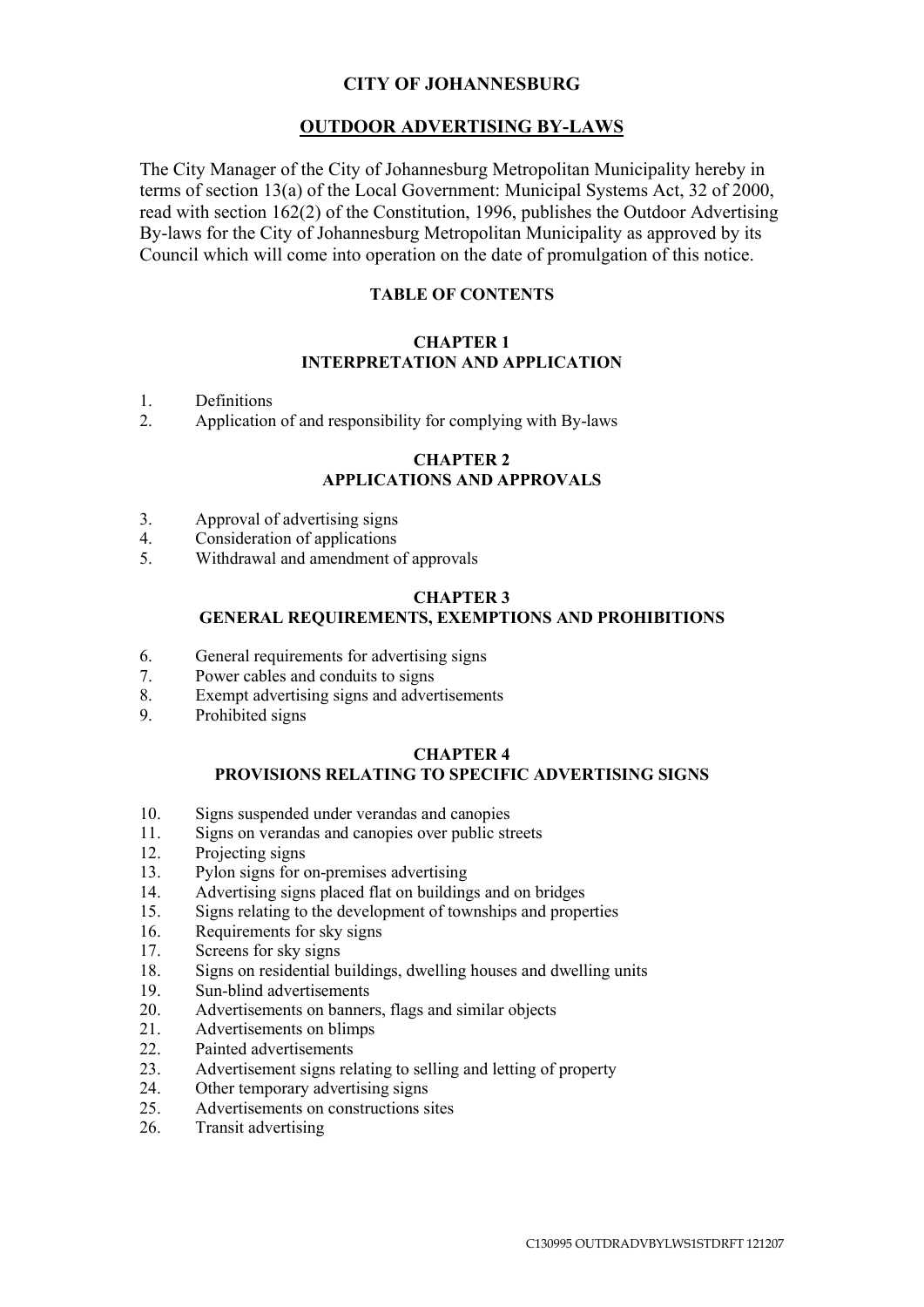# **CITY OF JOHANNESBURG**

# **OUTDOOR ADVERTISING BY-LAWS**

The City Manager of the City of Johannesburg Metropolitan Municipality hereby in terms of section 13(a) of the Local Government: Municipal Systems Act, 32 of 2000, read with section 162(2) of the Constitution, 1996, publishes the Outdoor Advertising By-laws for the City of Johannesburg Metropolitan Municipality as approved by its Council which will come into operation on the date of promulgation of this notice.

# **TABLE OF CONTENTS**

# **CHAPTER 1 INTERPRETATION AND APPLICATION**

- 1. Definitions
- 2. Application of and responsibility for complying with By-laws

# **CHAPTER 2 APPLICATIONS AND APPROVALS**

- 3. Approval of advertising signs
- 4. Consideration of applications
- 5. Withdrawal and amendment of approvals

### **CHAPTER 3**

# **GENERAL REQUIREMENTS, EXEMPTIONS AND PROHIBITIONS**

- 6. General requirements for advertising signs
- 7. Power cables and conduits to signs
- 8. Exempt advertising signs and advertisements
- 9. Prohibited signs

# **CHAPTER 4**

# **PROVISIONS RELATING TO SPECIFIC ADVERTISING SIGNS**

- 10. Signs suspended under verandas and canopies
- 11. Signs on verandas and canopies over public streets
- 12. Projecting signs
- 13. Pylon signs for on-premises advertising
- 14. Advertising signs placed flat on buildings and on bridges
- 15. Signs relating to the development of townships and properties
- 16. Requirements for sky signs
- 17. Screens for sky signs
- 18. Signs on residential buildings, dwelling houses and dwelling units
- 19. Sun-blind advertisements
- 20. Advertisements on banners, flags and similar objects
- 21 Advertisements on blimps
- 22. Painted advertisements
- 23. Advertisement signs relating to selling and letting of property
- 24. Other temporary advertising signs
- 25. Advertisements on constructions sites
- 26. Transit advertising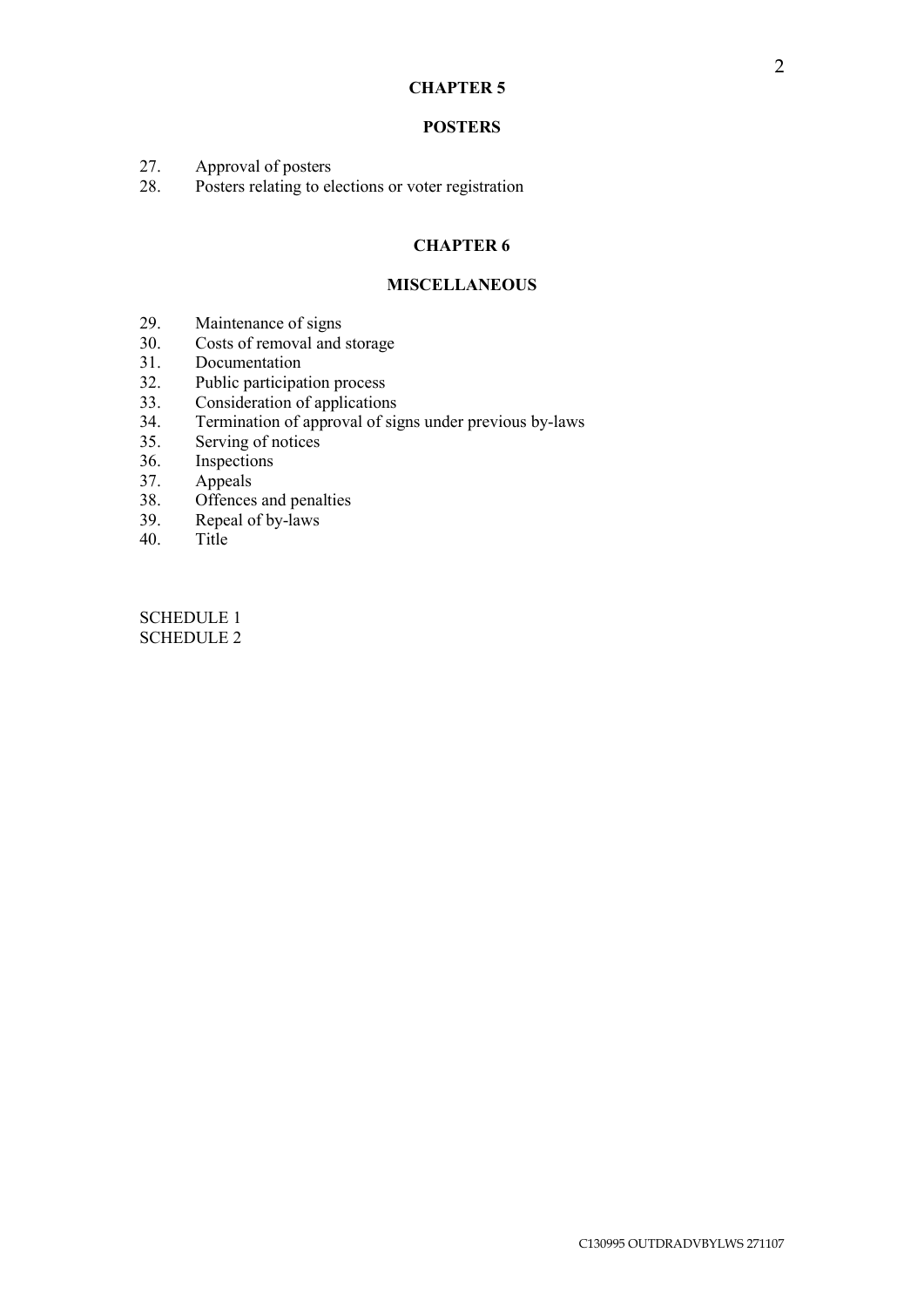### **CHAPTER 5**

### **POSTERS**

- 27. Approval of posters
- 28. Posters relating to elections or voter registration

# **CHAPTER 6**

### **MISCELLANEOUS**

- 29. Maintenance of signs
- 30. Costs of removal and storage
- 31. Documentation<br>32. Public participation
- Public participation process
- 33. Consideration of applications<br>34. Termination of approval of sig
- Termination of approval of signs under previous by-laws
- 35. Serving of notices
- 36. Inspections
- 37. Appeals
- 38. Offences and penalties
- 39. Repeal of by-laws
- 40. Title

SCHEDULE 1 SCHEDULE 2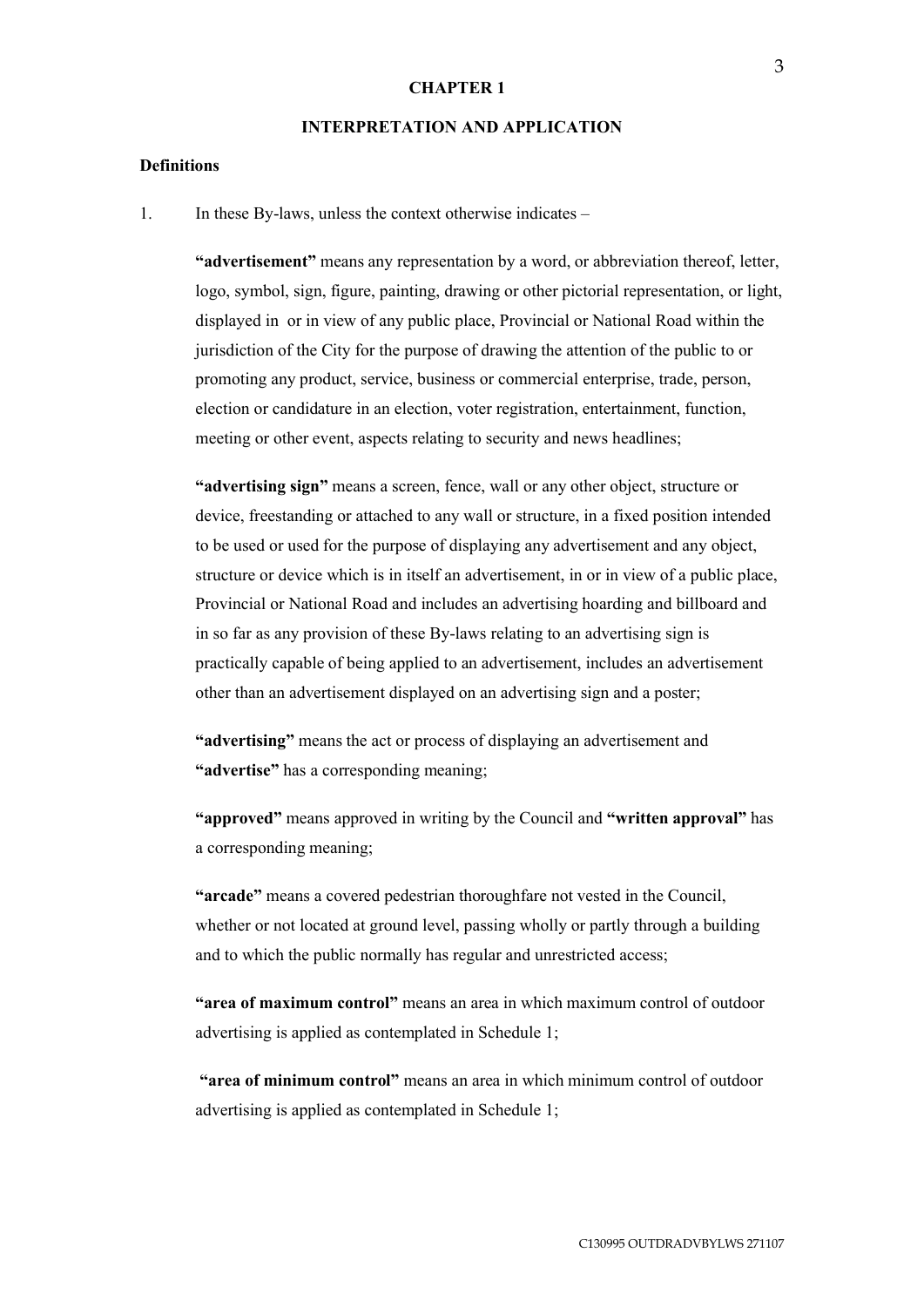#### **CHAPTER 1**

### **INTERPRETATION AND APPLICATION**

# **Definitions**

1. In these By-laws, unless the context otherwise indicates –

**"advertisement"** means any representation by a word, or abbreviation thereof, letter, logo, symbol, sign, figure, painting, drawing or other pictorial representation, or light, displayed in or in view of any public place, Provincial or National Road within the jurisdiction of the City for the purpose of drawing the attention of the public to or promoting any product, service, business or commercial enterprise, trade, person, election or candidature in an election, voter registration, entertainment, function, meeting or other event, aspects relating to security and news headlines;

**"advertising sign"** means a screen, fence, wall or any other object, structure or device, freestanding or attached to any wall or structure, in a fixed position intended to be used or used for the purpose of displaying any advertisement and any object, structure or device which is in itself an advertisement, in or in view of a public place, Provincial or National Road and includes an advertising hoarding and billboard and in so far as any provision of these By-laws relating to an advertising sign is practically capable of being applied to an advertisement, includes an advertisement other than an advertisement displayed on an advertising sign and a poster;

**"advertising"** means the act or process of displaying an advertisement and **"advertise"** has a corresponding meaning;

**"approved"** means approved in writing by the Council and **"written approval"** has a corresponding meaning;

**"arcade"** means a covered pedestrian thoroughfare not vested in the Council, whether or not located at ground level, passing wholly or partly through a building and to which the public normally has regular and unrestricted access;

**"area of maximum control"** means an area in which maximum control of outdoor advertising is applied as contemplated in Schedule 1;

**"area of minimum control"** means an area in which minimum control of outdoor advertising is applied as contemplated in Schedule 1;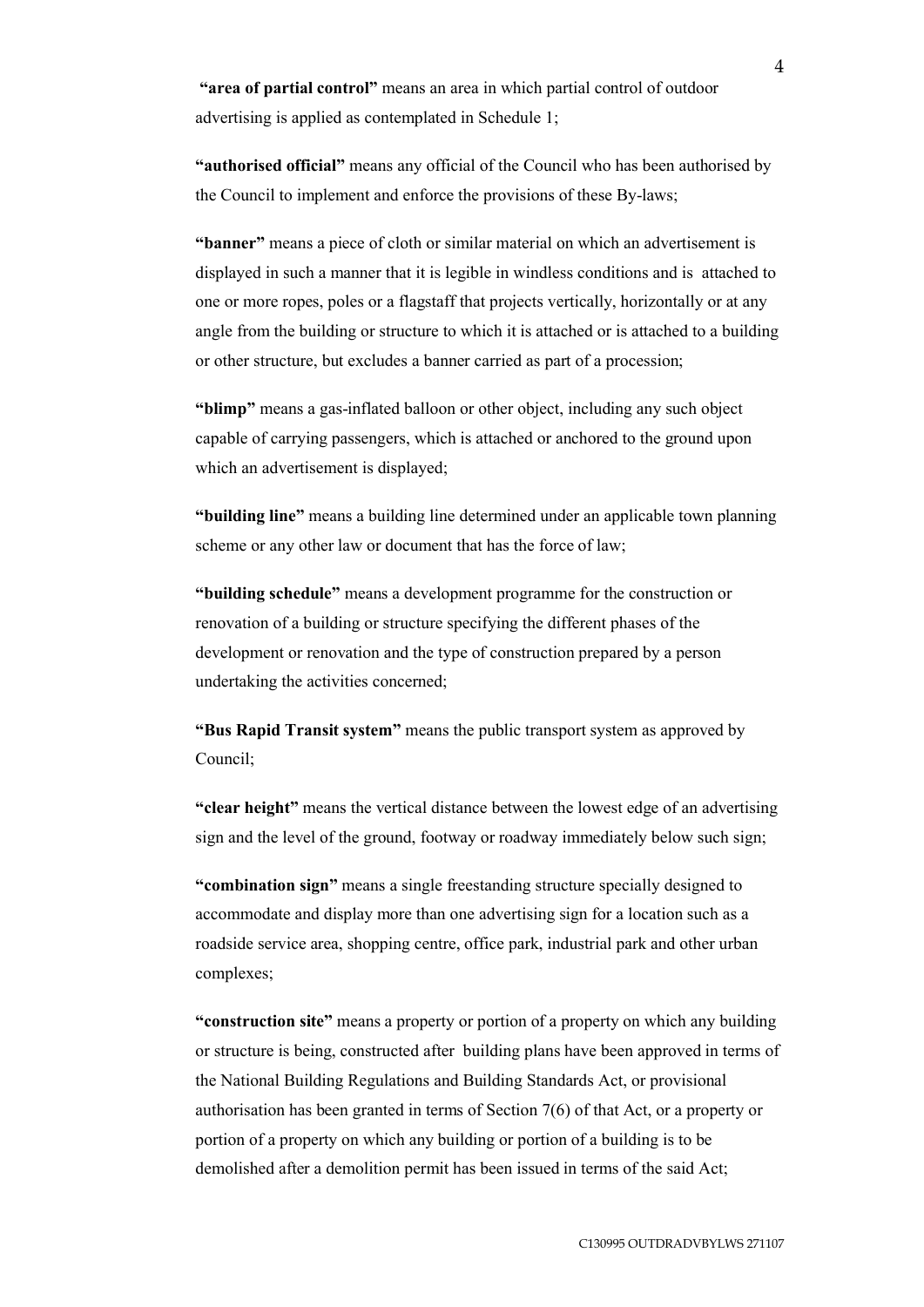**"area of partial control"** means an area in which partial control of outdoor advertising is applied as contemplated in Schedule 1;

**"authorised official"** means any official of the Council who has been authorised by the Council to implement and enforce the provisions of these By-laws;

**"banner"** means a piece of cloth or similar material on which an advertisement is displayed in such a manner that it is legible in windless conditions and is attached to one or more ropes, poles or a flagstaff that projects vertically, horizontally or at any angle from the building or structure to which it is attached or is attached to a building or other structure, but excludes a banner carried as part of a procession;

**"blimp"** means a gas-inflated balloon or other object, including any such object capable of carrying passengers, which is attached or anchored to the ground upon which an advertisement is displayed;

**"building line"** means a building line determined under an applicable town planning scheme or any other law or document that has the force of law;

**"building schedule"** means a development programme for the construction or renovation of a building or structure specifying the different phases of the development or renovation and the type of construction prepared by a person undertaking the activities concerned;

**"Bus Rapid Transit system"** means the public transport system as approved by Council;

**"clear height"** means the vertical distance between the lowest edge of an advertising sign and the level of the ground, footway or roadway immediately below such sign;

**"combination sign"** means a single freestanding structure specially designed to accommodate and display more than one advertising sign for a location such as a roadside service area, shopping centre, office park, industrial park and other urban complexes;

**"construction site"** means a property or portion of a property on which any building or structure is being, constructed after building plans have been approved in terms of the National Building Regulations and Building Standards Act, or provisional authorisation has been granted in terms of Section 7(6) of that Act, or a property or portion of a property on which any building or portion of a building is to be demolished after a demolition permit has been issued in terms of the said Act;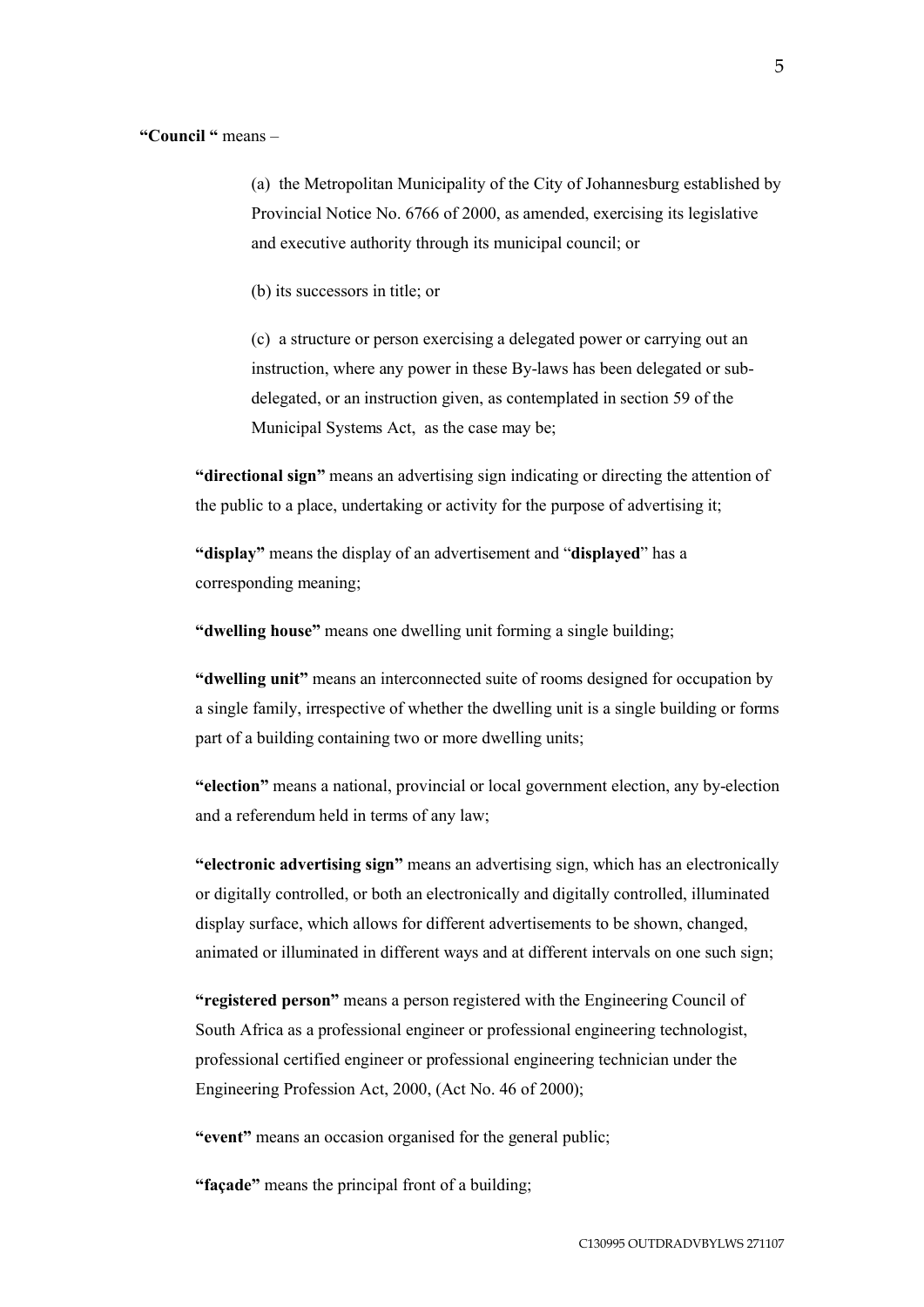### **"Council "** means –

(a) the Metropolitan Municipality of the City of Johannesburg established by Provincial Notice No. 6766 of 2000, as amended, exercising its legislative and executive authority through its municipal council; or

(b) its successors in title; or

(c) a structure or person exercising a delegated power or carrying out an instruction, where any power in these By-laws has been delegated or subdelegated, or an instruction given, as contemplated in section 59 of the Municipal Systems Act, as the case may be;

**"directional sign"** means an advertising sign indicating or directing the attention of the public to a place, undertaking or activity for the purpose of advertising it;

**"display"** means the display of an advertisement and "**displayed**" has a corresponding meaning;

**"dwelling house"** means one dwelling unit forming a single building;

**"dwelling unit"** means an interconnected suite of rooms designed for occupation by a single family, irrespective of whether the dwelling unit is a single building or forms part of a building containing two or more dwelling units;

**"election"** means a national, provincial or local government election, any by-election and a referendum held in terms of any law;

**"electronic advertising sign"** means an advertising sign, which has an electronically or digitally controlled, or both an electronically and digitally controlled, illuminated display surface, which allows for different advertisements to be shown, changed, animated or illuminated in different ways and at different intervals on one such sign;

**"registered person"** means a person registered with the Engineering Council of South Africa as a professional engineer or professional engineering technologist, professional certified engineer or professional engineering technician under the Engineering Profession Act, 2000, (Act No. 46 of 2000);

**"event"** means an occasion organised for the general public;

**"façade"** means the principal front of a building;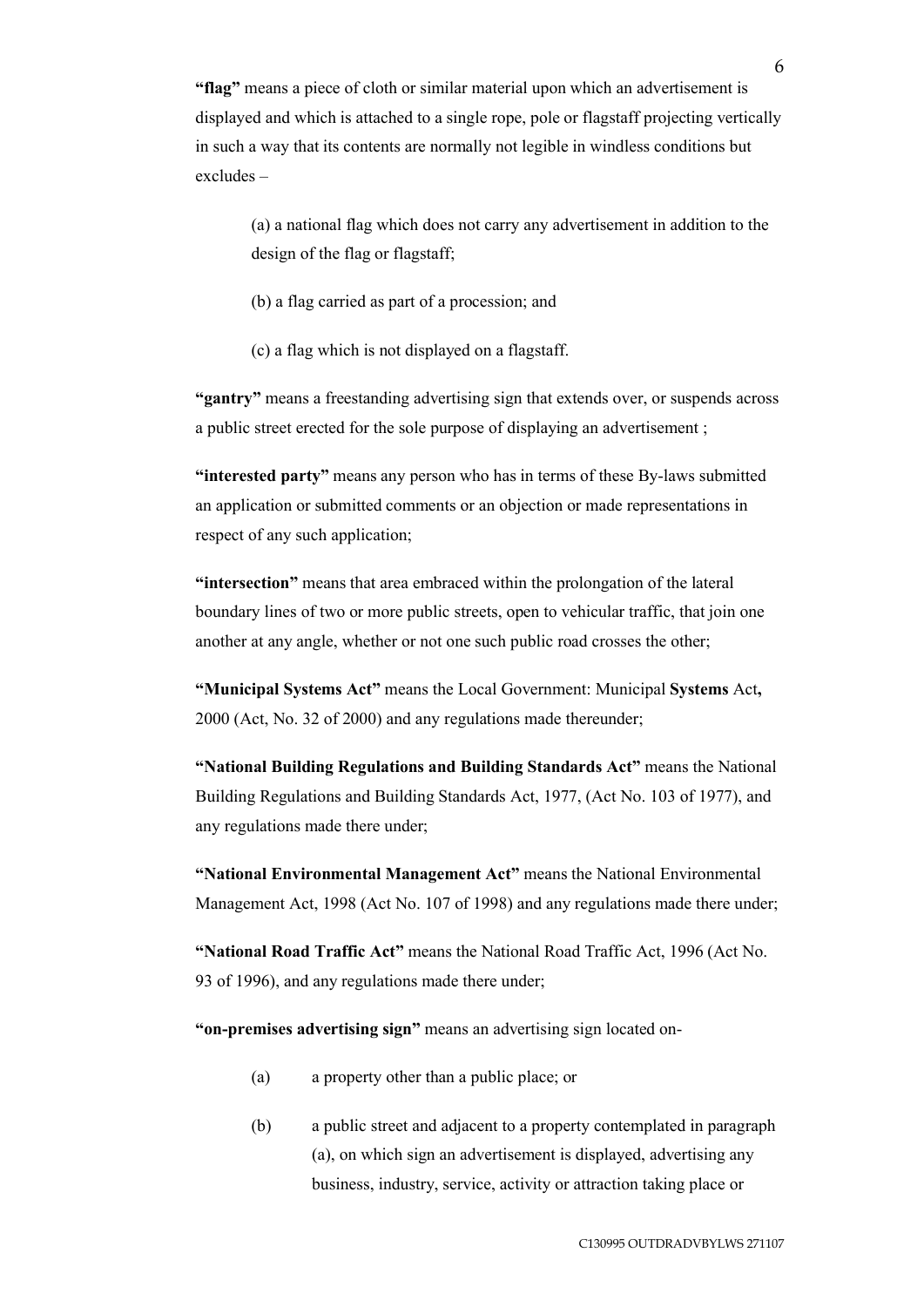**"flag"** means a piece of cloth or similar material upon which an advertisement is displayed and which is attached to a single rope, pole or flagstaff projecting vertically in such a way that its contents are normally not legible in windless conditions but excludes –

(a) a national flag which does not carry any advertisement in addition to the design of the flag or flagstaff;

(b) a flag carried as part of a procession; and

(c) a flag which is not displayed on a flagstaff.

**"gantry"** means a freestanding advertising sign that extends over, or suspends across a public street erected for the sole purpose of displaying an advertisement ;

**"interested party"** means any person who has in terms of these By-laws submitted an application or submitted comments or an objection or made representations in respect of any such application;

**"intersection"** means that area embraced within the prolongation of the lateral boundary lines of two or more public streets, open to vehicular traffic, that join one another at any angle, whether or not one such public road crosses the other;

**"Municipal Systems Act"** means the Local Government: Municipal **Systems** Act**,**  2000 (Act, No. 32 of 2000) and any regulations made thereunder;

**"National Building Regulations and Building Standards Act"** means the National Building Regulations and Building Standards Act, 1977, (Act No. 103 of 1977), and any regulations made there under;

**"National Environmental Management Act"** means the National Environmental Management Act, 1998 (Act No. 107 of 1998) and any regulations made there under;

**"National Road Traffic Act"** means the National Road Traffic Act, 1996 (Act No. 93 of 1996), and any regulations made there under;

**"on-premises advertising sign"** means an advertising sign located on-

- (a) a property other than a public place; or
- (b) a public street and adjacent to a property contemplated in paragraph (a), on which sign an advertisement is displayed, advertising any business, industry, service, activity or attraction taking place or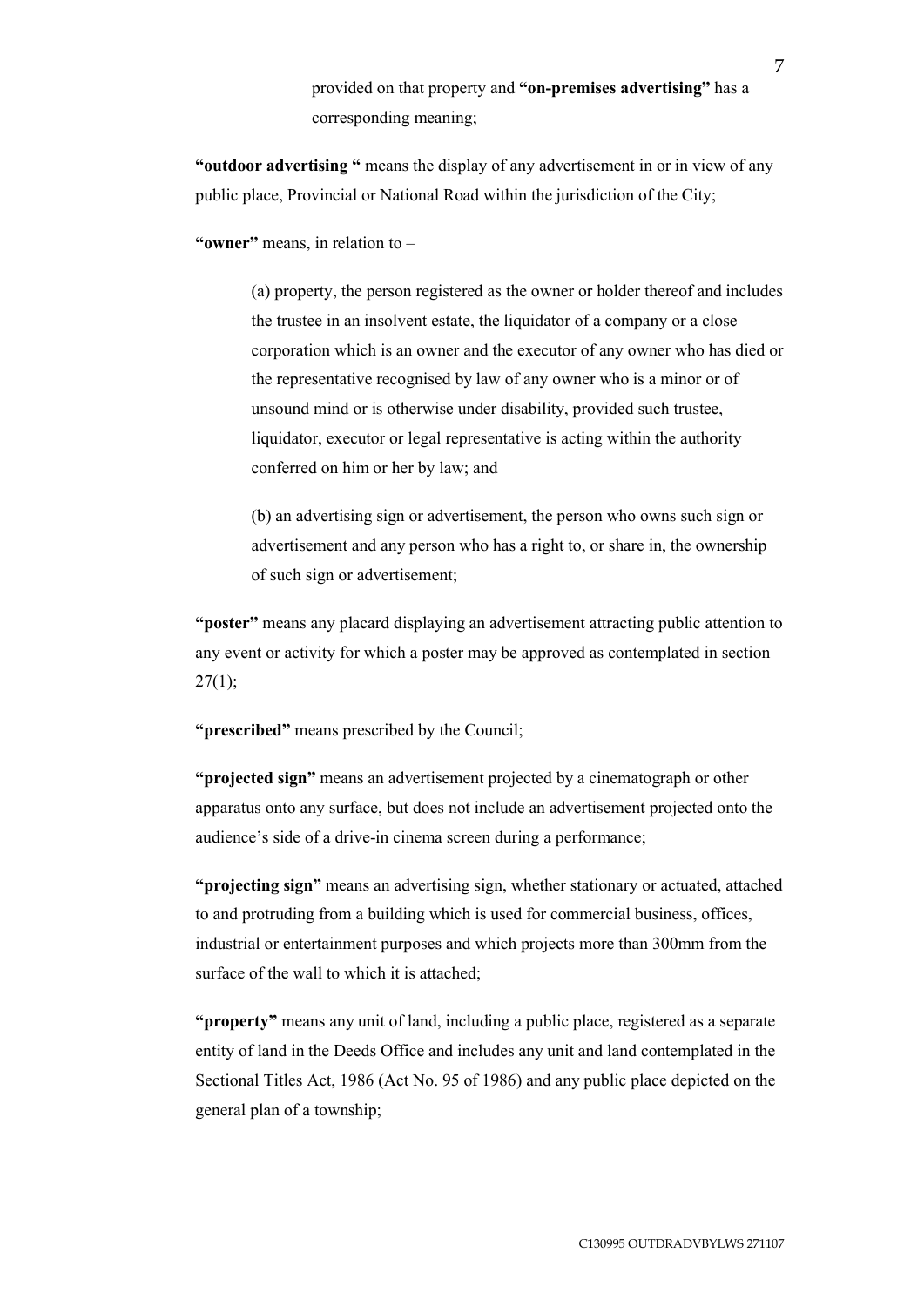provided on that property and **"on-premises advertising"** has a corresponding meaning;

**"outdoor advertising "** means the display of any advertisement in or in view of any public place, Provincial or National Road within the jurisdiction of the City;

**"owner"** means, in relation to –

(a) property, the person registered as the owner or holder thereof and includes the trustee in an insolvent estate, the liquidator of a company or a close corporation which is an owner and the executor of any owner who has died or the representative recognised by law of any owner who is a minor or of unsound mind or is otherwise under disability, provided such trustee, liquidator, executor or legal representative is acting within the authority conferred on him or her by law; and

(b) an advertising sign or advertisement, the person who owns such sign or advertisement and any person who has a right to, or share in, the ownership of such sign or advertisement;

**"poster"** means any placard displaying an advertisement attracting public attention to any event or activity for which a poster may be approved as contemplated in section  $27(1);$ 

**"prescribed"** means prescribed by the Council;

**"projected sign"** means an advertisement projected by a cinematograph or other apparatus onto any surface, but does not include an advertisement projected onto the audience's side of a drive-in cinema screen during a performance;

**"projecting sign"** means an advertising sign, whether stationary or actuated, attached to and protruding from a building which is used for commercial business, offices, industrial or entertainment purposes and which projects more than 300mm from the surface of the wall to which it is attached;

**"property"** means any unit of land, including a public place, registered as a separate entity of land in the Deeds Office and includes any unit and land contemplated in the Sectional Titles Act, 1986 (Act No. 95 of 1986) and any public place depicted on the general plan of a township;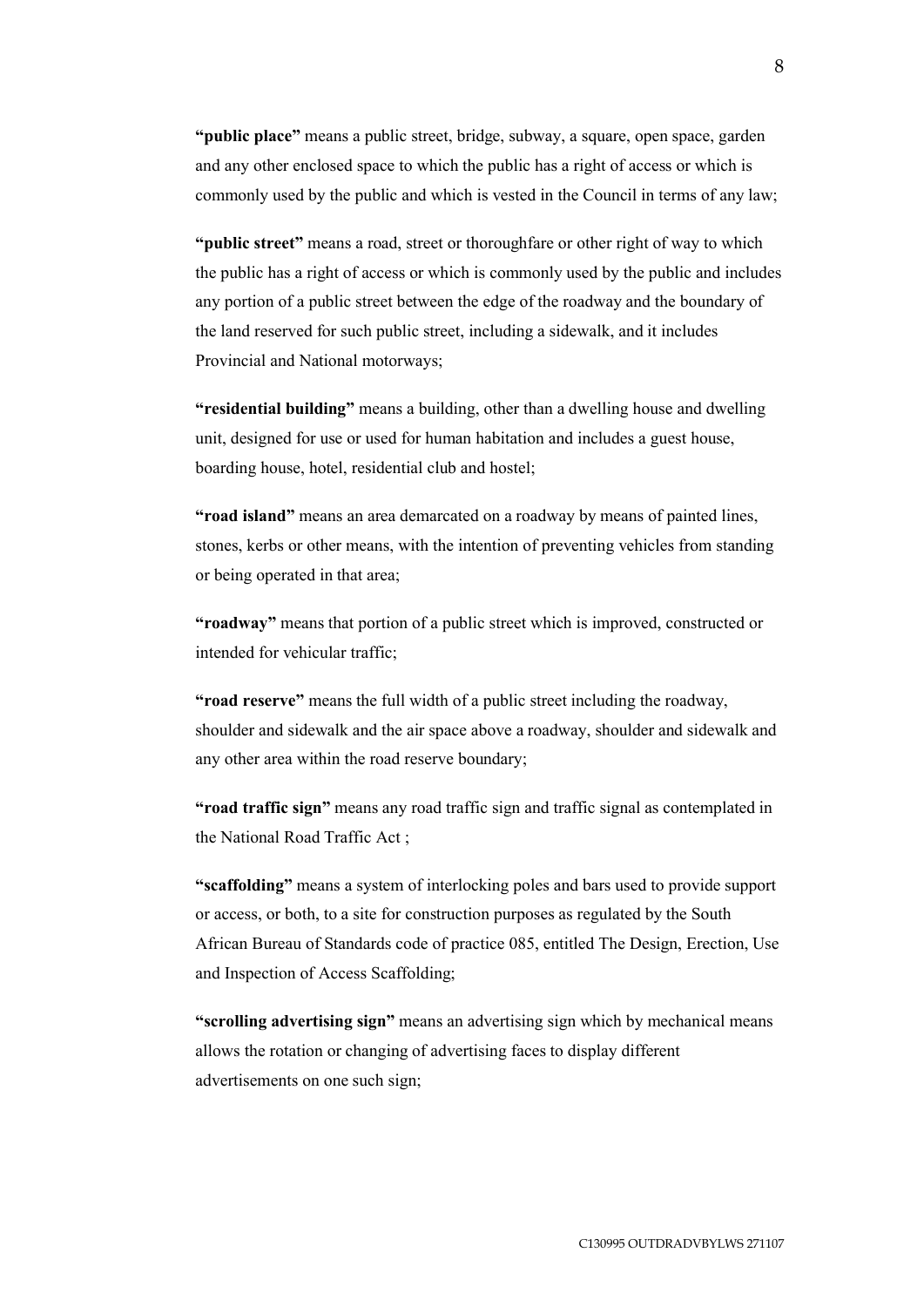**"public place"** means a public street, bridge, subway, a square, open space, garden and any other enclosed space to which the public has a right of access or which is commonly used by the public and which is vested in the Council in terms of any law;

**"public street"** means a road, street or thoroughfare or other right of way to which the public has a right of access or which is commonly used by the public and includes any portion of a public street between the edge of the roadway and the boundary of the land reserved for such public street, including a sidewalk, and it includes Provincial and National motorways;

**"residential building"** means a building, other than a dwelling house and dwelling unit, designed for use or used for human habitation and includes a guest house, boarding house, hotel, residential club and hostel;

**"road island"** means an area demarcated on a roadway by means of painted lines, stones, kerbs or other means, with the intention of preventing vehicles from standing or being operated in that area;

**"roadway"** means that portion of a public street which is improved, constructed or intended for vehicular traffic;

**"road reserve"** means the full width of a public street including the roadway, shoulder and sidewalk and the air space above a roadway, shoulder and sidewalk and any other area within the road reserve boundary;

**"road traffic sign"** means any road traffic sign and traffic signal as contemplated in the National Road Traffic Act ;

**"scaffolding"** means a system of interlocking poles and bars used to provide support or access, or both, to a site for construction purposes as regulated by the South African Bureau of Standards code of practice 085, entitled The Design, Erection, Use and Inspection of Access Scaffolding;

**"scrolling advertising sign"** means an advertising sign which by mechanical means allows the rotation or changing of advertising faces to display different advertisements on one such sign;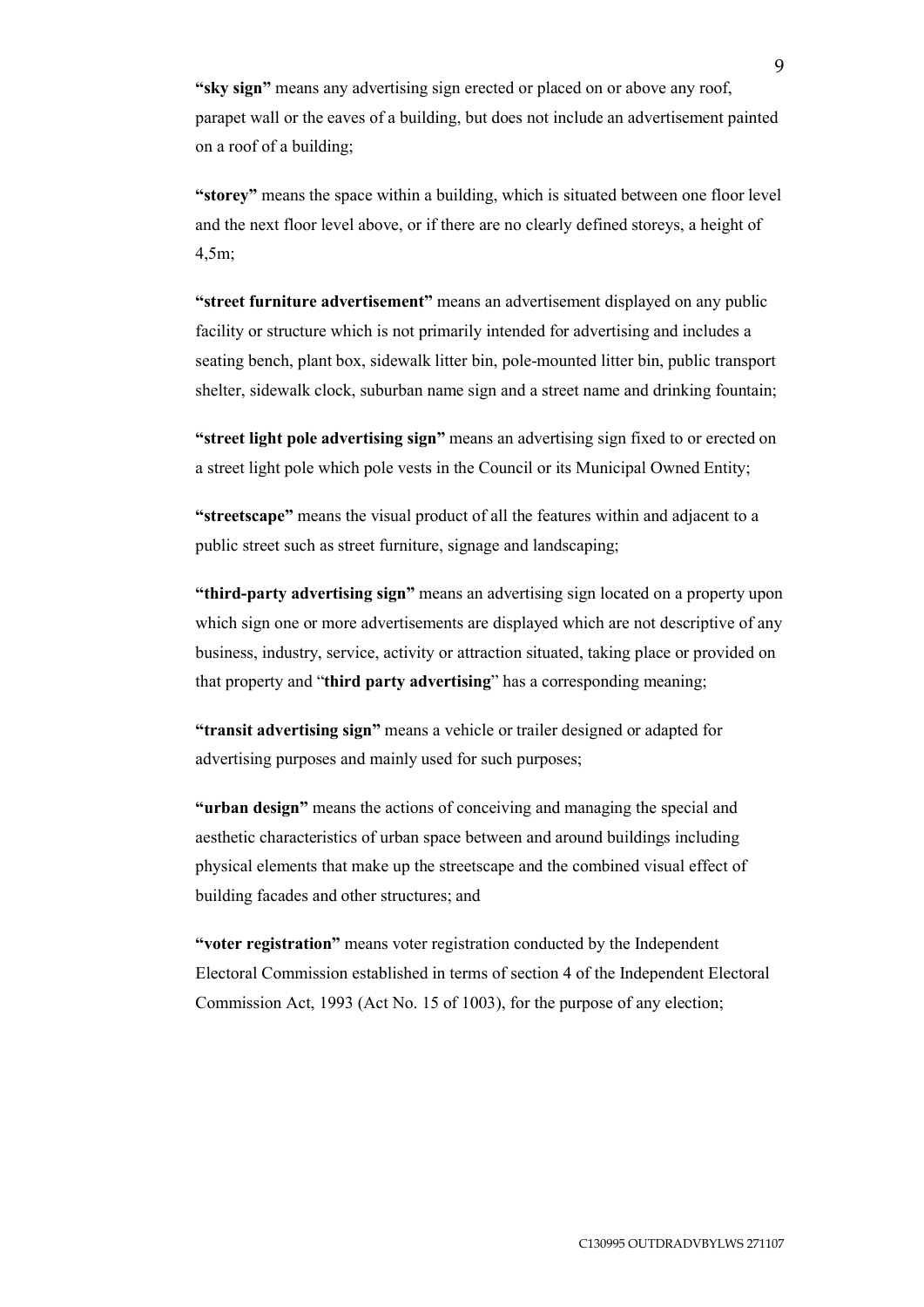**"sky sign"** means any advertising sign erected or placed on or above any roof, parapet wall or the eaves of a building, but does not include an advertisement painted on a roof of a building;

**"storey"** means the space within a building, which is situated between one floor level and the next floor level above, or if there are no clearly defined storeys, a height of 4,5m;

**"street furniture advertisement"** means an advertisement displayed on any public facility or structure which is not primarily intended for advertising and includes a seating bench, plant box, sidewalk litter bin, pole-mounted litter bin, public transport shelter, sidewalk clock, suburban name sign and a street name and drinking fountain;

**"street light pole advertising sign"** means an advertising sign fixed to or erected on a street light pole which pole vests in the Council or its Municipal Owned Entity;

**"streetscape"** means the visual product of all the features within and adjacent to a public street such as street furniture, signage and landscaping;

**"third-party advertising sign"** means an advertising sign located on a property upon which sign one or more advertisements are displayed which are not descriptive of any business, industry, service, activity or attraction situated, taking place or provided on that property and "**third party advertising**" has a corresponding meaning;

**"transit advertising sign"** means a vehicle or trailer designed or adapted for advertising purposes and mainly used for such purposes;

**"urban design"** means the actions of conceiving and managing the special and aesthetic characteristics of urban space between and around buildings including physical elements that make up the streetscape and the combined visual effect of building facades and other structures; and

**"voter registration"** means voter registration conducted by the Independent Electoral Commission established in terms of section 4 of the Independent Electoral Commission Act, 1993 (Act No. 15 of 1003), for the purpose of any election;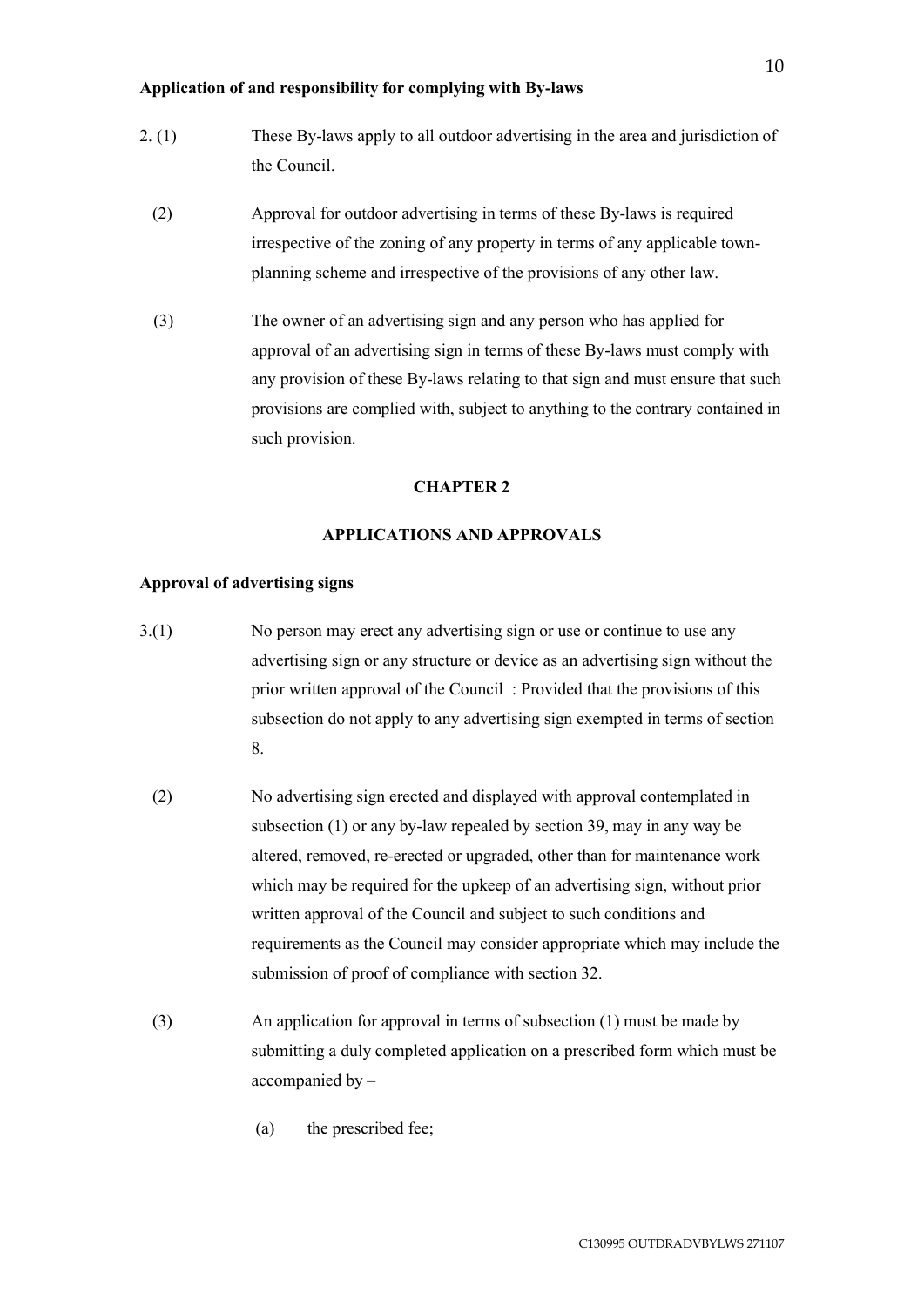**Application of and responsibility for complying with By-laws** 

- 2. (1) These By-laws apply to all outdoor advertising in the area and jurisdiction of the Council.
	- (2) Approval for outdoor advertising in terms of these By-laws is required irrespective of the zoning of any property in terms of any applicable townplanning scheme and irrespective of the provisions of any other law.
	- (3) The owner of an advertising sign and any person who has applied for approval of an advertising sign in terms of these By-laws must comply with any provision of these By-laws relating to that sign and must ensure that such provisions are complied with, subject to anything to the contrary contained in such provision.

# **CHAPTER 2**

### **APPLICATIONS AND APPROVALS**

### **Approval of advertising signs**

- 3.(1) No person may erect any advertising sign or use or continue to use any advertising sign or any structure or device as an advertising sign without the prior written approval of the Council : Provided that the provisions of this subsection do not apply to any advertising sign exempted in terms of section 8.
	- (2) No advertising sign erected and displayed with approval contemplated in subsection (1) or any by-law repealed by section 39, may in any way be altered, removed, re-erected or upgraded, other than for maintenance work which may be required for the upkeep of an advertising sign, without prior written approval of the Council and subject to such conditions and requirements as the Council may consider appropriate which may include the submission of proof of compliance with section 32.
	- (3) An application for approval in terms of subsection (1) must be made by submitting a duly completed application on a prescribed form which must be accompanied by –
		- (a) the prescribed fee;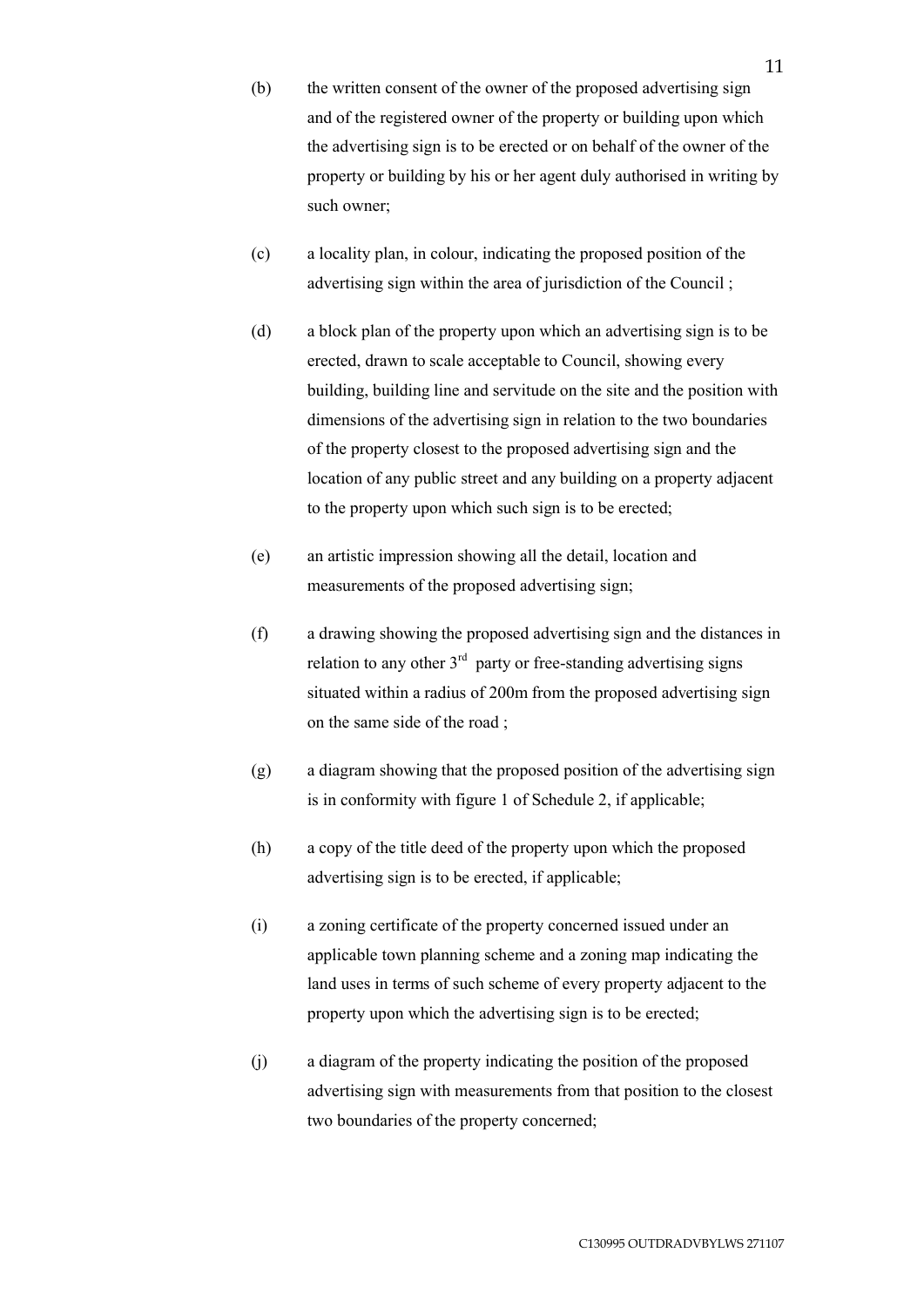- (b) the written consent of the owner of the proposed advertising sign and of the registered owner of the property or building upon which the advertising sign is to be erected or on behalf of the owner of the property or building by his or her agent duly authorised in writing by such owner;
- (c) a locality plan, in colour, indicating the proposed position of the advertising sign within the area of jurisdiction of the Council:
- (d) a block plan of the property upon which an advertising sign is to be erected, drawn to scale acceptable to Council, showing every building, building line and servitude on the site and the position with dimensions of the advertising sign in relation to the two boundaries of the property closest to the proposed advertising sign and the location of any public street and any building on a property adjacent to the property upon which such sign is to be erected;
- (e) an artistic impression showing all the detail, location and measurements of the proposed advertising sign;
- (f) a drawing showing the proposed advertising sign and the distances in relation to any other  $3<sup>rd</sup>$  party or free-standing advertising signs situated within a radius of 200m from the proposed advertising sign on the same side of the road ;
- (g) a diagram showing that the proposed position of the advertising sign is in conformity with figure 1 of Schedule 2, if applicable;
- (h) a copy of the title deed of the property upon which the proposed advertising sign is to be erected, if applicable;
- (i) a zoning certificate of the property concerned issued under an applicable town planning scheme and a zoning map indicating the land uses in terms of such scheme of every property adjacent to the property upon which the advertising sign is to be erected;
- (j) a diagram of the property indicating the position of the proposed advertising sign with measurements from that position to the closest two boundaries of the property concerned;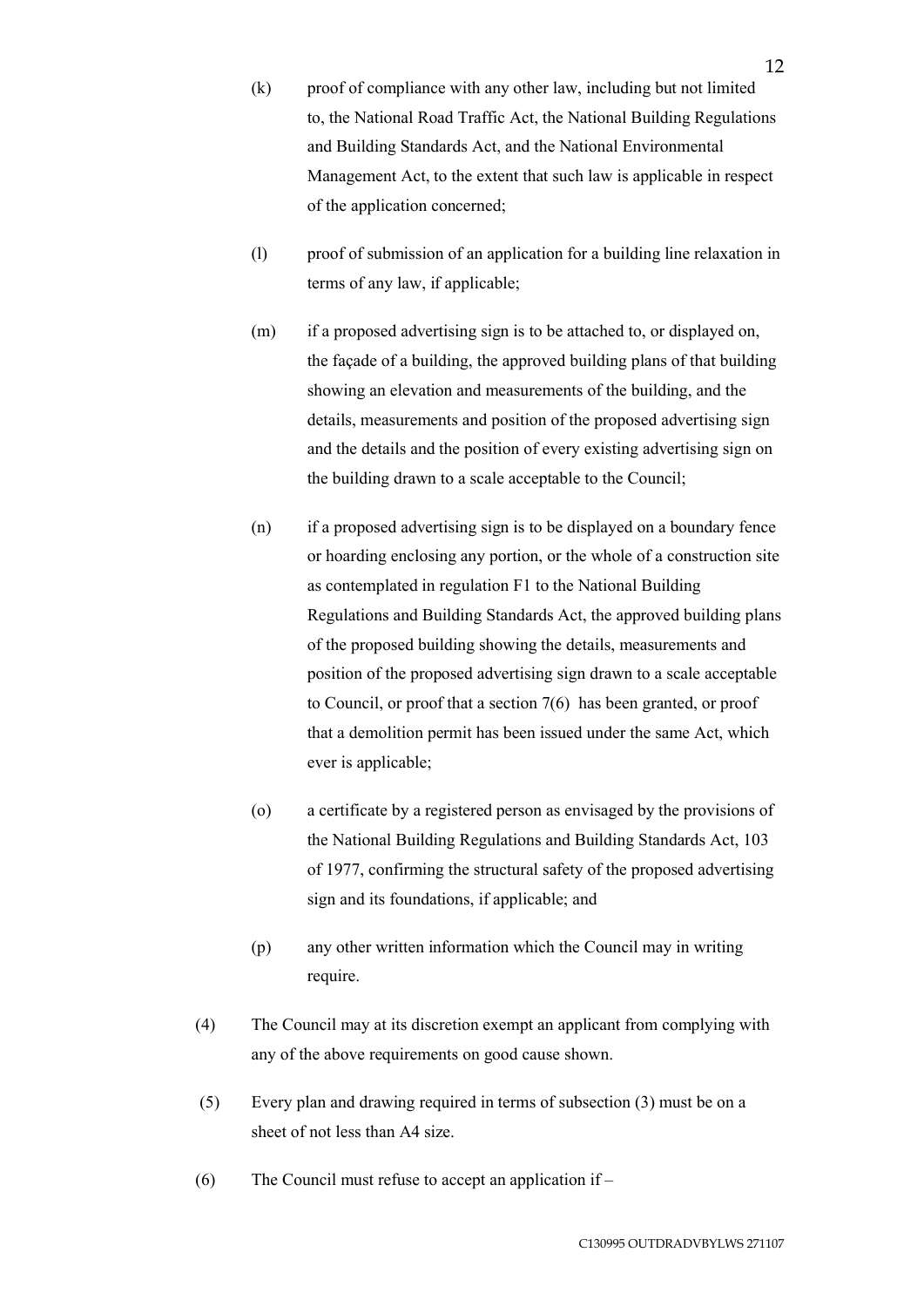- (k) proof of compliance with any other law, including but not limited to, the National Road Traffic Act, the National Building Regulations and Building Standards Act, and the National Environmental Management Act, to the extent that such law is applicable in respect of the application concerned;
- (l) proof of submission of an application for a building line relaxation in terms of any law, if applicable;
- (m) if a proposed advertising sign is to be attached to, or displayed on, the façade of a building, the approved building plans of that building showing an elevation and measurements of the building, and the details, measurements and position of the proposed advertising sign and the details and the position of every existing advertising sign on the building drawn to a scale acceptable to the Council;
- (n) if a proposed advertising sign is to be displayed on a boundary fence or hoarding enclosing any portion, or the whole of a construction site as contemplated in regulation F1 to the National Building Regulations and Building Standards Act, the approved building plans of the proposed building showing the details, measurements and position of the proposed advertising sign drawn to a scale acceptable to Council, or proof that a section 7(6) has been granted, or proof that a demolition permit has been issued under the same Act, which ever is applicable;
- (o) a certificate by a registered person as envisaged by the provisions of the National Building Regulations and Building Standards Act, 103 of 1977, confirming the structural safety of the proposed advertising sign and its foundations, if applicable; and
- (p) any other written information which the Council may in writing require.
- (4) The Council may at its discretion exempt an applicant from complying with any of the above requirements on good cause shown.
- (5) Every plan and drawing required in terms of subsection (3) must be on a sheet of not less than A4 size.
- (6) The Council must refuse to accept an application if –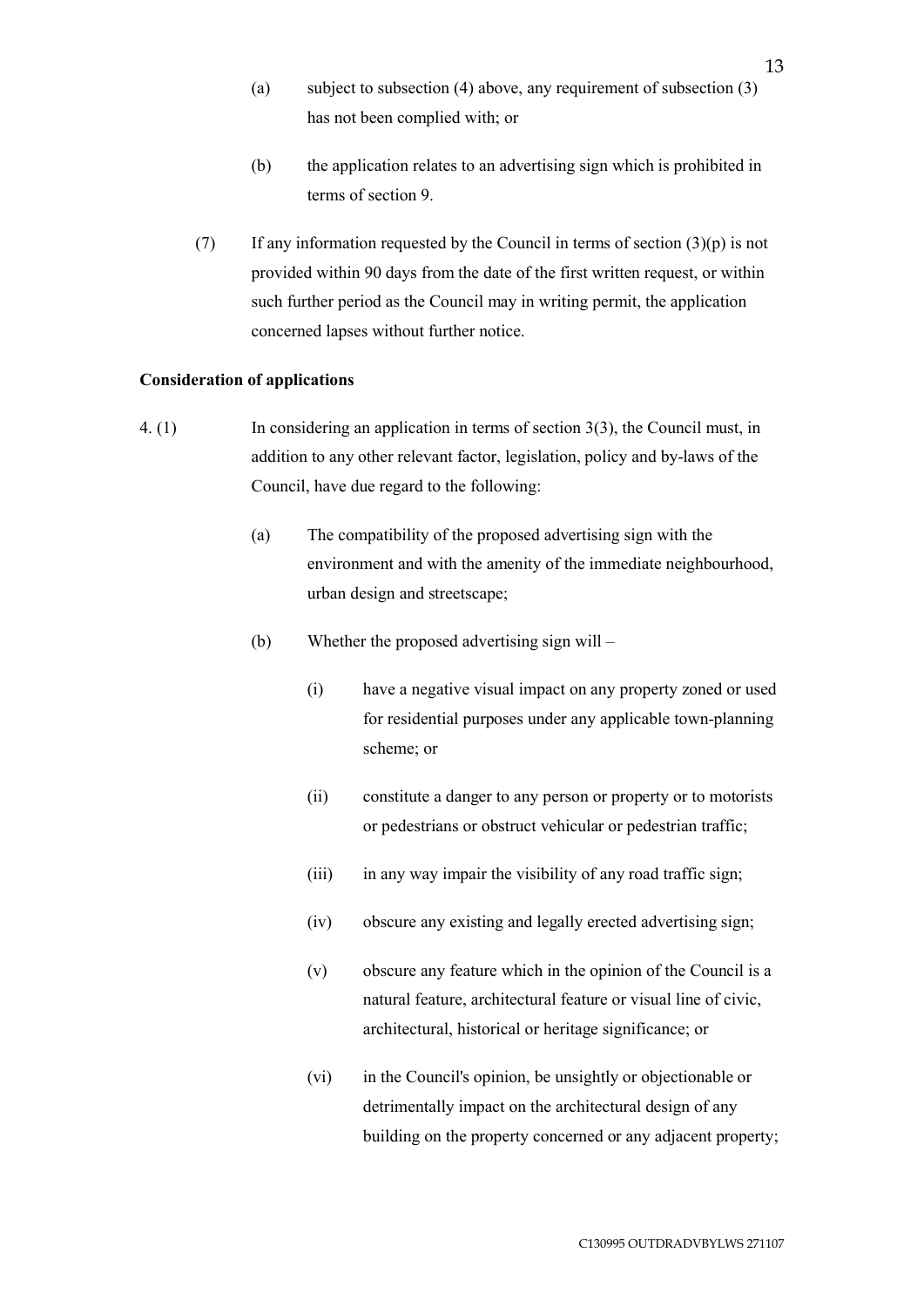- (a) subject to subsection (4) above, any requirement of subsection (3) has not been complied with; or
- (b) the application relates to an advertising sign which is prohibited in terms of section 9.
- (7) If any information requested by the Council in terms of section  $(3)(p)$  is not provided within 90 days from the date of the first written request, or within such further period as the Council may in writing permit, the application concerned lapses without further notice.

### **Consideration of applications**

- 4. (1) In considering an application in terms of section 3(3), the Council must, in addition to any other relevant factor, legislation, policy and by-laws of the Council, have due regard to the following:
	- (a) The compatibility of the proposed advertising sign with the environment and with the amenity of the immediate neighbourhood, urban design and streetscape;
	- (b) Whether the proposed advertising sign will
		- (i) have a negative visual impact on any property zoned or used for residential purposes under any applicable town-planning scheme; or
		- (ii) constitute a danger to any person or property or to motorists or pedestrians or obstruct vehicular or pedestrian traffic;
		- (iii) in any way impair the visibility of any road traffic sign;
		- (iv) obscure any existing and legally erected advertising sign;
		- (v) obscure any feature which in the opinion of the Council is a natural feature, architectural feature or visual line of civic, architectural, historical or heritage significance; or
		- (vi) in the Council's opinion, be unsightly or objectionable or detrimentally impact on the architectural design of any building on the property concerned or any adjacent property;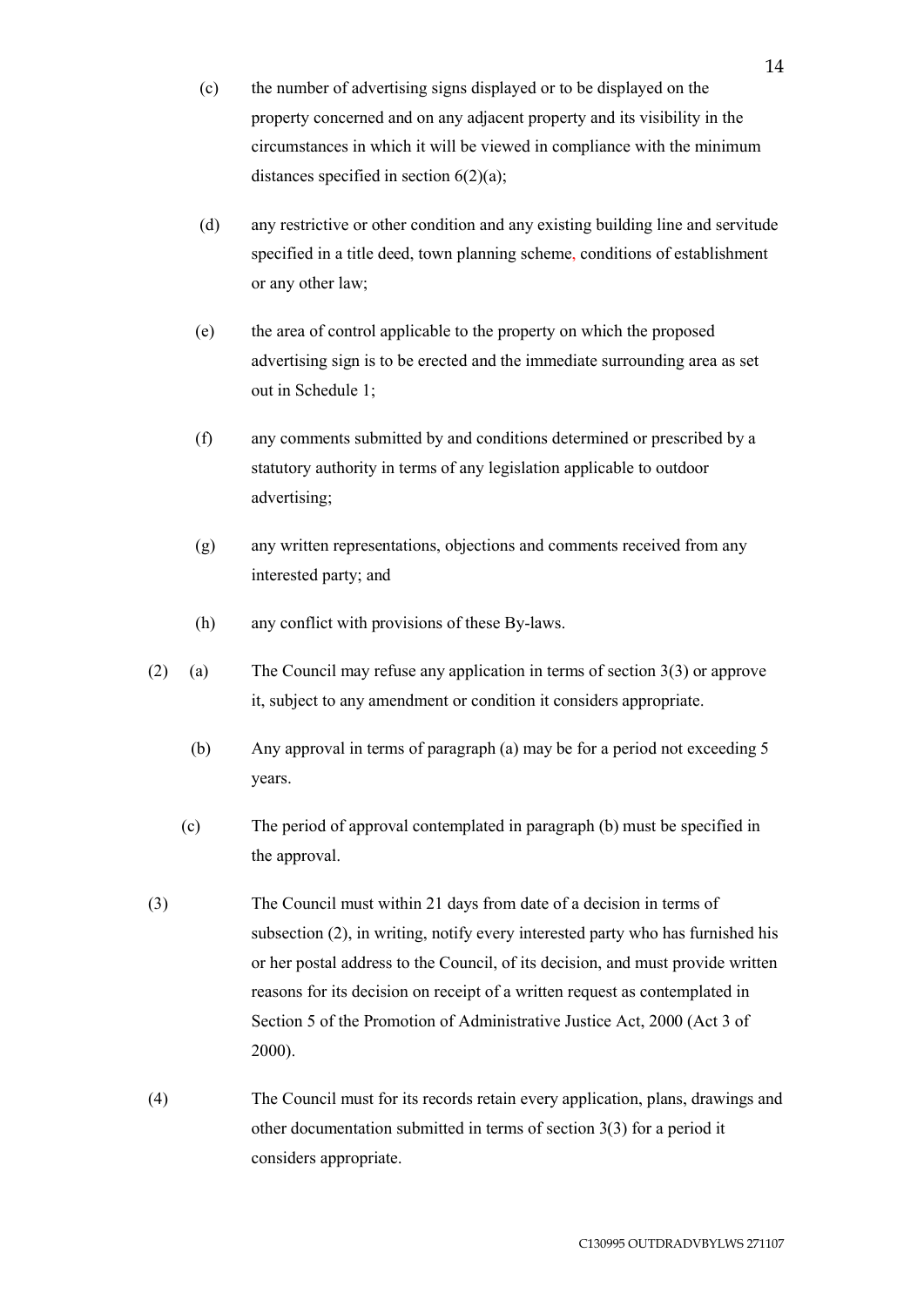- (c) the number of advertising signs displayed or to be displayed on the property concerned and on any adjacent property and its visibility in the circumstances in which it will be viewed in compliance with the minimum distances specified in section  $6(2)(a)$ ;
- (d) any restrictive or other condition and any existing building line and servitude specified in a title deed, town planning scheme, conditions of establishment or any other law;
- (e) the area of control applicable to the property on which the proposed advertising sign is to be erected and the immediate surrounding area as set out in Schedule 1;
- (f) any comments submitted by and conditions determined or prescribed by a statutory authority in terms of any legislation applicable to outdoor advertising;
- (g) any written representations, objections and comments received from any interested party; and
- (h) any conflict with provisions of these By-laws.
- (2) (a) The Council may refuse any application in terms of section 3(3) or approve it, subject to any amendment or condition it considers appropriate.
	- (b) Any approval in terms of paragraph (a) may be for a period not exceeding 5 years.
	- (c) The period of approval contemplated in paragraph (b) must be specified in the approval.
- (3) The Council must within 21 days from date of a decision in terms of subsection (2), in writing, notify every interested party who has furnished his or her postal address to the Council, of its decision, and must provide written reasons for its decision on receipt of a written request as contemplated in Section 5 of the Promotion of Administrative Justice Act, 2000 (Act 3 of 2000).
- (4) The Council must for its records retain every application, plans, drawings and other documentation submitted in terms of section 3(3) for a period it considers appropriate.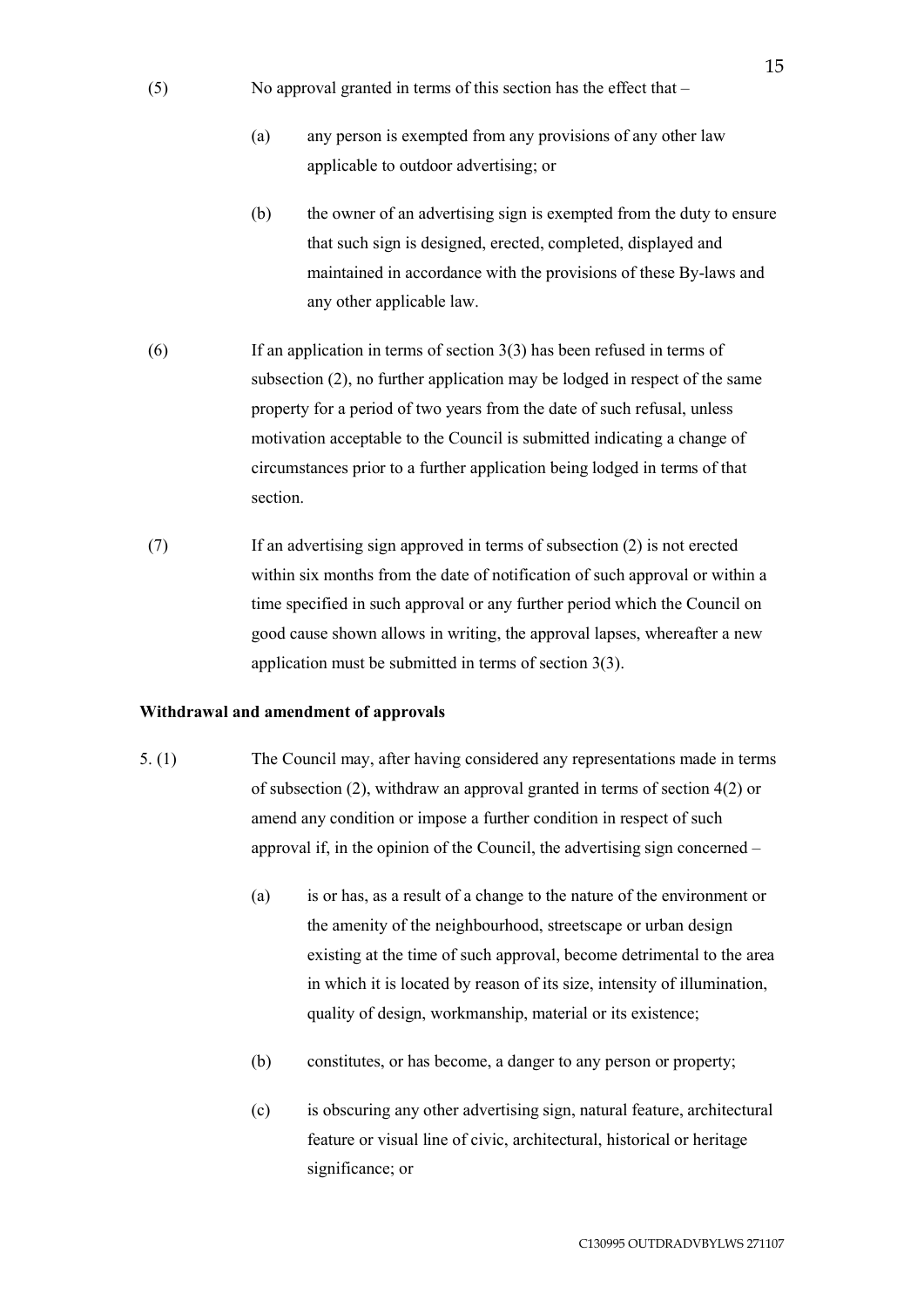- (5) No approval granted in terms of this section has the effect that
	- (a) any person is exempted from any provisions of any other law applicable to outdoor advertising; or
	- (b) the owner of an advertising sign is exempted from the duty to ensure that such sign is designed, erected, completed, displayed and maintained in accordance with the provisions of these By-laws and any other applicable law.
- (6) If an application in terms of section 3(3) has been refused in terms of subsection (2), no further application may be lodged in respect of the same property for a period of two years from the date of such refusal, unless motivation acceptable to the Council is submitted indicating a change of circumstances prior to a further application being lodged in terms of that section.
- (7) If an advertising sign approved in terms of subsection (2) is not erected within six months from the date of notification of such approval or within a time specified in such approval or any further period which the Council on good cause shown allows in writing, the approval lapses, whereafter a new application must be submitted in terms of section 3(3).

#### **Withdrawal and amendment of approvals**

- 5. (1) The Council may, after having considered any representations made in terms of subsection (2), withdraw an approval granted in terms of section 4(2) or amend any condition or impose a further condition in respect of such approval if, in the opinion of the Council, the advertising sign concerned –
	- (a) is or has, as a result of a change to the nature of the environment or the amenity of the neighbourhood, streetscape or urban design existing at the time of such approval, become detrimental to the area in which it is located by reason of its size, intensity of illumination, quality of design, workmanship, material or its existence;
	- (b) constitutes, or has become, a danger to any person or property;
	- (c) is obscuring any other advertising sign, natural feature, architectural feature or visual line of civic, architectural, historical or heritage significance; or

15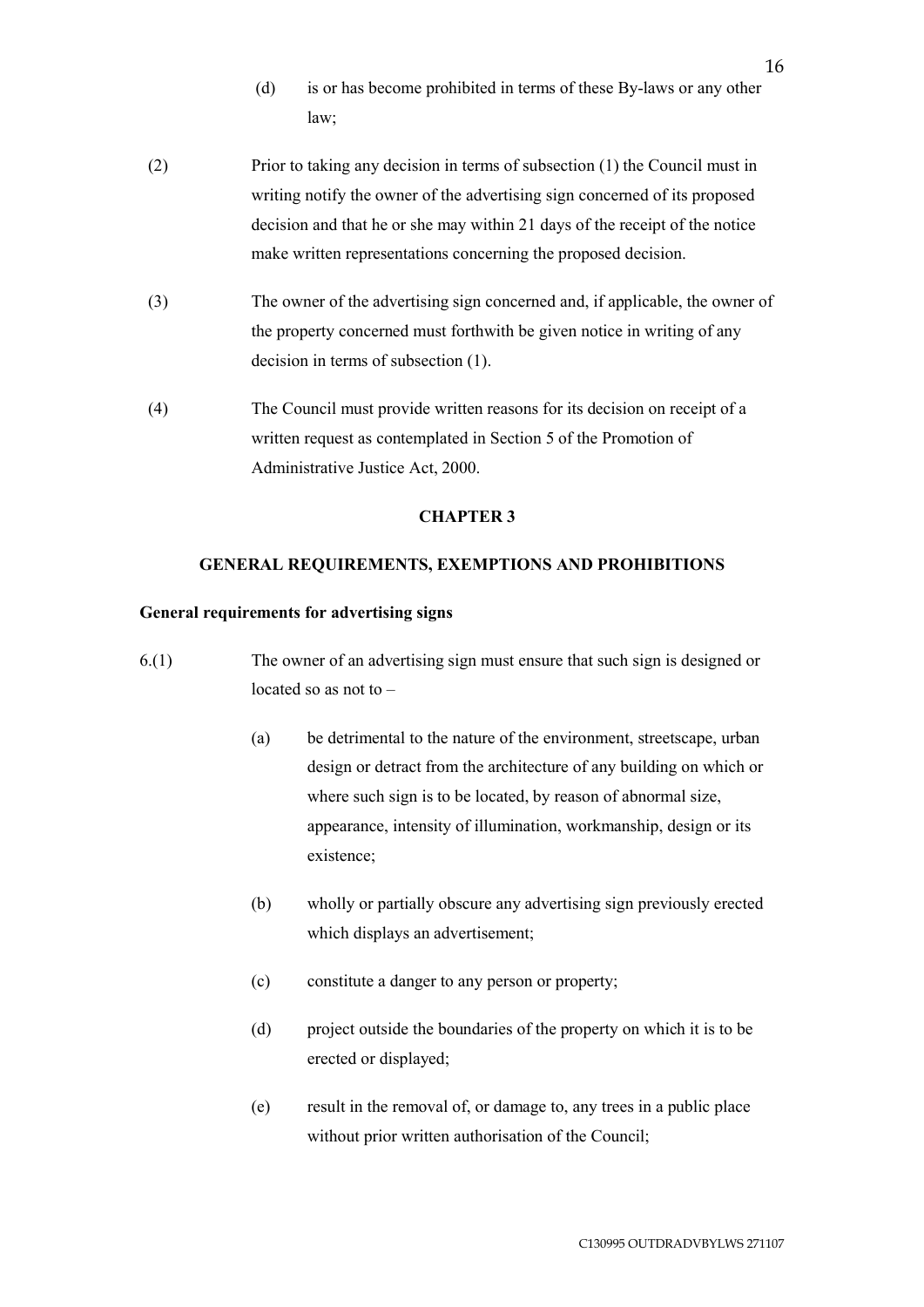- (d) is or has become prohibited in terms of these By-laws or any other law;
- (2) Prior to taking any decision in terms of subsection (1) the Council must in writing notify the owner of the advertising sign concerned of its proposed decision and that he or she may within 21 days of the receipt of the notice make written representations concerning the proposed decision.
- (3) The owner of the advertising sign concerned and, if applicable, the owner of the property concerned must forthwith be given notice in writing of any decision in terms of subsection (1).
- (4) The Council must provide written reasons for its decision on receipt of a written request as contemplated in Section 5 of the Promotion of Administrative Justice Act, 2000.

## **CHAPTER 3**

### **GENERAL REQUIREMENTS, EXEMPTIONS AND PROHIBITIONS**

### **General requirements for advertising signs**

- 6.(1) The owner of an advertising sign must ensure that such sign is designed or located so as not to –
	- (a) be detrimental to the nature of the environment, streetscape, urban design or detract from the architecture of any building on which or where such sign is to be located, by reason of abnormal size, appearance, intensity of illumination, workmanship, design or its existence;
	- (b) wholly or partially obscure any advertising sign previously erected which displays an advertisement;
	- (c) constitute a danger to any person or property;
	- (d) project outside the boundaries of the property on which it is to be erected or displayed;
	- (e) result in the removal of, or damage to, any trees in a public place without prior written authorisation of the Council;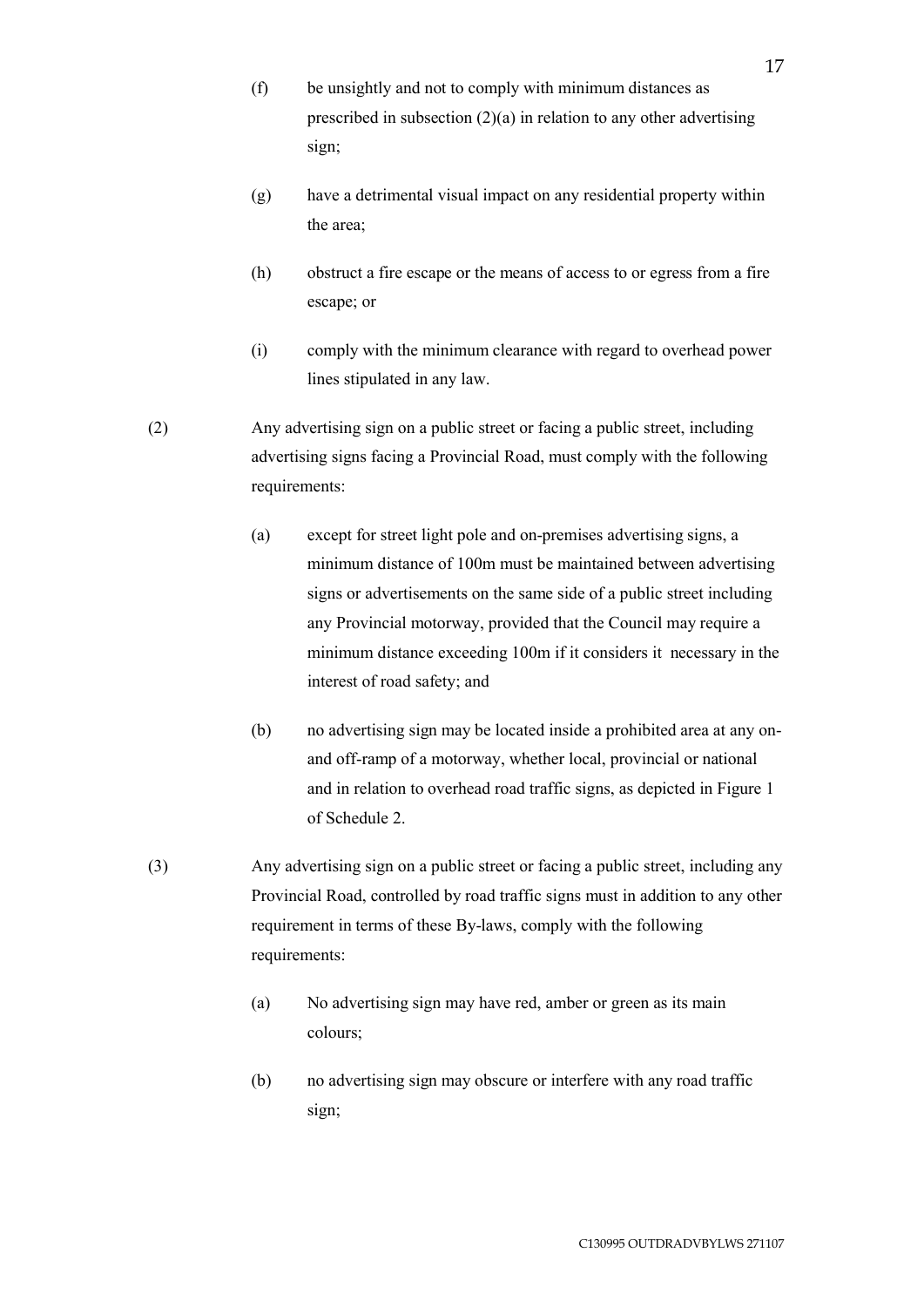- (f) be unsightly and not to comply with minimum distances as prescribed in subsection  $(2)(a)$  in relation to any other advertising sign;
- (g) have a detrimental visual impact on any residential property within the area;
- (h) obstruct a fire escape or the means of access to or egress from a fire escape; or
- (i) comply with the minimum clearance with regard to overhead power lines stipulated in any law.
- (2) Any advertising sign on a public street or facing a public street, including advertising signs facing a Provincial Road, must comply with the following requirements:
	- (a) except for street light pole and on-premises advertising signs, a minimum distance of 100m must be maintained between advertising signs or advertisements on the same side of a public street including any Provincial motorway, provided that the Council may require a minimum distance exceeding 100m if it considers it necessary in the interest of road safety; and
	- (b) no advertising sign may be located inside a prohibited area at any onand off-ramp of a motorway, whether local, provincial or national and in relation to overhead road traffic signs, as depicted in Figure 1 of Schedule 2.
- (3) Any advertising sign on a public street or facing a public street, including any Provincial Road, controlled by road traffic signs must in addition to any other requirement in terms of these By-laws, comply with the following requirements:
	- (a) No advertising sign may have red, amber or green as its main colours;
	- (b) no advertising sign may obscure or interfere with any road traffic sign;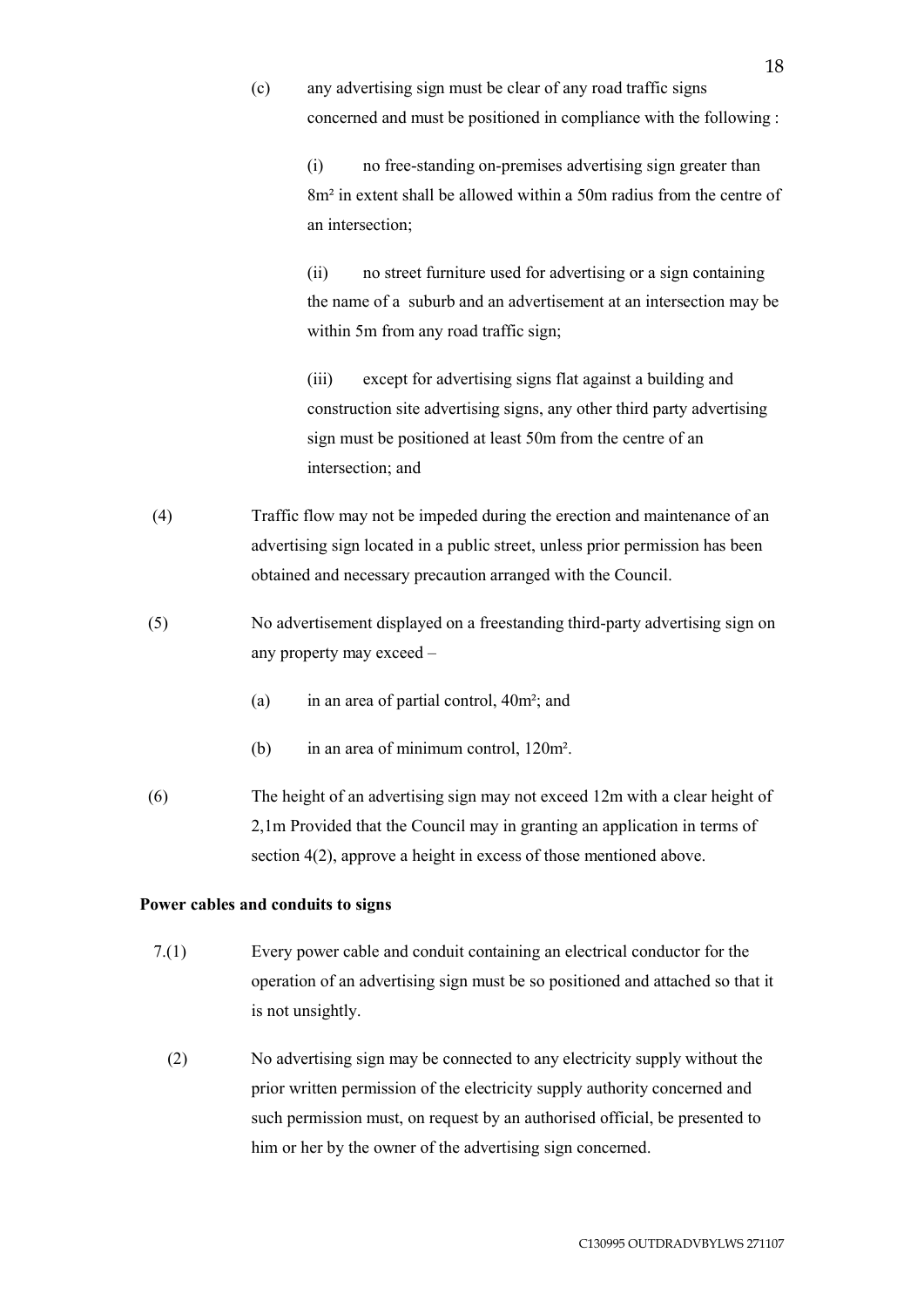(c) any advertising sign must be clear of any road traffic signs concerned and must be positioned in compliance with the following :

> (i) no free-standing on-premises advertising sign greater than 8m² in extent shall be allowed within a 50m radius from the centre of an intersection;

> (ii) no street furniture used for advertising or a sign containing the name of a suburb and an advertisement at an intersection may be within 5m from any road traffic sign;

(iii) except for advertising signs flat against a building and construction site advertising signs, any other third party advertising sign must be positioned at least 50m from the centre of an intersection; and

- (4) Traffic flow may not be impeded during the erection and maintenance of an advertising sign located in a public street, unless prior permission has been obtained and necessary precaution arranged with the Council.
- (5) No advertisement displayed on a freestanding third-party advertising sign on any property may exceed –
	- (a) in an area of partial control, 40m²; and
	- (b) in an area of minimum control, 120m².
- (6) The height of an advertising sign may not exceed 12m with a clear height of 2,1m Provided that the Council may in granting an application in terms of section 4(2), approve a height in excess of those mentioned above.

# **Power cables and conduits to signs**

- 7.(1) Every power cable and conduit containing an electrical conductor for the operation of an advertising sign must be so positioned and attached so that it is not unsightly.
	- (2) No advertising sign may be connected to any electricity supply without the prior written permission of the electricity supply authority concerned and such permission must, on request by an authorised official, be presented to him or her by the owner of the advertising sign concerned.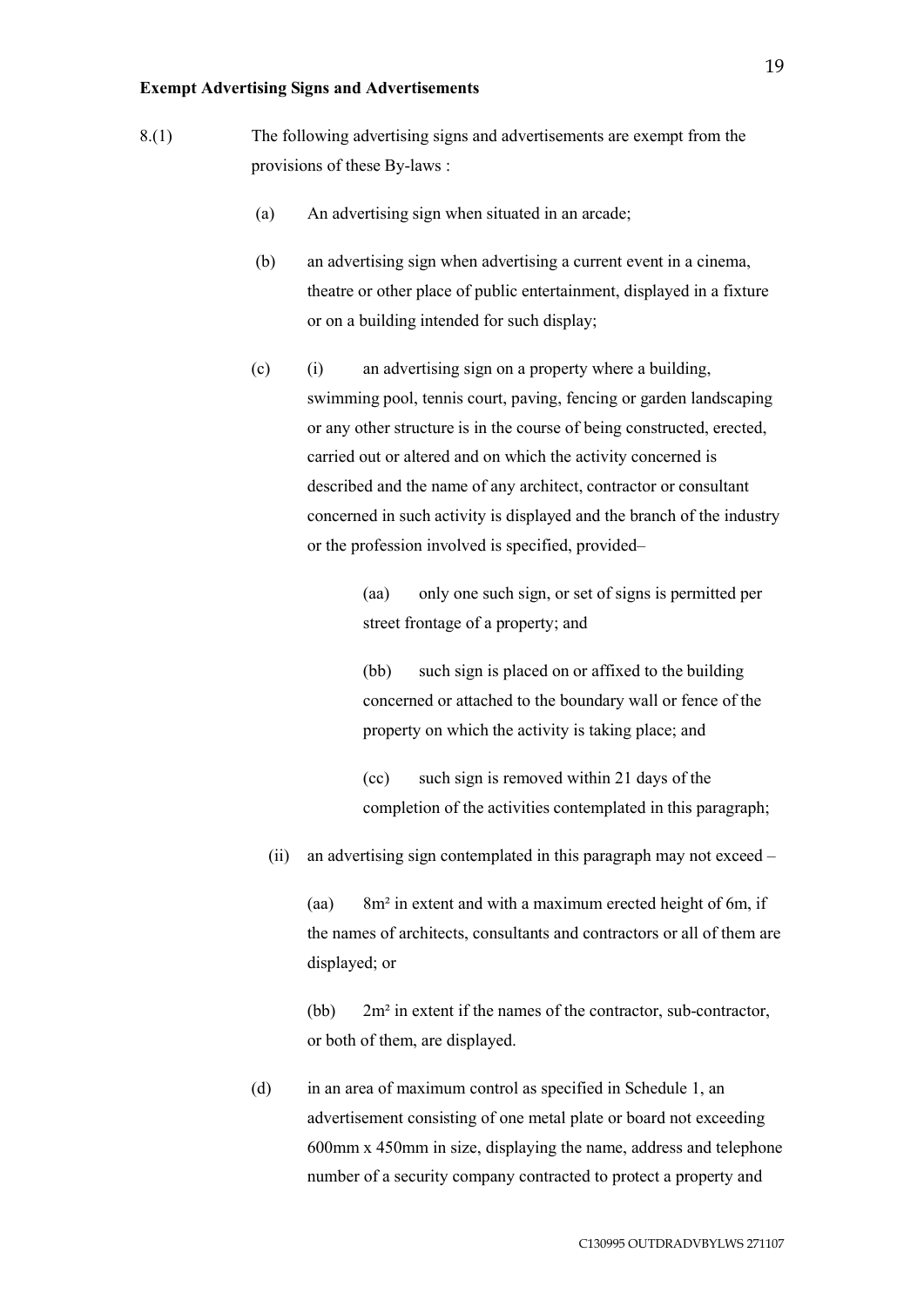#### **Exempt Advertising Signs and Advertisements**

- 8.(1) The following advertising signs and advertisements are exempt from the provisions of these By-laws :
	- (a) An advertising sign when situated in an arcade;
	- (b) an advertising sign when advertising a current event in a cinema, theatre or other place of public entertainment, displayed in a fixture or on a building intended for such display;
	- (c) (i) an advertising sign on a property where a building, swimming pool, tennis court, paving, fencing or garden landscaping or any other structure is in the course of being constructed, erected, carried out or altered and on which the activity concerned is described and the name of any architect, contractor or consultant concerned in such activity is displayed and the branch of the industry or the profession involved is specified, provided–

(aa) only one such sign, or set of signs is permitted per street frontage of a property; and

(bb) such sign is placed on or affixed to the building concerned or attached to the boundary wall or fence of the property on which the activity is taking place; and

(cc) such sign is removed within 21 days of the completion of the activities contemplated in this paragraph;

(ii) an advertising sign contemplated in this paragraph may not exceed –

(aa) 8m² in extent and with a maximum erected height of 6m, if the names of architects, consultants and contractors or all of them are displayed; or

(bb) 2m² in extent if the names of the contractor, sub-contractor, or both of them, are displayed.

(d) in an area of maximum control as specified in Schedule 1, an advertisement consisting of one metal plate or board not exceeding 600mm x 450mm in size, displaying the name, address and telephone number of a security company contracted to protect a property and

19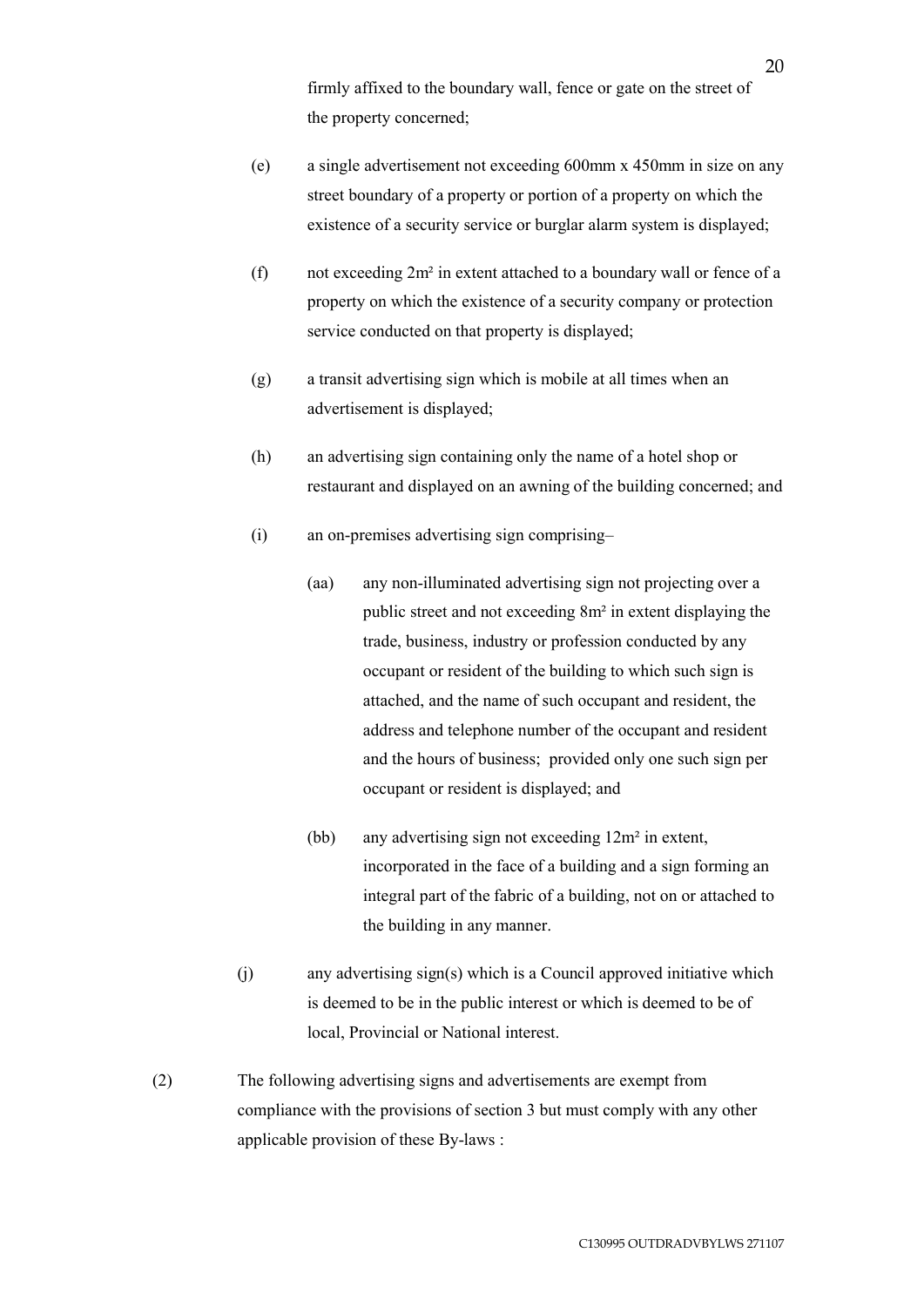firmly affixed to the boundary wall, fence or gate on the street of the property concerned;

- (e) a single advertisement not exceeding 600mm x 450mm in size on any street boundary of a property or portion of a property on which the existence of a security service or burglar alarm system is displayed;
- (f) not exceeding 2m² in extent attached to a boundary wall or fence of a property on which the existence of a security company or protection service conducted on that property is displayed;
- (g) a transit advertising sign which is mobile at all times when an advertisement is displayed;
- (h) an advertising sign containing only the name of a hotel shop or restaurant and displayed on an awning of the building concerned; and
- (i) an on-premises advertising sign comprising–
	- (aa) any non-illuminated advertising sign not projecting over a public street and not exceeding 8m² in extent displaying the trade, business, industry or profession conducted by any occupant or resident of the building to which such sign is attached, and the name of such occupant and resident, the address and telephone number of the occupant and resident and the hours of business; provided only one such sign per occupant or resident is displayed; and
	- (bb) any advertising sign not exceeding 12m² in extent, incorporated in the face of a building and a sign forming an integral part of the fabric of a building, not on or attached to the building in any manner.
- (j) any advertising sign(s) which is a Council approved initiative which is deemed to be in the public interest or which is deemed to be of local, Provincial or National interest.
- (2) The following advertising signs and advertisements are exempt from compliance with the provisions of section 3 but must comply with any other applicable provision of these By-laws :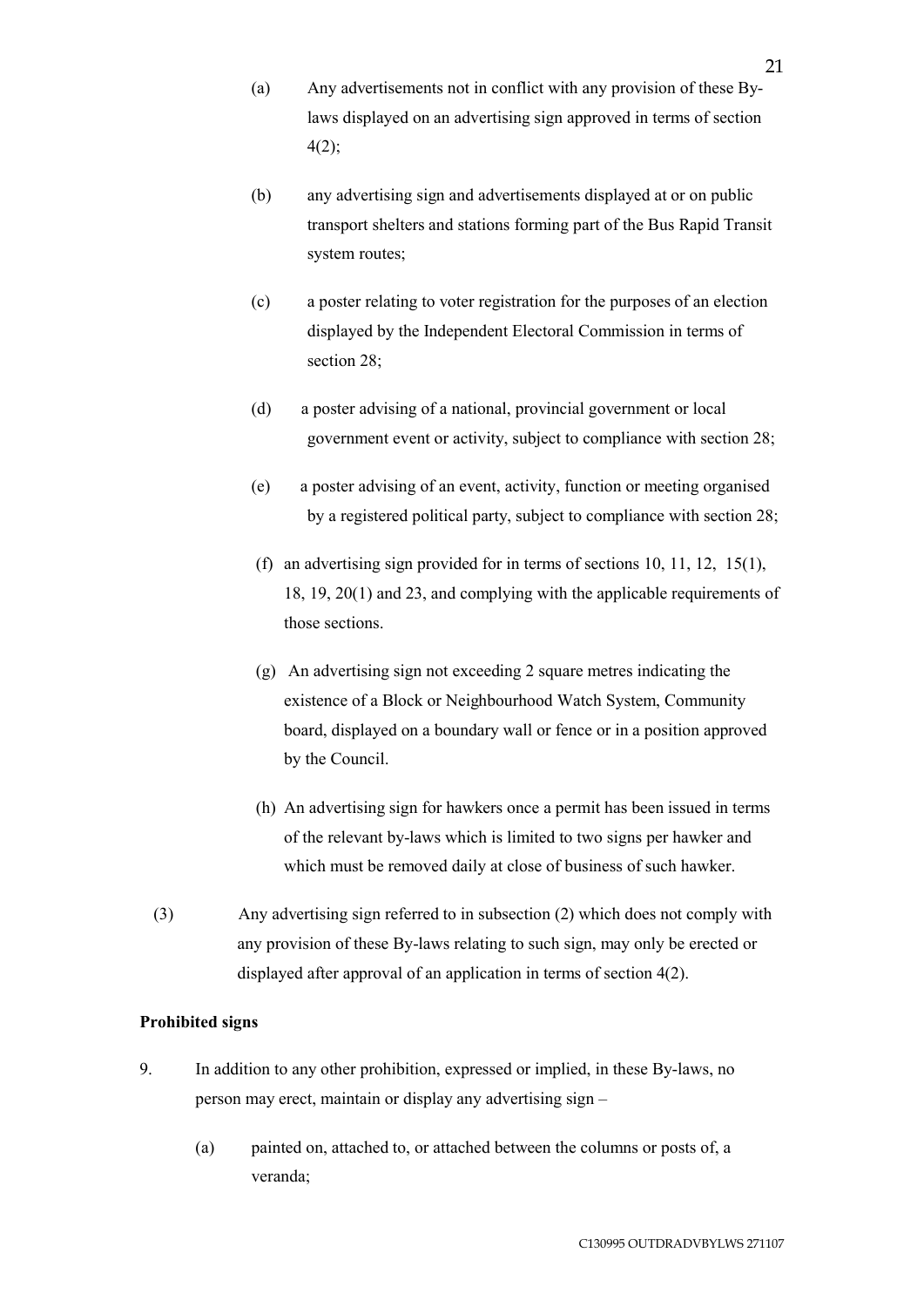- (a) Any advertisements not in conflict with any provision of these Bylaws displayed on an advertising sign approved in terms of section 4(2);
- (b) any advertising sign and advertisements displayed at or on public transport shelters and stations forming part of the Bus Rapid Transit system routes;
- (c) a poster relating to voter registration for the purposes of an election displayed by the Independent Electoral Commission in terms of section 28;
- (d) a poster advising of a national, provincial government or local government event or activity, subject to compliance with section 28;
- (e) a poster advising of an event, activity, function or meeting organised by a registered political party, subject to compliance with section 28;
- (f) an advertising sign provided for in terms of sections 10, 11, 12, 15(1), 18, 19, 20(1) and 23, and complying with the applicable requirements of those sections.
- (g) An advertising sign not exceeding 2 square metres indicating the existence of a Block or Neighbourhood Watch System, Community board, displayed on a boundary wall or fence or in a position approved by the Council.
- (h) An advertising sign for hawkers once a permit has been issued in terms of the relevant by-laws which is limited to two signs per hawker and which must be removed daily at close of business of such hawker.
- (3) Any advertising sign referred to in subsection (2) which does not comply with any provision of these By-laws relating to such sign, may only be erected or displayed after approval of an application in terms of section 4(2).

# **Prohibited signs**

- 9. In addition to any other prohibition, expressed or implied, in these By-laws, no person may erect, maintain or display any advertising sign –
	- (a) painted on, attached to, or attached between the columns or posts of, a veranda;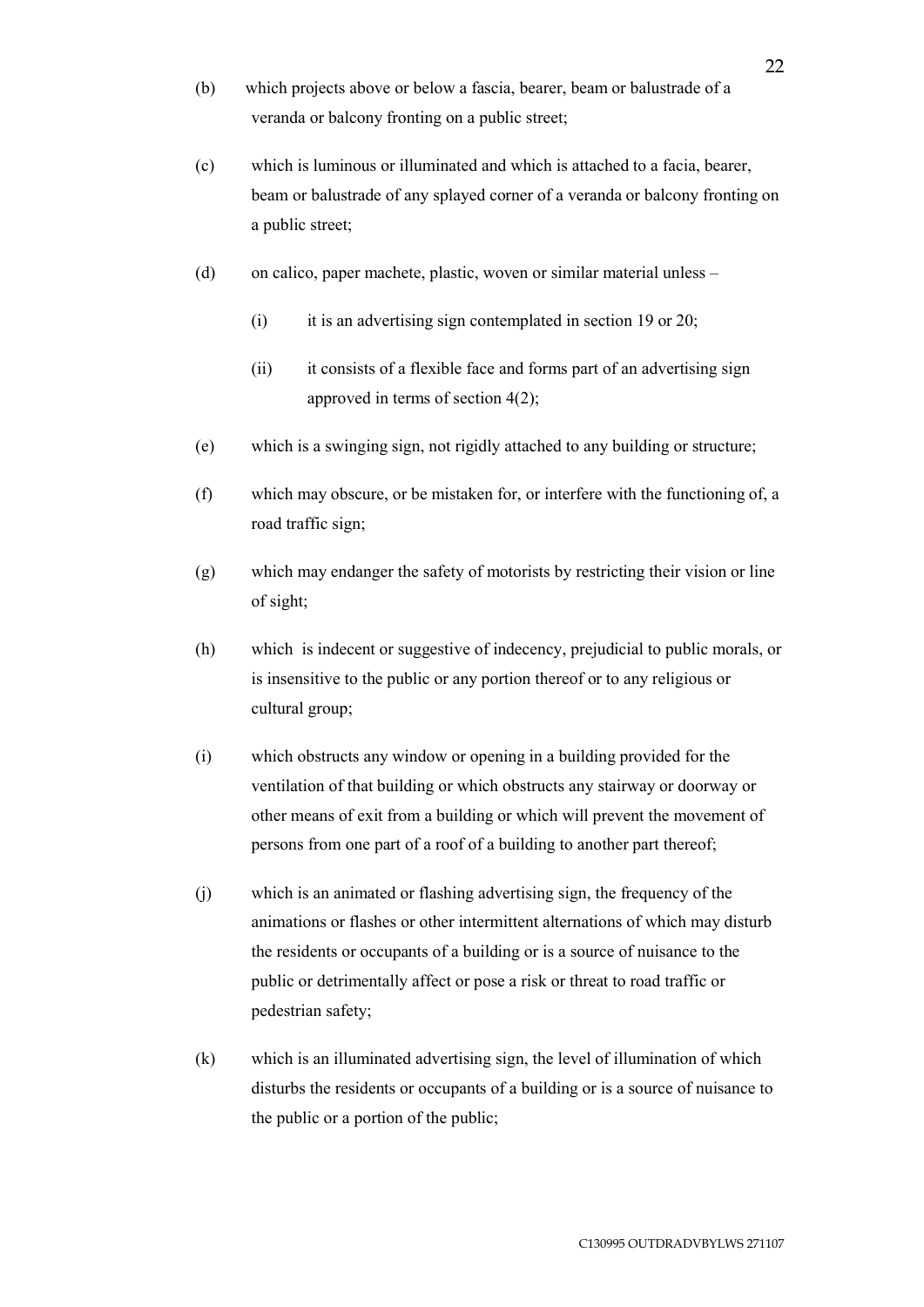- (b) which projects above or below a fascia, bearer, beam or balustrade of a veranda or balcony fronting on a public street;
- (c) which is luminous or illuminated and which is attached to a facia, bearer, beam or balustrade of any splayed corner of a veranda or balcony fronting on a public street;
- (d) on calico, paper machete, plastic, woven or similar material unless
	- (i) it is an advertising sign contemplated in section 19 or 20;
	- (ii) it consists of a flexible face and forms part of an advertising sign approved in terms of section 4(2);
- (e) which is a swinging sign, not rigidly attached to any building or structure;
- (f) which may obscure, or be mistaken for, or interfere with the functioning of, a road traffic sign;
- (g) which may endanger the safety of motorists by restricting their vision or line of sight;
- (h) which is indecent or suggestive of indecency, prejudicial to public morals, or is insensitive to the public or any portion thereof or to any religious or cultural group;
- (i) which obstructs any window or opening in a building provided for the ventilation of that building or which obstructs any stairway or doorway or other means of exit from a building or which will prevent the movement of persons from one part of a roof of a building to another part thereof;
- (j) which is an animated or flashing advertising sign, the frequency of the animations or flashes or other intermittent alternations of which may disturb the residents or occupants of a building or is a source of nuisance to the public or detrimentally affect or pose a risk or threat to road traffic or pedestrian safety;
- (k) which is an illuminated advertising sign, the level of illumination of which disturbs the residents or occupants of a building or is a source of nuisance to the public or a portion of the public;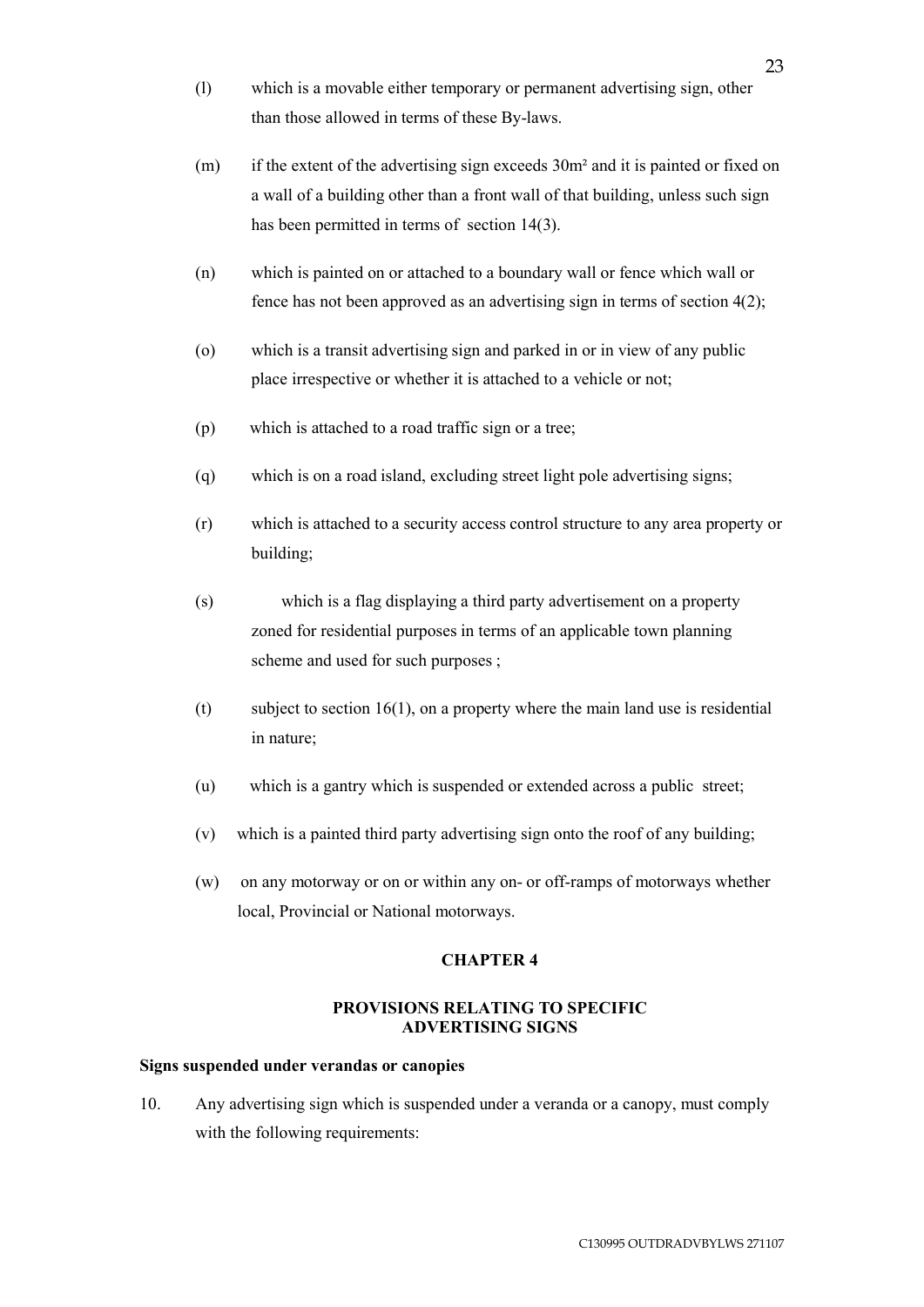- (l) which is a movable either temporary or permanent advertising sign, other than those allowed in terms of these By-laws.
- (m) if the extent of the advertising sign exceeds 30m² and it is painted or fixed on a wall of a building other than a front wall of that building, unless such sign has been permitted in terms of section 14(3).
- (n) which is painted on or attached to a boundary wall or fence which wall or fence has not been approved as an advertising sign in terms of section 4(2);
- (o) which is a transit advertising sign and parked in or in view of any public place irrespective or whether it is attached to a vehicle or not;
- (p) which is attached to a road traffic sign or a tree;
- (q) which is on a road island, excluding street light pole advertising signs;
- (r) which is attached to a security access control structure to any area property or building;
- (s) which is a flag displaying a third party advertisement on a property zoned for residential purposes in terms of an applicable town planning scheme and used for such purposes ;
- (t) subject to section 16(1), on a property where the main land use is residential in nature;
- (u) which is a gantry which is suspended or extended across a public street;
- (v) which is a painted third party advertising sign onto the roof of any building;
- (w) on any motorway or on or within any on- or off-ramps of motorways whether local, Provincial or National motorways.

# **CHAPTER 4**

# **PROVISIONS RELATING TO SPECIFIC ADVERTISING SIGNS**

### **Signs suspended under verandas or canopies**

10. Any advertising sign which is suspended under a veranda or a canopy, must comply with the following requirements: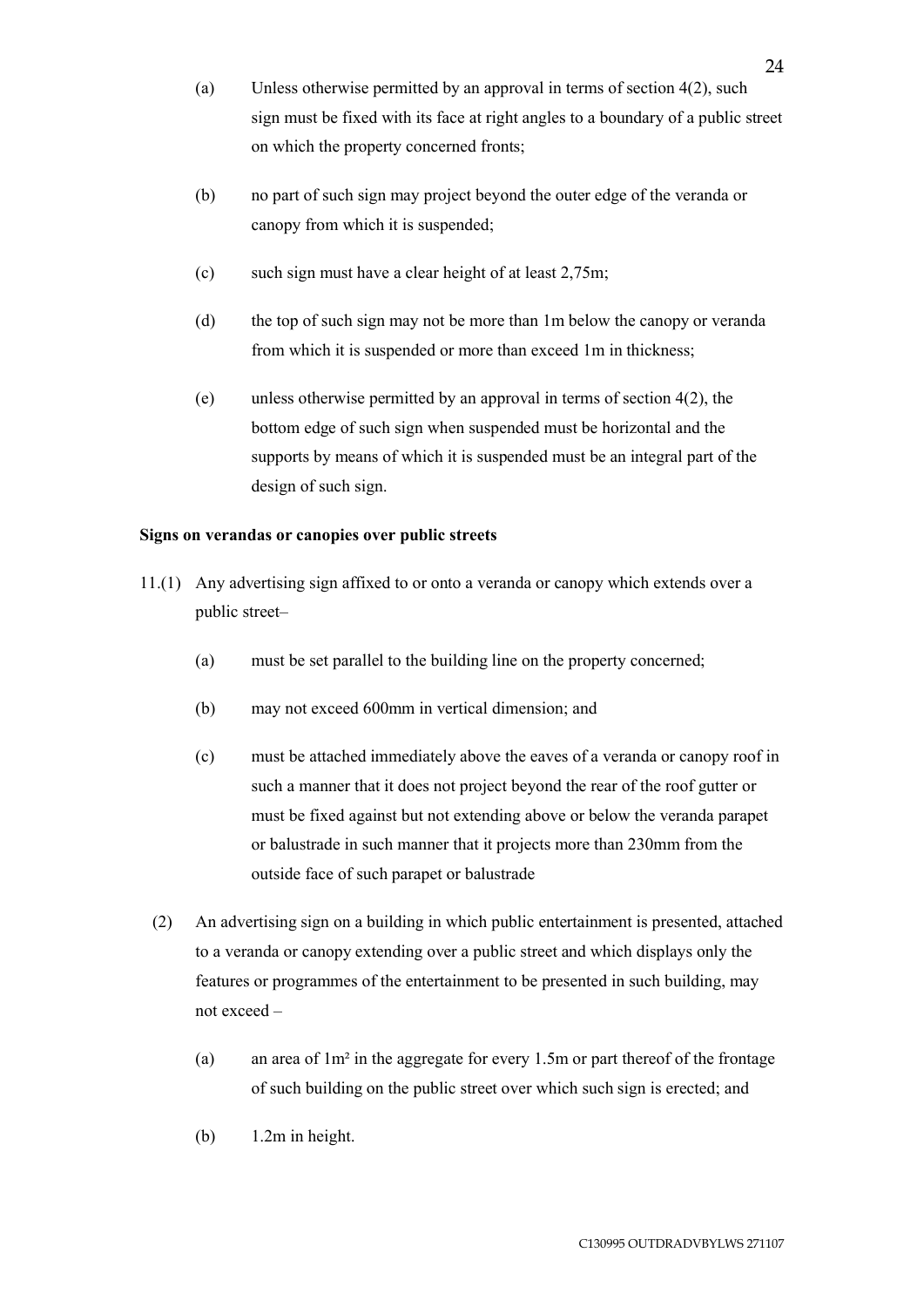- (a) Unless otherwise permitted by an approval in terms of section 4(2), such sign must be fixed with its face at right angles to a boundary of a public street on which the property concerned fronts;
- (b) no part of such sign may project beyond the outer edge of the veranda or canopy from which it is suspended;
- (c) such sign must have a clear height of at least 2,75m;
- (d) the top of such sign may not be more than 1m below the canopy or veranda from which it is suspended or more than exceed 1m in thickness;
- (e) unless otherwise permitted by an approval in terms of section 4(2), the bottom edge of such sign when suspended must be horizontal and the supports by means of which it is suspended must be an integral part of the design of such sign.

# **Signs on verandas or canopies over public streets**

- 11.(1) Any advertising sign affixed to or onto a veranda or canopy which extends over a public street–
	- (a) must be set parallel to the building line on the property concerned;
	- (b) may not exceed 600mm in vertical dimension; and
	- (c) must be attached immediately above the eaves of a veranda or canopy roof in such a manner that it does not project beyond the rear of the roof gutter or must be fixed against but not extending above or below the veranda parapet or balustrade in such manner that it projects more than 230mm from the outside face of such parapet or balustrade
	- (2) An advertising sign on a building in which public entertainment is presented, attached to a veranda or canopy extending over a public street and which displays only the features or programmes of the entertainment to be presented in such building, may not exceed –
		- (a) an area of 1m² in the aggregate for every 1.5m or part thereof of the frontage of such building on the public street over which such sign is erected; and
		- (b) 1.2m in height.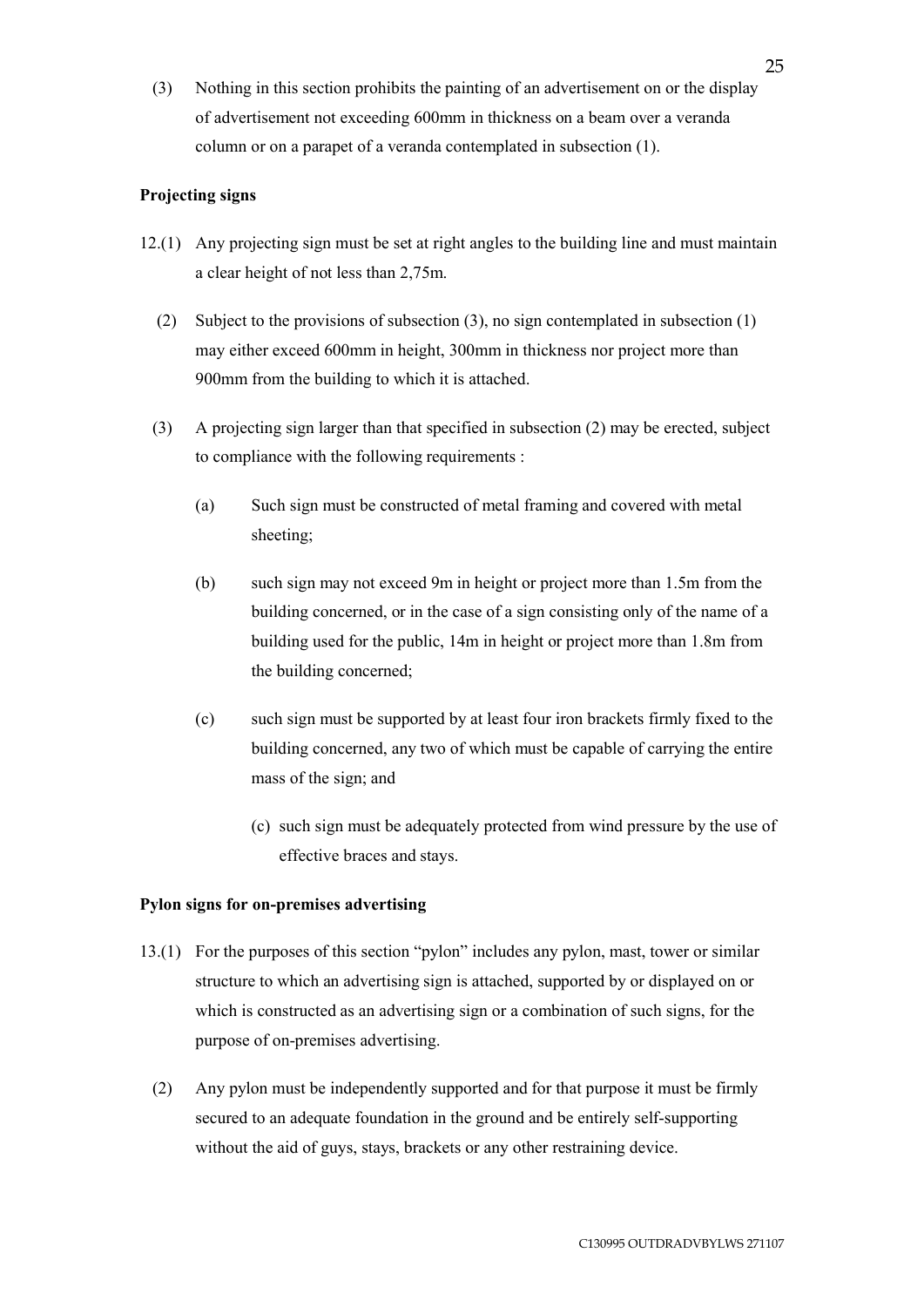(3) Nothing in this section prohibits the painting of an advertisement on or the display of advertisement not exceeding 600mm in thickness on a beam over a veranda column or on a parapet of a veranda contemplated in subsection (1).

# **Projecting signs**

- 12.(1) Any projecting sign must be set at right angles to the building line and must maintain a clear height of not less than 2,75m.
	- (2) Subject to the provisions of subsection (3), no sign contemplated in subsection (1) may either exceed 600mm in height, 300mm in thickness nor project more than 900mm from the building to which it is attached.
	- (3) A projecting sign larger than that specified in subsection (2) may be erected, subject to compliance with the following requirements :
		- (a) Such sign must be constructed of metal framing and covered with metal sheeting;
		- (b) such sign may not exceed 9m in height or project more than 1.5m from the building concerned, or in the case of a sign consisting only of the name of a building used for the public, 14m in height or project more than 1.8m from the building concerned;
		- (c) such sign must be supported by at least four iron brackets firmly fixed to the building concerned, any two of which must be capable of carrying the entire mass of the sign; and
			- (c) such sign must be adequately protected from wind pressure by the use of effective braces and stays.

# **Pylon signs for on-premises advertising**

- 13.(1) For the purposes of this section "pylon" includes any pylon, mast, tower or similar structure to which an advertising sign is attached, supported by or displayed on or which is constructed as an advertising sign or a combination of such signs, for the purpose of on-premises advertising.
- (2) Any pylon must be independently supported and for that purpose it must be firmly secured to an adequate foundation in the ground and be entirely self-supporting without the aid of guys, stays, brackets or any other restraining device.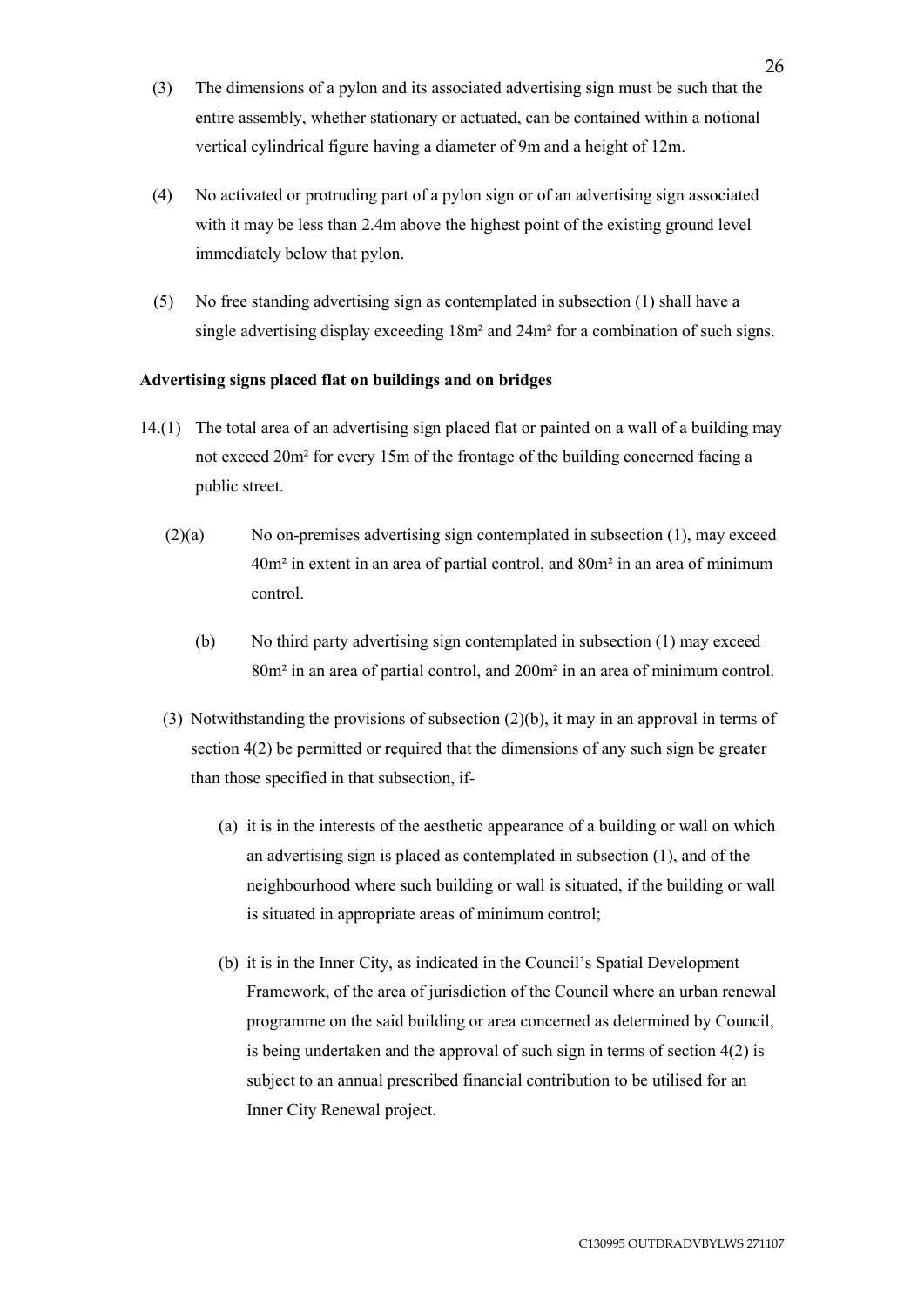- (3) The dimensions of a pylon and its associated advertising sign must be such that the entire assembly, whether stationary or actuated, can be contained within a notional vertical cylindrical figure having a diameter of 9m and a height of 12m.
- (4) No activated or protruding part of a pylon sign or of an advertising sign associated with it may be less than 2.4m above the highest point of the existing ground level immediately below that pylon.
- (5) No free standing advertising sign as contemplated in subsection (1) shall have a single advertising display exceeding 18m² and 24m² for a combination of such signs.

# **Advertising signs placed flat on buildings and on bridges**

- 14.(1) The total area of an advertising sign placed flat or painted on a wall of a building may not exceed 20m² for every 15m of the frontage of the building concerned facing a public street.
	- (2)(a) No on-premises advertising sign contemplated in subsection (1), may exceed 40m² in extent in an area of partial control, and 80m² in an area of minimum control.
		- (b) No third party advertising sign contemplated in subsection (1) may exceed 80m² in an area of partial control, and 200m² in an area of minimum control.
	- (3) Notwithstanding the provisions of subsection (2)(b), it may in an approval in terms of section 4(2) be permitted or required that the dimensions of any such sign be greater than those specified in that subsection, if-
		- (a) it is in the interests of the aesthetic appearance of a building or wall on which an advertising sign is placed as contemplated in subsection (1), and of the neighbourhood where such building or wall is situated, if the building or wall is situated in appropriate areas of minimum control;
		- (b) it is in the Inner City, as indicated in the Council's Spatial Development Framework, of the area of jurisdiction of the Council where an urban renewal programme on the said building or area concerned as determined by Council, is being undertaken and the approval of such sign in terms of section 4(2) is subject to an annual prescribed financial contribution to be utilised for an Inner City Renewal project.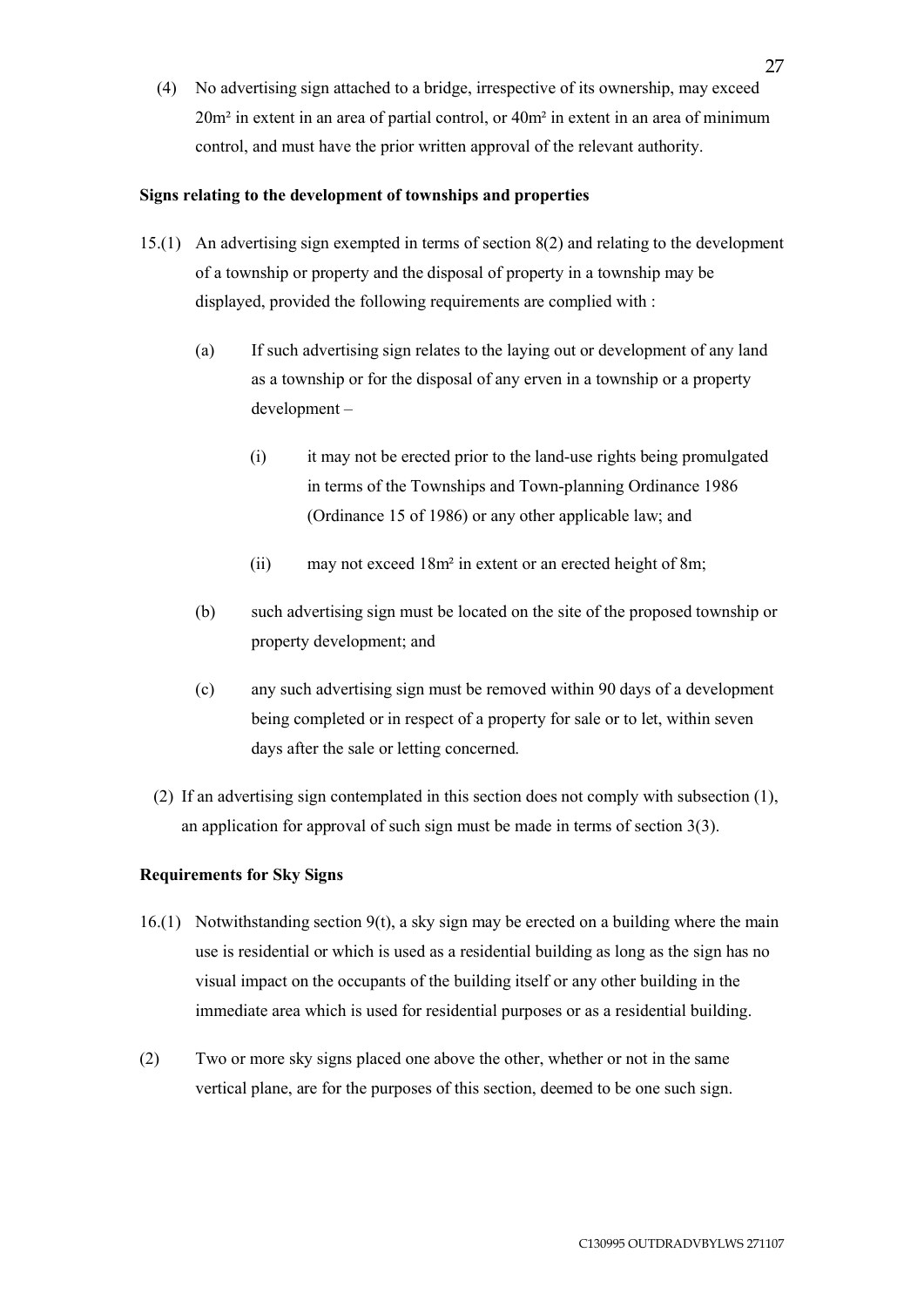(4) No advertising sign attached to a bridge, irrespective of its ownership, may exceed 20m² in extent in an area of partial control, or 40m² in extent in an area of minimum control, and must have the prior written approval of the relevant authority.

# **Signs relating to the development of townships and properties**

- 15.(1) An advertising sign exempted in terms of section 8(2) and relating to the development of a township or property and the disposal of property in a township may be displayed, provided the following requirements are complied with :
	- (a) If such advertising sign relates to the laying out or development of any land as a township or for the disposal of any erven in a township or a property development –
		- (i) it may not be erected prior to the land-use rights being promulgated in terms of the Townships and Town-planning Ordinance 1986 (Ordinance 15 of 1986) or any other applicable law; and
		- (ii) may not exceed 18m² in extent or an erected height of 8m;
	- (b) such advertising sign must be located on the site of the proposed township or property development; and
	- (c) any such advertising sign must be removed within 90 days of a development being completed or in respect of a property for sale or to let, within seven days after the sale or letting concerned.
	- (2) If an advertising sign contemplated in this section does not comply with subsection (1), an application for approval of such sign must be made in terms of section 3(3).

# **Requirements for Sky Signs**

- 16.(1) Notwithstanding section 9(t), a sky sign may be erected on a building where the main use is residential or which is used as a residential building as long as the sign has no visual impact on the occupants of the building itself or any other building in the immediate area which is used for residential purposes or as a residential building.
- (2) Two or more sky signs placed one above the other, whether or not in the same vertical plane, are for the purposes of this section, deemed to be one such sign.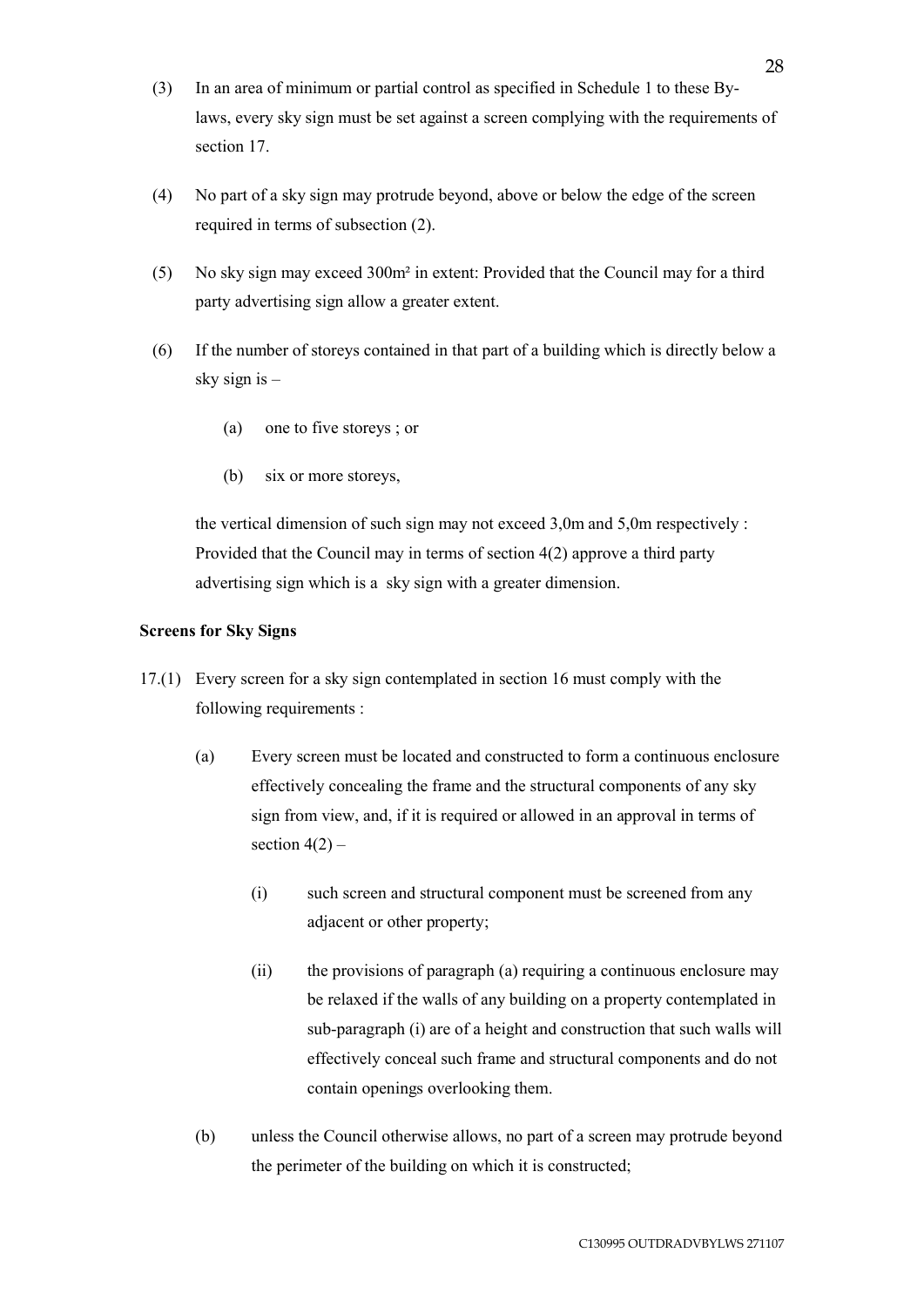- (3) In an area of minimum or partial control as specified in Schedule 1 to these Bylaws, every sky sign must be set against a screen complying with the requirements of section 17.
- (4) No part of a sky sign may protrude beyond, above or below the edge of the screen required in terms of subsection (2).
- (5) No sky sign may exceed 300m² in extent: Provided that the Council may for a third party advertising sign allow a greater extent.
- (6) If the number of storeys contained in that part of a building which is directly below a sky sign is –
	- (a) one to five storeys ; or
	- (b) six or more storeys,

the vertical dimension of such sign may not exceed 3,0m and 5,0m respectively : Provided that the Council may in terms of section 4(2) approve a third party advertising sign which is a sky sign with a greater dimension.

# **Screens for Sky Signs**

- 17.(1) Every screen for a sky sign contemplated in section 16 must comply with the following requirements :
	- (a) Every screen must be located and constructed to form a continuous enclosure effectively concealing the frame and the structural components of any sky sign from view, and, if it is required or allowed in an approval in terms of section  $4(2)$  –
		- (i) such screen and structural component must be screened from any adjacent or other property;
		- (ii) the provisions of paragraph (a) requiring a continuous enclosure may be relaxed if the walls of any building on a property contemplated in sub-paragraph (i) are of a height and construction that such walls will effectively conceal such frame and structural components and do not contain openings overlooking them.
	- (b) unless the Council otherwise allows, no part of a screen may protrude beyond the perimeter of the building on which it is constructed;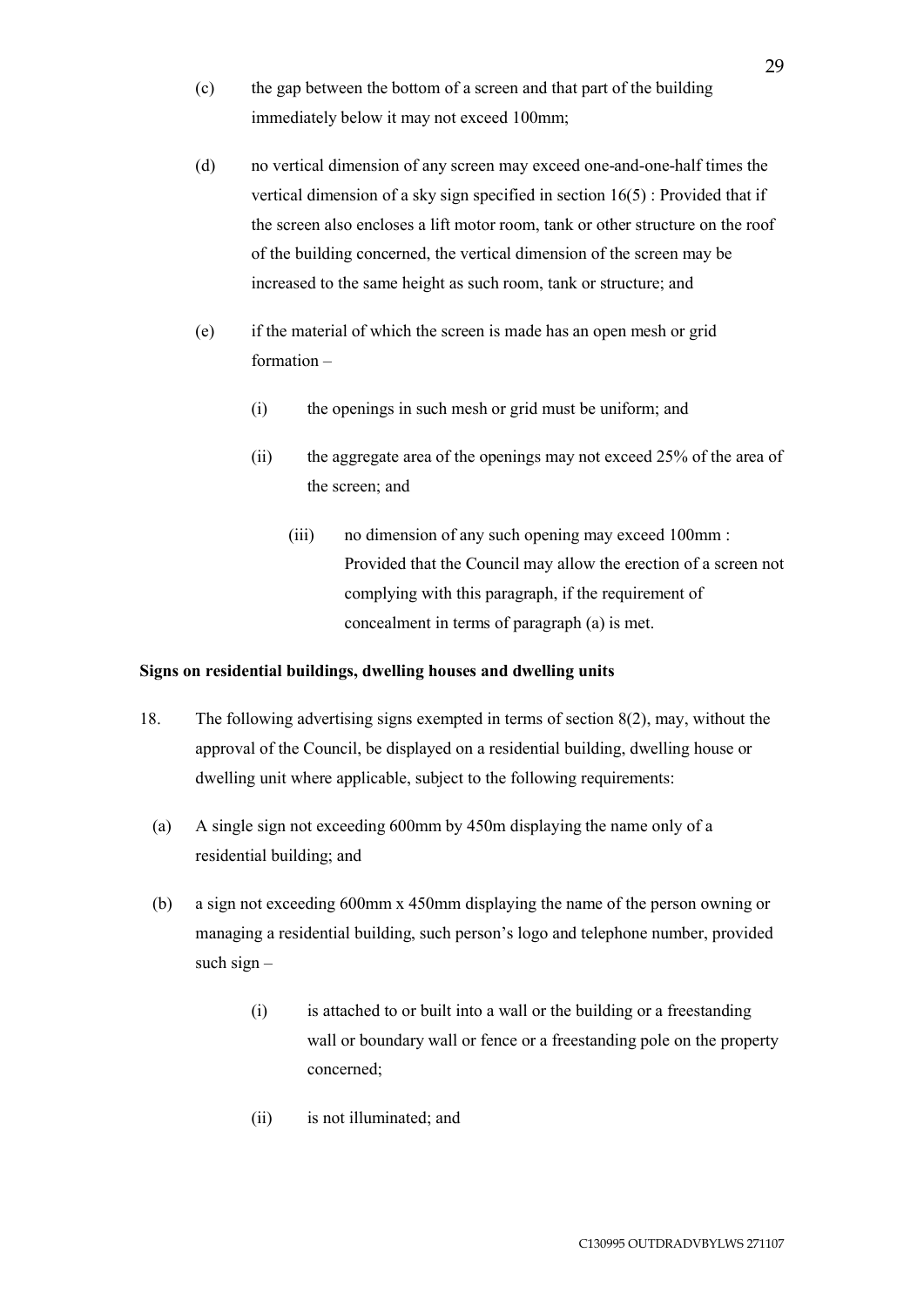- (c) the gap between the bottom of a screen and that part of the building immediately below it may not exceed 100mm;
- (d) no vertical dimension of any screen may exceed one-and-one-half times the vertical dimension of a sky sign specified in section 16(5) : Provided that if the screen also encloses a lift motor room, tank or other structure on the roof of the building concerned, the vertical dimension of the screen may be increased to the same height as such room, tank or structure; and
- (e) if the material of which the screen is made has an open mesh or grid formation –
	- (i) the openings in such mesh or grid must be uniform; and
	- (ii) the aggregate area of the openings may not exceed 25% of the area of the screen; and
		- (iii) no dimension of any such opening may exceed 100mm : Provided that the Council may allow the erection of a screen not complying with this paragraph, if the requirement of concealment in terms of paragraph (a) is met.

# **Signs on residential buildings, dwelling houses and dwelling units**

- 18. The following advertising signs exempted in terms of section 8(2), may, without the approval of the Council, be displayed on a residential building, dwelling house or dwelling unit where applicable, subject to the following requirements:
	- (a) A single sign not exceeding 600mm by 450m displaying the name only of a residential building; and
	- (b) a sign not exceeding 600mm x 450mm displaying the name of the person owning or managing a residential building, such person's logo and telephone number, provided such sign  $-$ 
		- (i) is attached to or built into a wall or the building or a freestanding wall or boundary wall or fence or a freestanding pole on the property concerned;
		- (ii) is not illuminated; and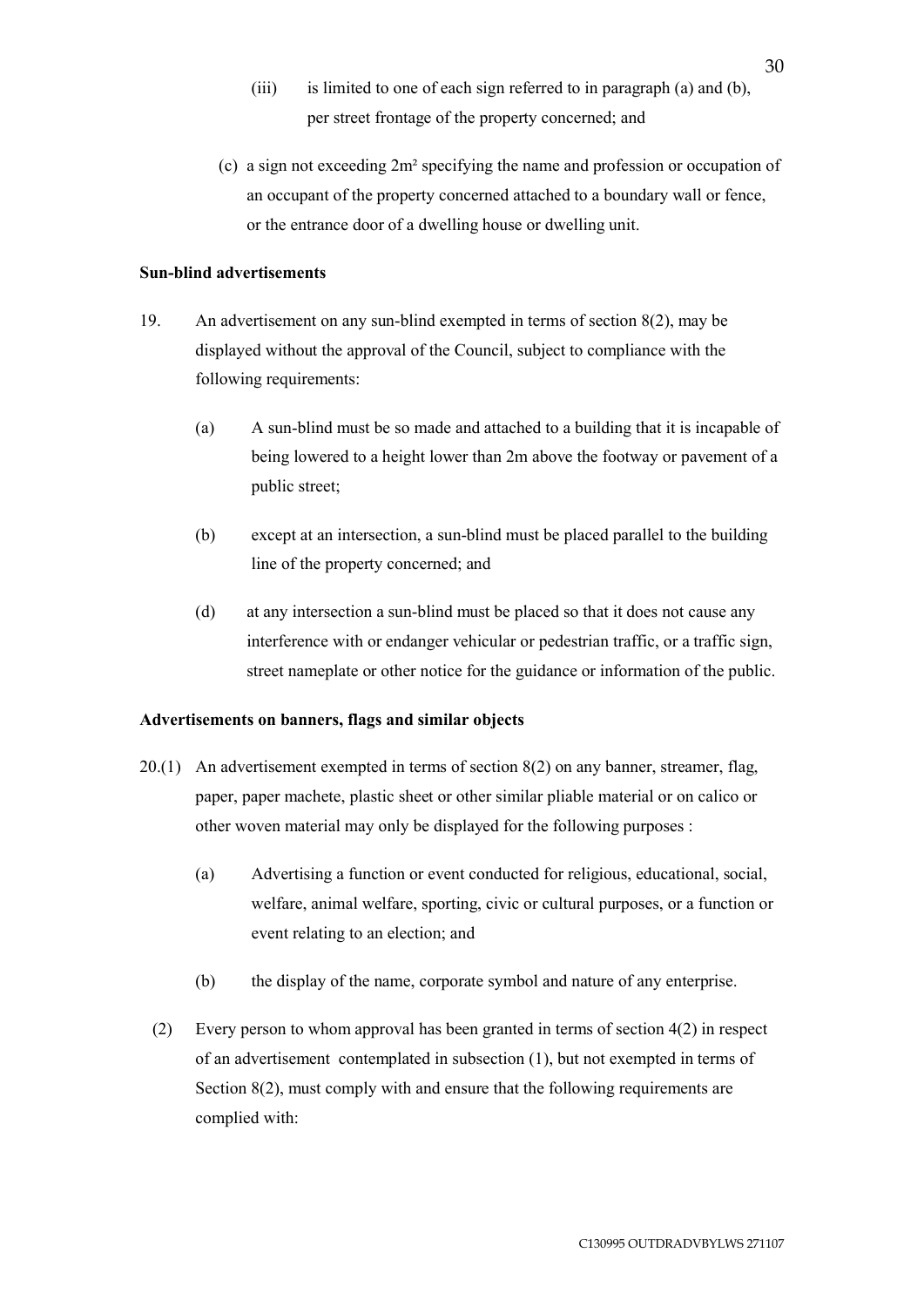- (iii) is limited to one of each sign referred to in paragraph (a) and (b), per street frontage of the property concerned; and
- (c) a sign not exceeding 2m² specifying the name and profession or occupation of an occupant of the property concerned attached to a boundary wall or fence, or the entrance door of a dwelling house or dwelling unit.

## **Sun-blind advertisements**

- 19. An advertisement on any sun-blind exempted in terms of section 8(2), may be displayed without the approval of the Council, subject to compliance with the following requirements:
	- (a) A sun-blind must be so made and attached to a building that it is incapable of being lowered to a height lower than 2m above the footway or pavement of a public street;
	- (b) except at an intersection, a sun-blind must be placed parallel to the building line of the property concerned; and
	- (d) at any intersection a sun-blind must be placed so that it does not cause any interference with or endanger vehicular or pedestrian traffic, or a traffic sign, street nameplate or other notice for the guidance or information of the public.

### **Advertisements on banners, flags and similar objects**

- 20.(1) An advertisement exempted in terms of section 8(2) on any banner, streamer, flag, paper, paper machete, plastic sheet or other similar pliable material or on calico or other woven material may only be displayed for the following purposes :
	- (a) Advertising a function or event conducted for religious, educational, social, welfare, animal welfare, sporting, civic or cultural purposes, or a function or event relating to an election; and
	- (b) the display of the name, corporate symbol and nature of any enterprise.
	- (2) Every person to whom approval has been granted in terms of section 4(2) in respect of an advertisement contemplated in subsection (1), but not exempted in terms of Section 8(2), must comply with and ensure that the following requirements are complied with: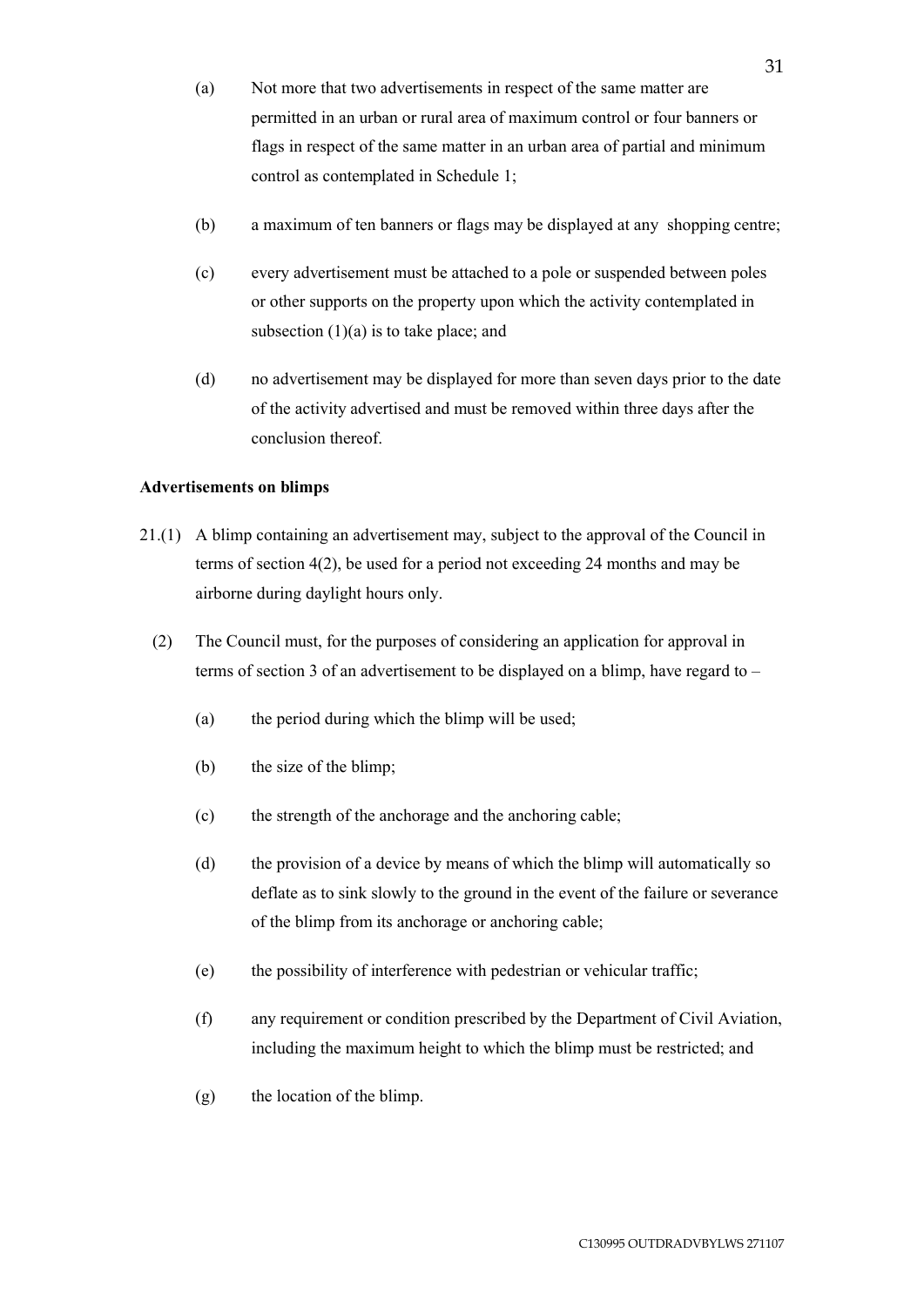- (a) Not more that two advertisements in respect of the same matter are permitted in an urban or rural area of maximum control or four banners or flags in respect of the same matter in an urban area of partial and minimum control as contemplated in Schedule 1;
- (b) a maximum of ten banners or flags may be displayed at any shopping centre;
- (c) every advertisement must be attached to a pole or suspended between poles or other supports on the property upon which the activity contemplated in subsection  $(1)(a)$  is to take place; and
- (d) no advertisement may be displayed for more than seven days prior to the date of the activity advertised and must be removed within three days after the conclusion thereof.

### **Advertisements on blimps**

- 21.(1) A blimp containing an advertisement may, subject to the approval of the Council in terms of section 4(2), be used for a period not exceeding 24 months and may be airborne during daylight hours only.
	- (2) The Council must, for the purposes of considering an application for approval in terms of section 3 of an advertisement to be displayed on a blimp, have regard to –
		- (a) the period during which the blimp will be used;
		- (b) the size of the blimp;
		- (c) the strength of the anchorage and the anchoring cable;
		- (d) the provision of a device by means of which the blimp will automatically so deflate as to sink slowly to the ground in the event of the failure or severance of the blimp from its anchorage or anchoring cable;
		- (e) the possibility of interference with pedestrian or vehicular traffic;
		- (f) any requirement or condition prescribed by the Department of Civil Aviation, including the maximum height to which the blimp must be restricted; and
		- (g) the location of the blimp.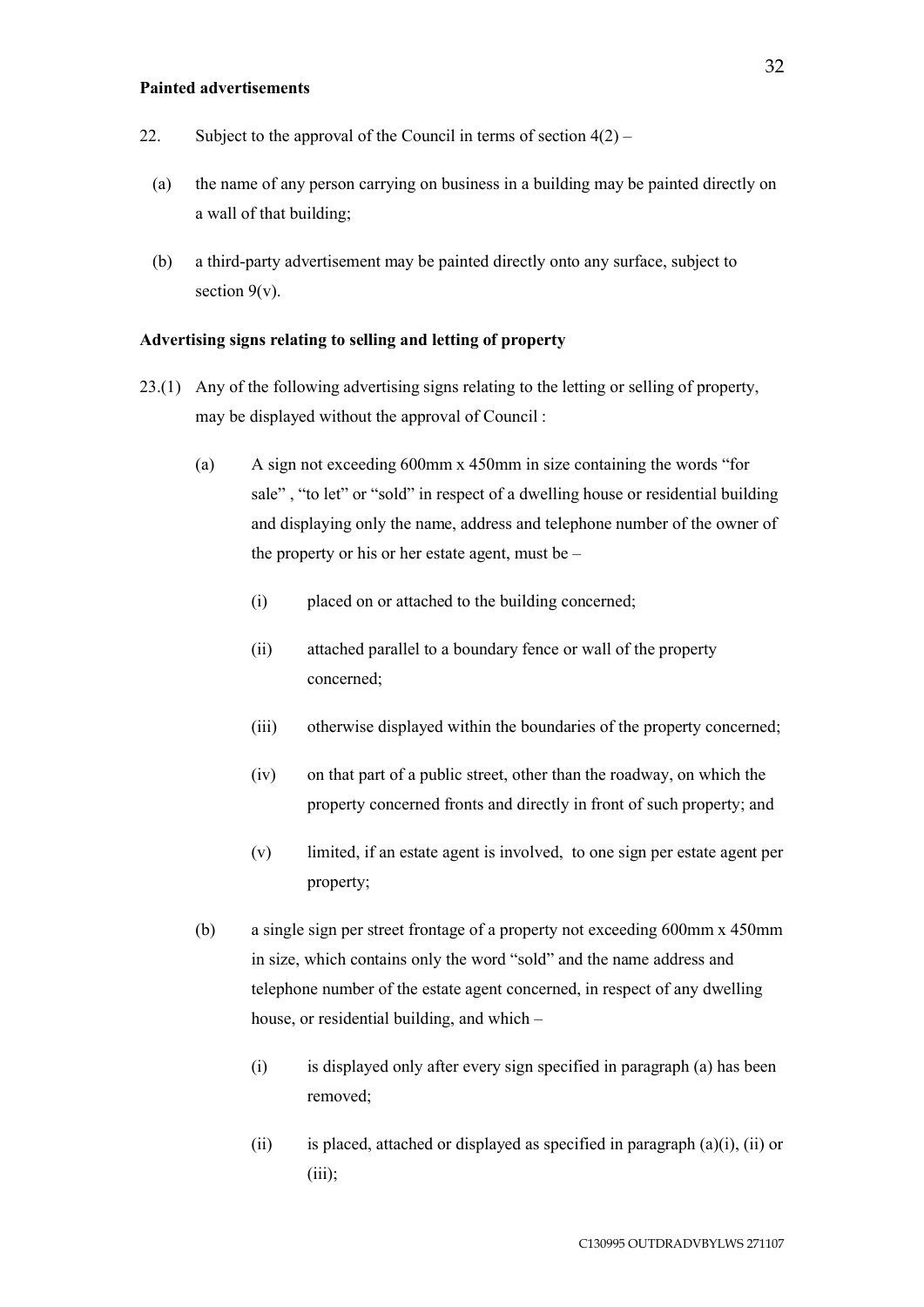#### **Painted advertisements**

- 22. Subject to the approval of the Council in terms of section  $4(2)$ 
	- (a) the name of any person carrying on business in a building may be painted directly on a wall of that building;
	- (b) a third-party advertisement may be painted directly onto any surface, subject to section  $9(v)$ .

## **Advertising signs relating to selling and letting of property**

- 23.(1) Any of the following advertising signs relating to the letting or selling of property, may be displayed without the approval of Council :
	- (a) A sign not exceeding 600mm x 450mm in size containing the words "for sale" , "to let" or "sold" in respect of a dwelling house or residential building and displaying only the name, address and telephone number of the owner of the property or his or her estate agent, must be –
		- (i) placed on or attached to the building concerned;
		- (ii) attached parallel to a boundary fence or wall of the property concerned;
		- (iii) otherwise displayed within the boundaries of the property concerned;
		- (iv) on that part of a public street, other than the roadway, on which the property concerned fronts and directly in front of such property; and
		- (v) limited, if an estate agent is involved, to one sign per estate agent per property;
	- (b) a single sign per street frontage of a property not exceeding 600mm x 450mm in size, which contains only the word "sold" and the name address and telephone number of the estate agent concerned, in respect of any dwelling house, or residential building, and which –
		- (i) is displayed only after every sign specified in paragraph (a) has been removed;
		- (ii) is placed, attached or displayed as specified in paragraph  $(a)(i)$ , (ii) or (iii);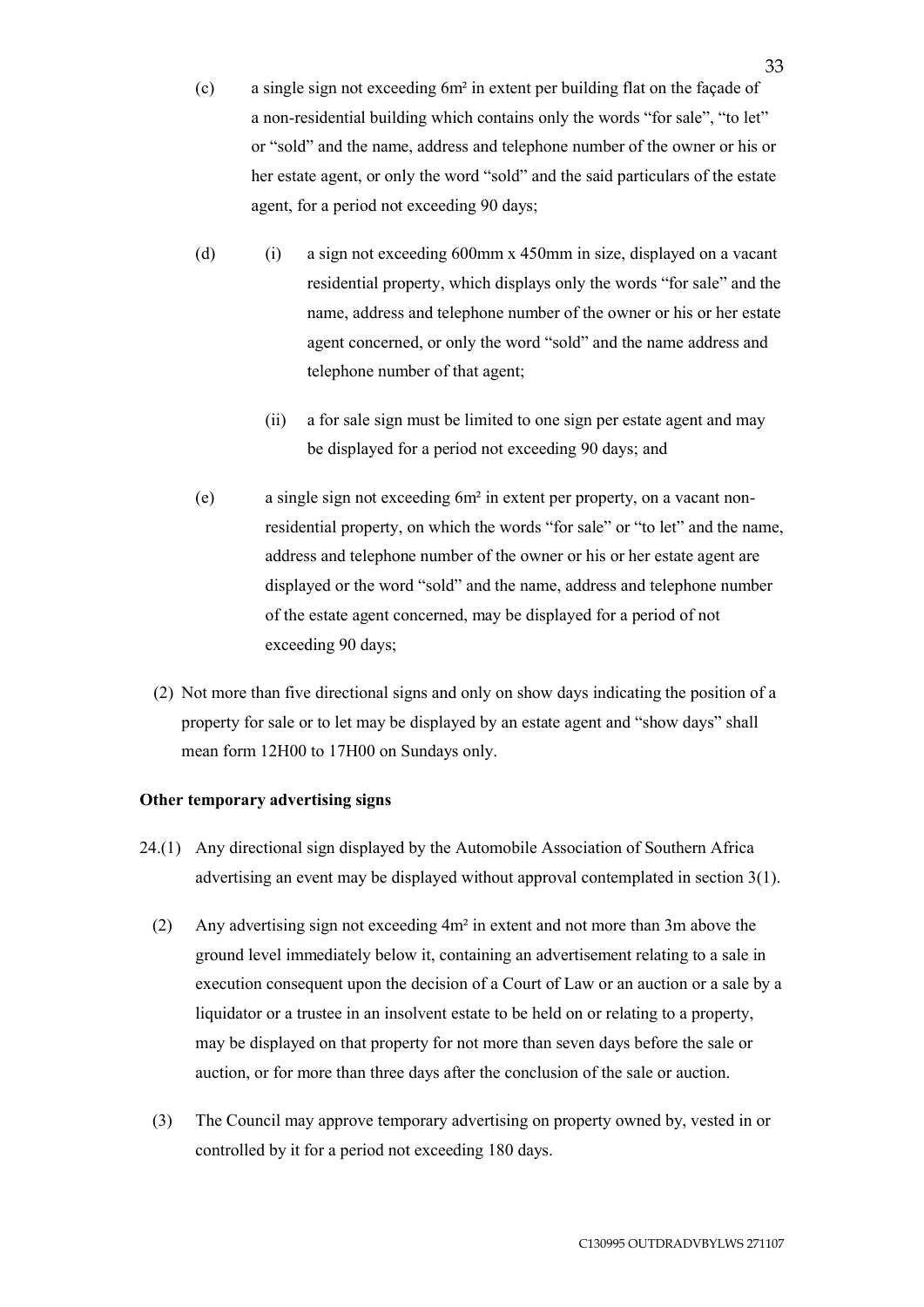- (c) a single sign not exceeding 6m² in extent per building flat on the façade of a non-residential building which contains only the words "for sale", "to let" or "sold" and the name, address and telephone number of the owner or his or her estate agent, or only the word "sold" and the said particulars of the estate agent, for a period not exceeding 90 days;
- (d) (i) a sign not exceeding 600mm x 450mm in size, displayed on a vacant residential property, which displays only the words "for sale" and the name, address and telephone number of the owner or his or her estate agent concerned, or only the word "sold" and the name address and telephone number of that agent;
	- (ii) a for sale sign must be limited to one sign per estate agent and may be displayed for a period not exceeding 90 days; and
- (e) a single sign not exceeding 6m² in extent per property, on a vacant nonresidential property, on which the words "for sale" or "to let" and the name, address and telephone number of the owner or his or her estate agent are displayed or the word "sold" and the name, address and telephone number of the estate agent concerned, may be displayed for a period of not exceeding 90 days;
- (2) Not more than five directional signs and only on show days indicating the position of a property for sale or to let may be displayed by an estate agent and "show days" shall mean form 12H00 to 17H00 on Sundays only.

# **Other temporary advertising signs**

- 24.(1) Any directional sign displayed by the Automobile Association of Southern Africa advertising an event may be displayed without approval contemplated in section 3(1).
	- (2) Any advertising sign not exceeding 4m² in extent and not more than 3m above the ground level immediately below it, containing an advertisement relating to a sale in execution consequent upon the decision of a Court of Law or an auction or a sale by a liquidator or a trustee in an insolvent estate to be held on or relating to a property, may be displayed on that property for not more than seven days before the sale or auction, or for more than three days after the conclusion of the sale or auction.
	- (3) The Council may approve temporary advertising on property owned by, vested in or controlled by it for a period not exceeding 180 days.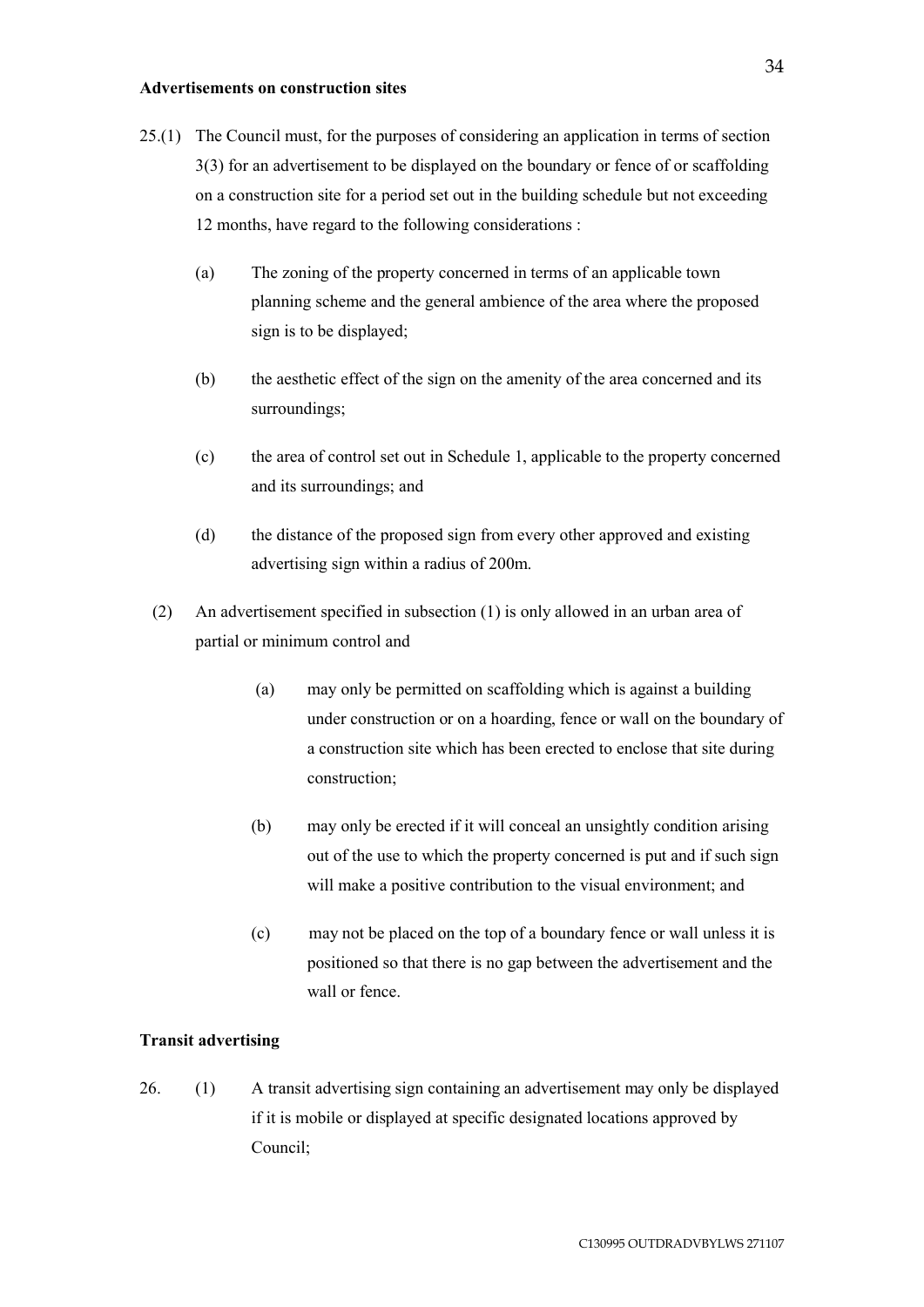#### **Advertisements on construction sites**

- 25.(1) The Council must, for the purposes of considering an application in terms of section 3(3) for an advertisement to be displayed on the boundary or fence of or scaffolding on a construction site for a period set out in the building schedule but not exceeding 12 months, have regard to the following considerations :
	- (a) The zoning of the property concerned in terms of an applicable town planning scheme and the general ambience of the area where the proposed sign is to be displayed;
	- (b) the aesthetic effect of the sign on the amenity of the area concerned and its surroundings;
	- (c) the area of control set out in Schedule 1, applicable to the property concerned and its surroundings; and
	- (d) the distance of the proposed sign from every other approved and existing advertising sign within a radius of 200m.
	- (2) An advertisement specified in subsection (1) is only allowed in an urban area of partial or minimum control and
		- (a) may only be permitted on scaffolding which is against a building under construction or on a hoarding, fence or wall on the boundary of a construction site which has been erected to enclose that site during construction;
		- (b) may only be erected if it will conceal an unsightly condition arising out of the use to which the property concerned is put and if such sign will make a positive contribution to the visual environment; and
		- (c) may not be placed on the top of a boundary fence or wall unless it is positioned so that there is no gap between the advertisement and the wall or fence.

### **Transit advertising**

26. (1) A transit advertising sign containing an advertisement may only be displayed if it is mobile or displayed at specific designated locations approved by Council;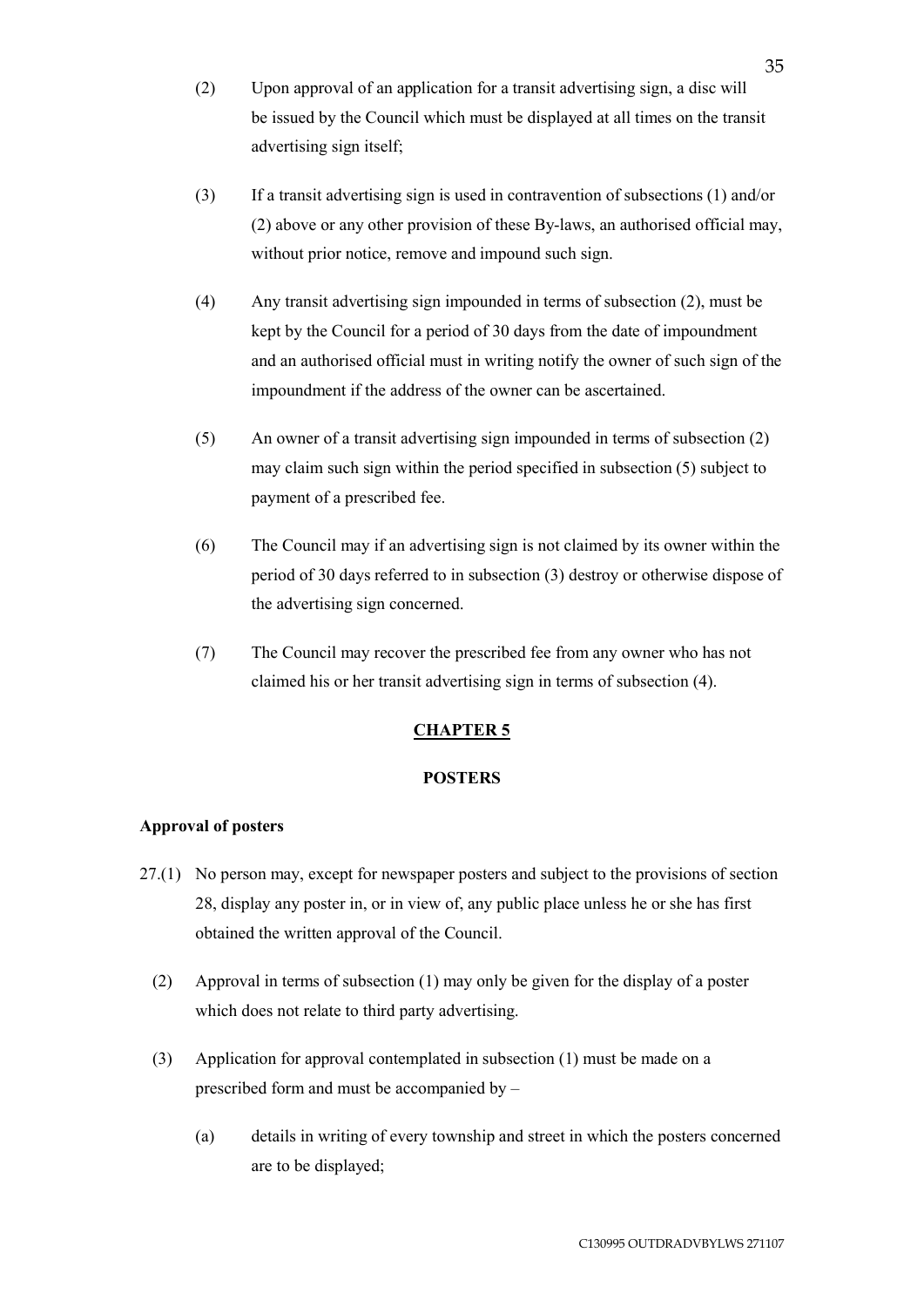- (2) Upon approval of an application for a transit advertising sign, a disc will be issued by the Council which must be displayed at all times on the transit advertising sign itself;
- (3) If a transit advertising sign is used in contravention of subsections (1) and/or (2) above or any other provision of these By-laws, an authorised official may, without prior notice, remove and impound such sign.
- (4) Any transit advertising sign impounded in terms of subsection (2), must be kept by the Council for a period of 30 days from the date of impoundment and an authorised official must in writing notify the owner of such sign of the impoundment if the address of the owner can be ascertained.
- (5) An owner of a transit advertising sign impounded in terms of subsection (2) may claim such sign within the period specified in subsection (5) subject to payment of a prescribed fee.
- (6) The Council may if an advertising sign is not claimed by its owner within the period of 30 days referred to in subsection (3) destroy or otherwise dispose of the advertising sign concerned.
- (7) The Council may recover the prescribed fee from any owner who has not claimed his or her transit advertising sign in terms of subsection (4).

# **CHAPTER 5**

# **POSTERS**

# **Approval of posters**

- 27.(1) No person may, except for newspaper posters and subject to the provisions of section 28, display any poster in, or in view of, any public place unless he or she has first obtained the written approval of the Council.
	- (2) Approval in terms of subsection (1) may only be given for the display of a poster which does not relate to third party advertising.
	- (3) Application for approval contemplated in subsection (1) must be made on a prescribed form and must be accompanied by –
		- (a) details in writing of every township and street in which the posters concerned are to be displayed;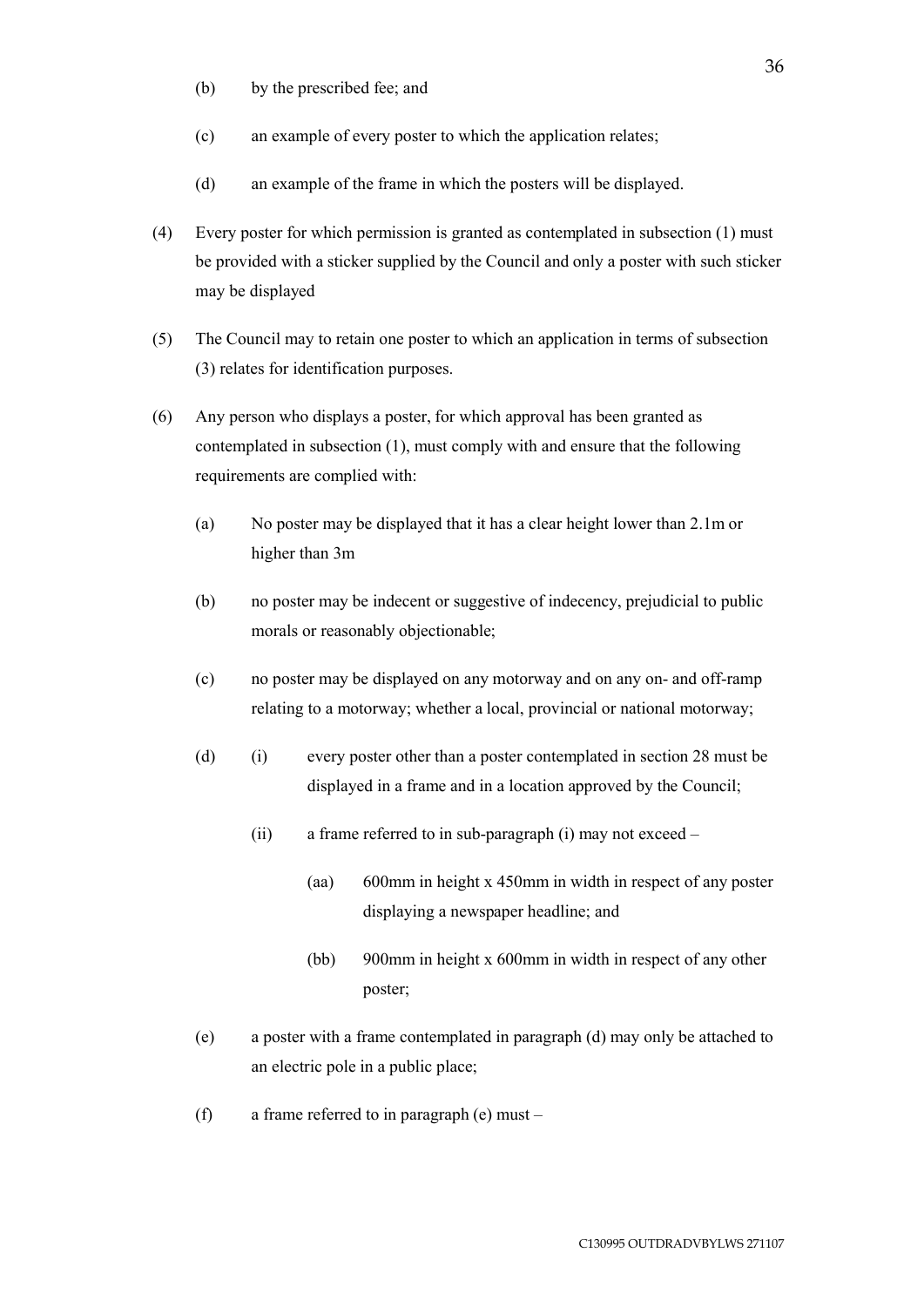- (b) by the prescribed fee; and
- (c) an example of every poster to which the application relates;
- (d) an example of the frame in which the posters will be displayed.
- (4) Every poster for which permission is granted as contemplated in subsection (1) must be provided with a sticker supplied by the Council and only a poster with such sticker may be displayed
- (5) The Council may to retain one poster to which an application in terms of subsection (3) relates for identification purposes.
- (6) Any person who displays a poster, for which approval has been granted as contemplated in subsection (1), must comply with and ensure that the following requirements are complied with:
	- (a) No poster may be displayed that it has a clear height lower than 2.1m or higher than 3m
	- (b) no poster may be indecent or suggestive of indecency, prejudicial to public morals or reasonably objectionable;
	- (c) no poster may be displayed on any motorway and on any on- and off-ramp relating to a motorway; whether a local, provincial or national motorway;
	- (d) (i) every poster other than a poster contemplated in section 28 must be displayed in a frame and in a location approved by the Council;
		- (ii) a frame referred to in sub-paragraph (i) may not exceed
			- (aa) 600mm in height x 450mm in width in respect of any poster displaying a newspaper headline; and
			- (bb) 900mm in height x 600mm in width in respect of any other poster;
	- (e) a poster with a frame contemplated in paragraph (d) may only be attached to an electric pole in a public place;
	- (f) a frame referred to in paragraph (e) must –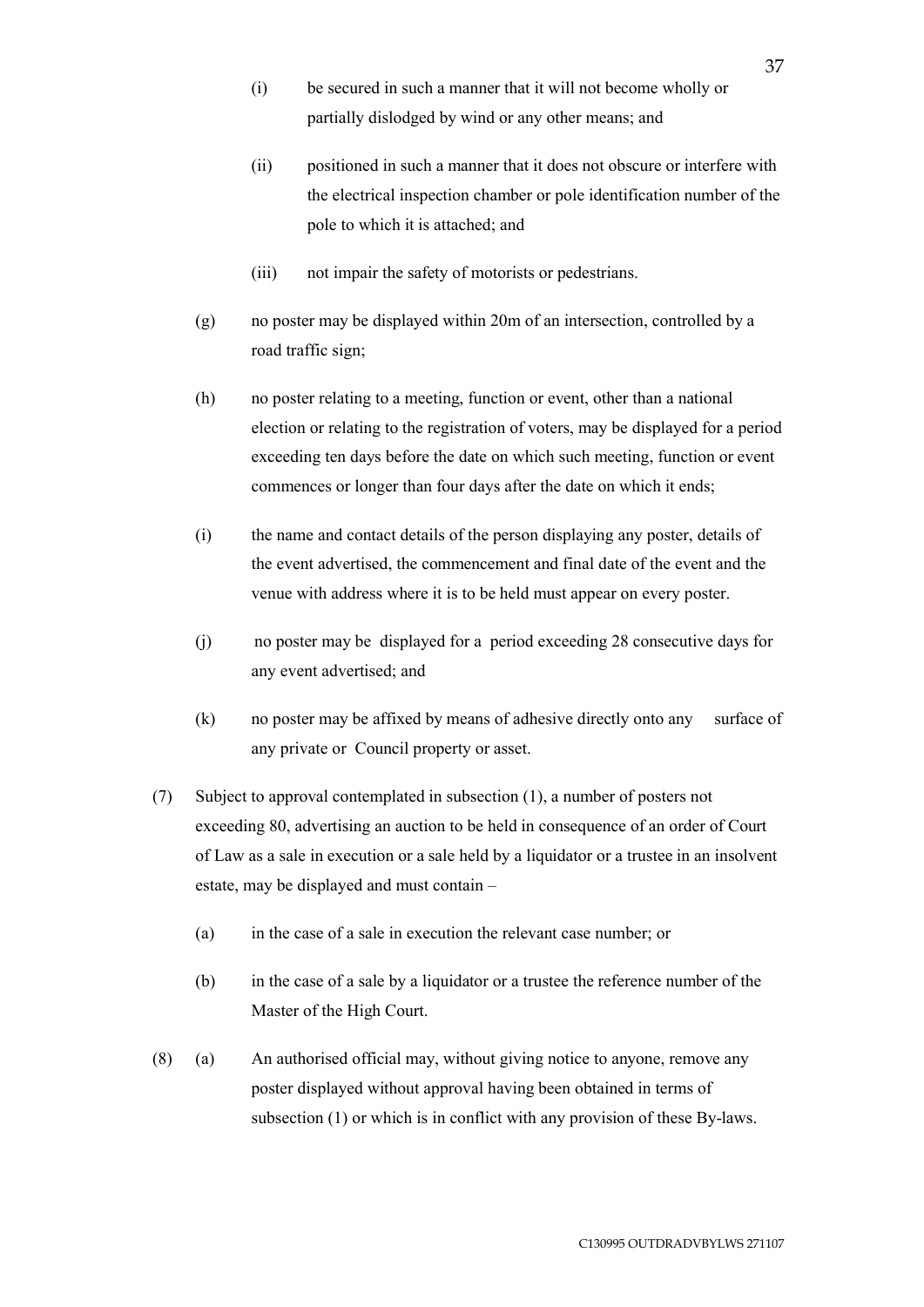- (i) be secured in such a manner that it will not become wholly or partially dislodged by wind or any other means; and
- (ii) positioned in such a manner that it does not obscure or interfere with the electrical inspection chamber or pole identification number of the pole to which it is attached; and
- (iii) not impair the safety of motorists or pedestrians.
- (g) no poster may be displayed within 20m of an intersection, controlled by a road traffic sign;
- (h) no poster relating to a meeting, function or event, other than a national election or relating to the registration of voters, may be displayed for a period exceeding ten days before the date on which such meeting, function or event commences or longer than four days after the date on which it ends;
- (i) the name and contact details of the person displaying any poster, details of the event advertised, the commencement and final date of the event and the venue with address where it is to be held must appear on every poster.
- (j) no poster may be displayed for a period exceeding 28 consecutive days for any event advertised; and
- (k) no poster may be affixed by means of adhesive directly onto any surface of any private or Council property or asset.
- (7) Subject to approval contemplated in subsection (1), a number of posters not exceeding 80, advertising an auction to be held in consequence of an order of Court of Law as a sale in execution or a sale held by a liquidator or a trustee in an insolvent estate, may be displayed and must contain –
	- (a) in the case of a sale in execution the relevant case number; or
	- (b) in the case of a sale by a liquidator or a trustee the reference number of the Master of the High Court.
- (8) (a) An authorised official may, without giving notice to anyone, remove any poster displayed without approval having been obtained in terms of subsection (1) or which is in conflict with any provision of these By-laws.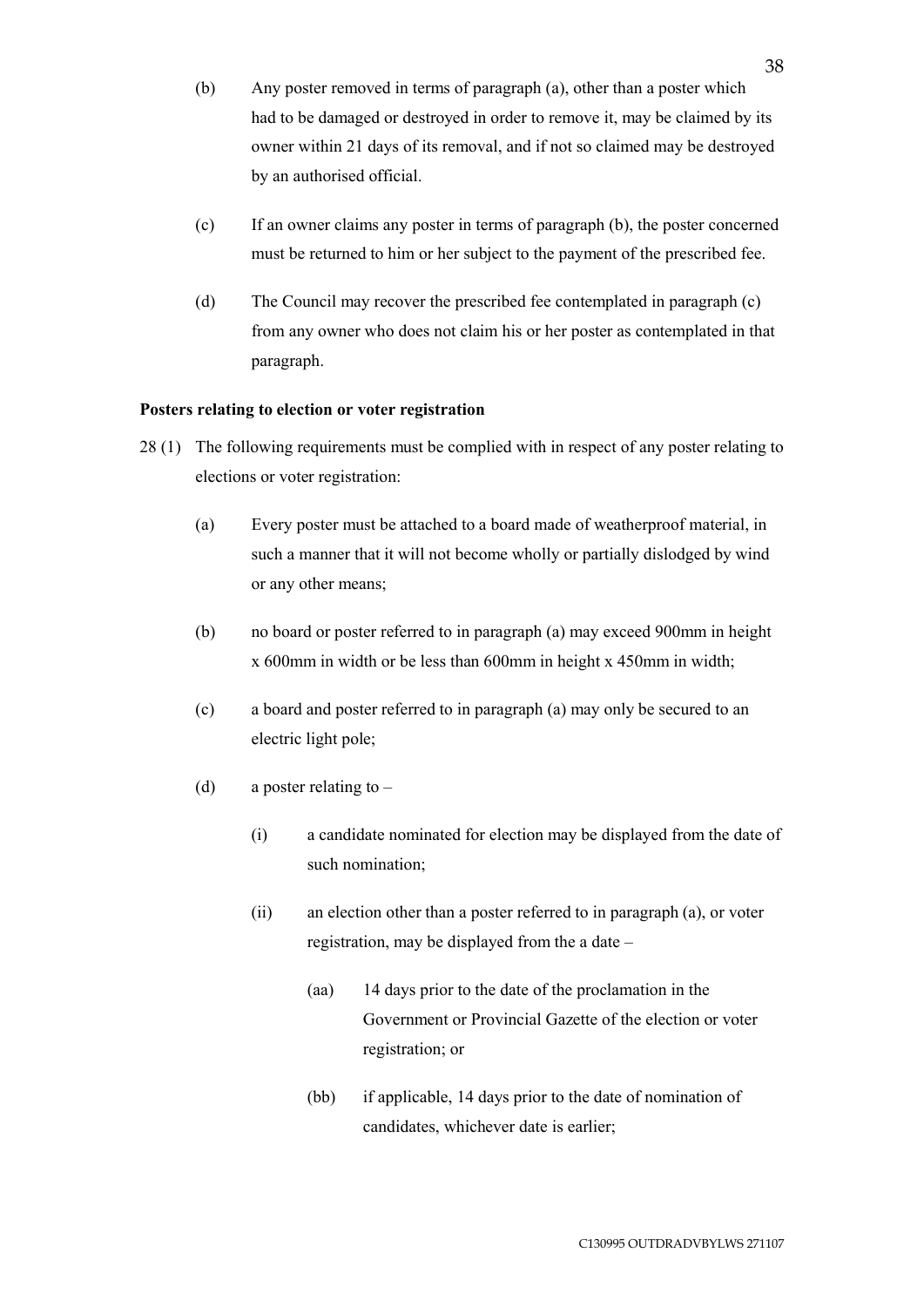- (b) Any poster removed in terms of paragraph (a), other than a poster which had to be damaged or destroyed in order to remove it, may be claimed by its owner within 21 days of its removal, and if not so claimed may be destroyed by an authorised official.
- (c) If an owner claims any poster in terms of paragraph (b), the poster concerned must be returned to him or her subject to the payment of the prescribed fee.
- (d) The Council may recover the prescribed fee contemplated in paragraph (c) from any owner who does not claim his or her poster as contemplated in that paragraph.

# **Posters relating to election or voter registration**

- 28 (1) The following requirements must be complied with in respect of any poster relating to elections or voter registration:
	- (a) Every poster must be attached to a board made of weatherproof material, in such a manner that it will not become wholly or partially dislodged by wind or any other means;
	- (b) no board or poster referred to in paragraph (a) may exceed 900mm in height x 600mm in width or be less than 600mm in height x 450mm in width;
	- (c) a board and poster referred to in paragraph (a) may only be secured to an electric light pole;
	- (d) a poster relating to  $-$ 
		- (i) a candidate nominated for election may be displayed from the date of such nomination;
		- (ii) an election other than a poster referred to in paragraph (a), or voter registration, may be displayed from the a date –
			- (aa) 14 days prior to the date of the proclamation in the Government or Provincial Gazette of the election or voter registration; or
			- (bb) if applicable, 14 days prior to the date of nomination of candidates, whichever date is earlier;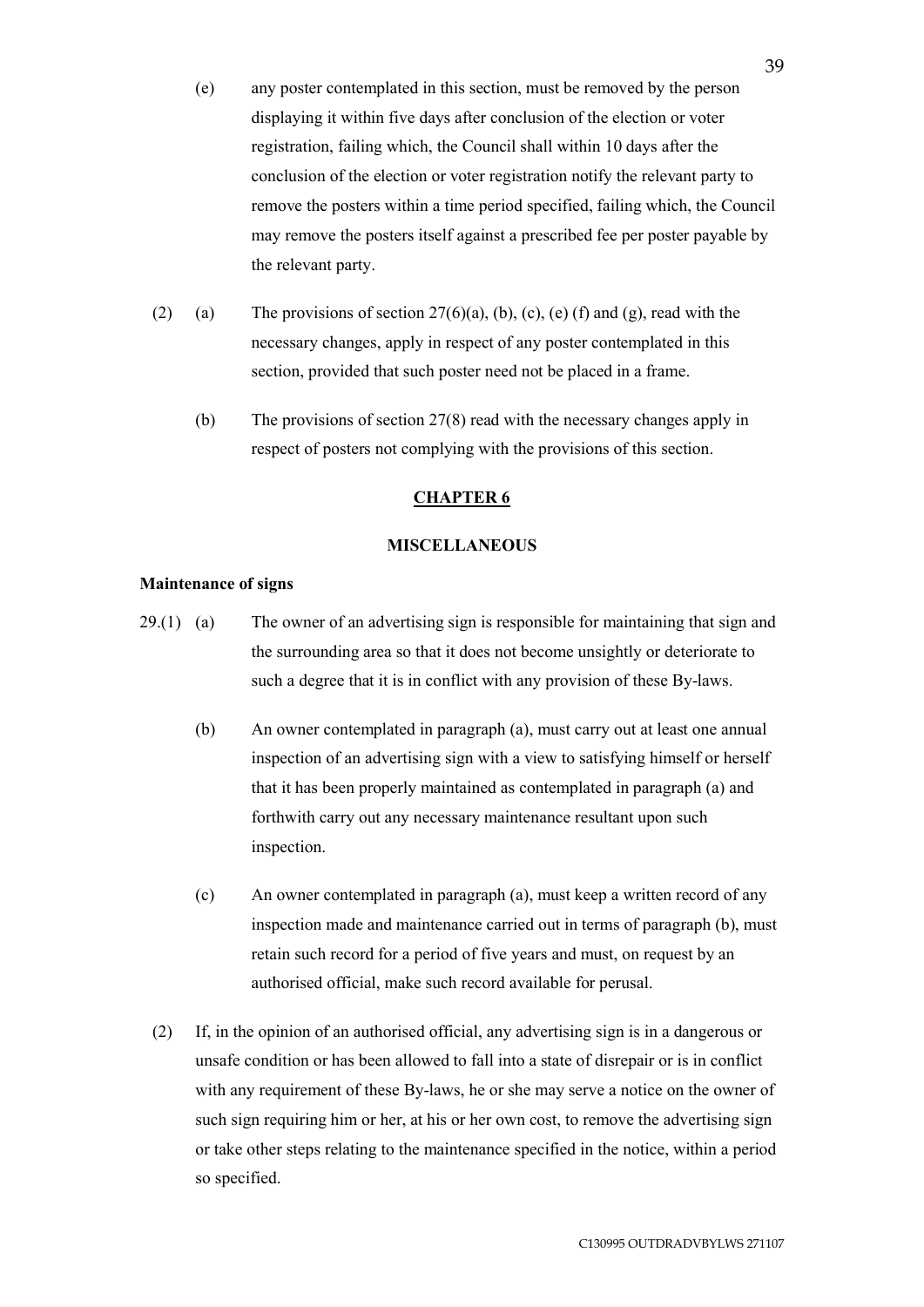- (e) any poster contemplated in this section, must be removed by the person displaying it within five days after conclusion of the election or voter registration, failing which, the Council shall within 10 days after the conclusion of the election or voter registration notify the relevant party to remove the posters within a time period specified, failing which, the Council may remove the posters itself against a prescribed fee per poster payable by the relevant party.
- (2) (a) The provisions of section  $27(6)(a)$ , (b), (c), (e) (f) and (g), read with the necessary changes, apply in respect of any poster contemplated in this section, provided that such poster need not be placed in a frame.
	- (b) The provisions of section 27(8) read with the necessary changes apply in respect of posters not complying with the provisions of this section.

# **CHAPTER 6**

# **MISCELLANEOUS**

## **Maintenance of signs**

- 29.(1) (a) The owner of an advertising sign is responsible for maintaining that sign and the surrounding area so that it does not become unsightly or deteriorate to such a degree that it is in conflict with any provision of these By-laws.
	- (b) An owner contemplated in paragraph (a), must carry out at least one annual inspection of an advertising sign with a view to satisfying himself or herself that it has been properly maintained as contemplated in paragraph (a) and forthwith carry out any necessary maintenance resultant upon such inspection.
	- (c) An owner contemplated in paragraph (a), must keep a written record of any inspection made and maintenance carried out in terms of paragraph (b), must retain such record for a period of five years and must, on request by an authorised official, make such record available for perusal.
	- (2) If, in the opinion of an authorised official, any advertising sign is in a dangerous or unsafe condition or has been allowed to fall into a state of disrepair or is in conflict with any requirement of these By-laws, he or she may serve a notice on the owner of such sign requiring him or her, at his or her own cost, to remove the advertising sign or take other steps relating to the maintenance specified in the notice, within a period so specified.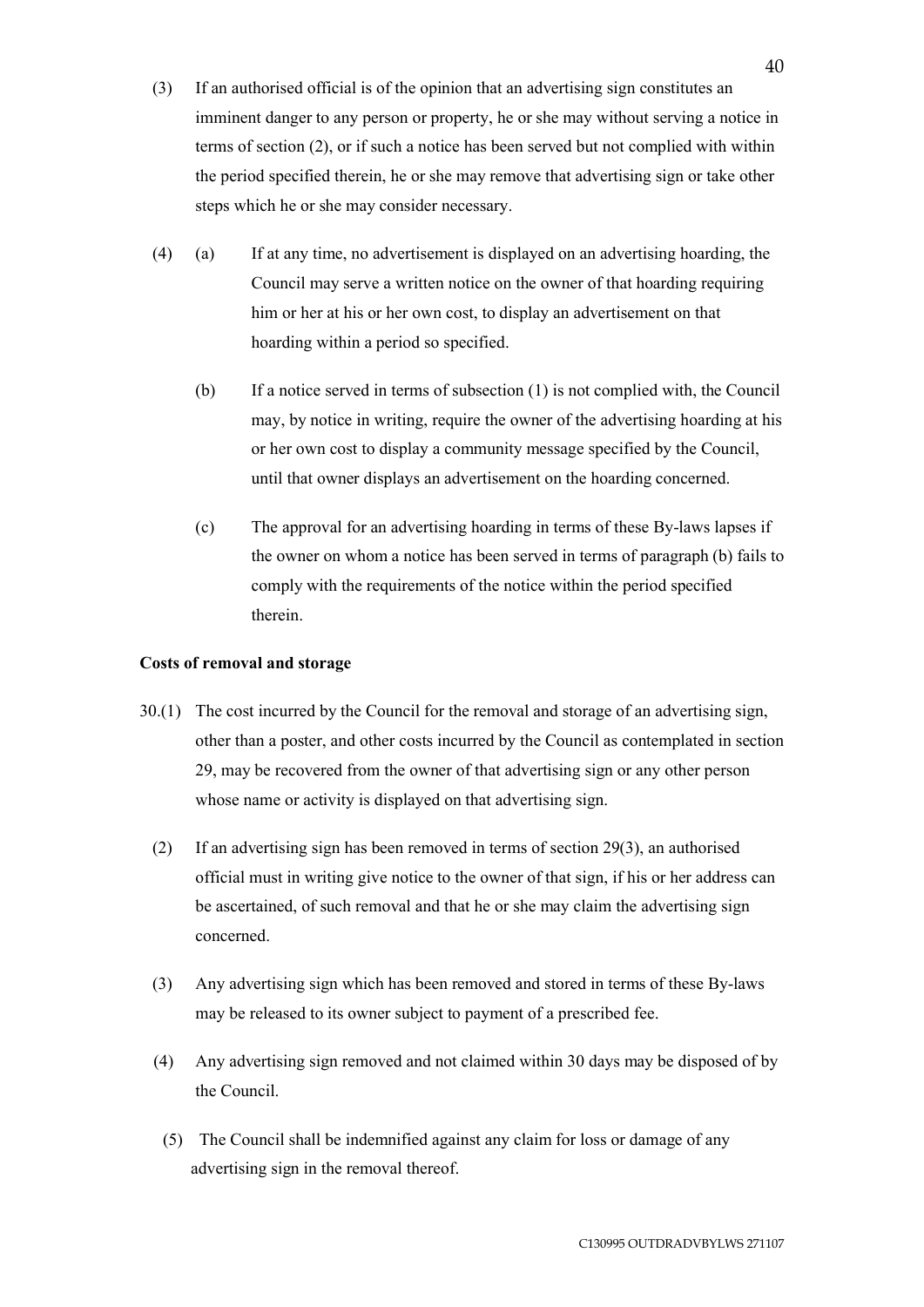- (3) If an authorised official is of the opinion that an advertising sign constitutes an imminent danger to any person or property, he or she may without serving a notice in terms of section (2), or if such a notice has been served but not complied with within the period specified therein, he or she may remove that advertising sign or take other steps which he or she may consider necessary.
- (4) (a) If at any time, no advertisement is displayed on an advertising hoarding, the Council may serve a written notice on the owner of that hoarding requiring him or her at his or her own cost, to display an advertisement on that hoarding within a period so specified.
	- (b) If a notice served in terms of subsection (1) is not complied with, the Council may, by notice in writing, require the owner of the advertising hoarding at his or her own cost to display a community message specified by the Council, until that owner displays an advertisement on the hoarding concerned.
	- (c) The approval for an advertising hoarding in terms of these By-laws lapses if the owner on whom a notice has been served in terms of paragraph (b) fails to comply with the requirements of the notice within the period specified therein.

# **Costs of removal and storage**

- 30.(1) The cost incurred by the Council for the removal and storage of an advertising sign, other than a poster, and other costs incurred by the Council as contemplated in section 29, may be recovered from the owner of that advertising sign or any other person whose name or activity is displayed on that advertising sign.
	- (2) If an advertising sign has been removed in terms of section 29(3), an authorised official must in writing give notice to the owner of that sign, if his or her address can be ascertained, of such removal and that he or she may claim the advertising sign concerned.
	- (3) Any advertising sign which has been removed and stored in terms of these By-laws may be released to its owner subject to payment of a prescribed fee.
	- (4) Any advertising sign removed and not claimed within 30 days may be disposed of by the Council.
	- (5) The Council shall be indemnified against any claim for loss or damage of any advertising sign in the removal thereof.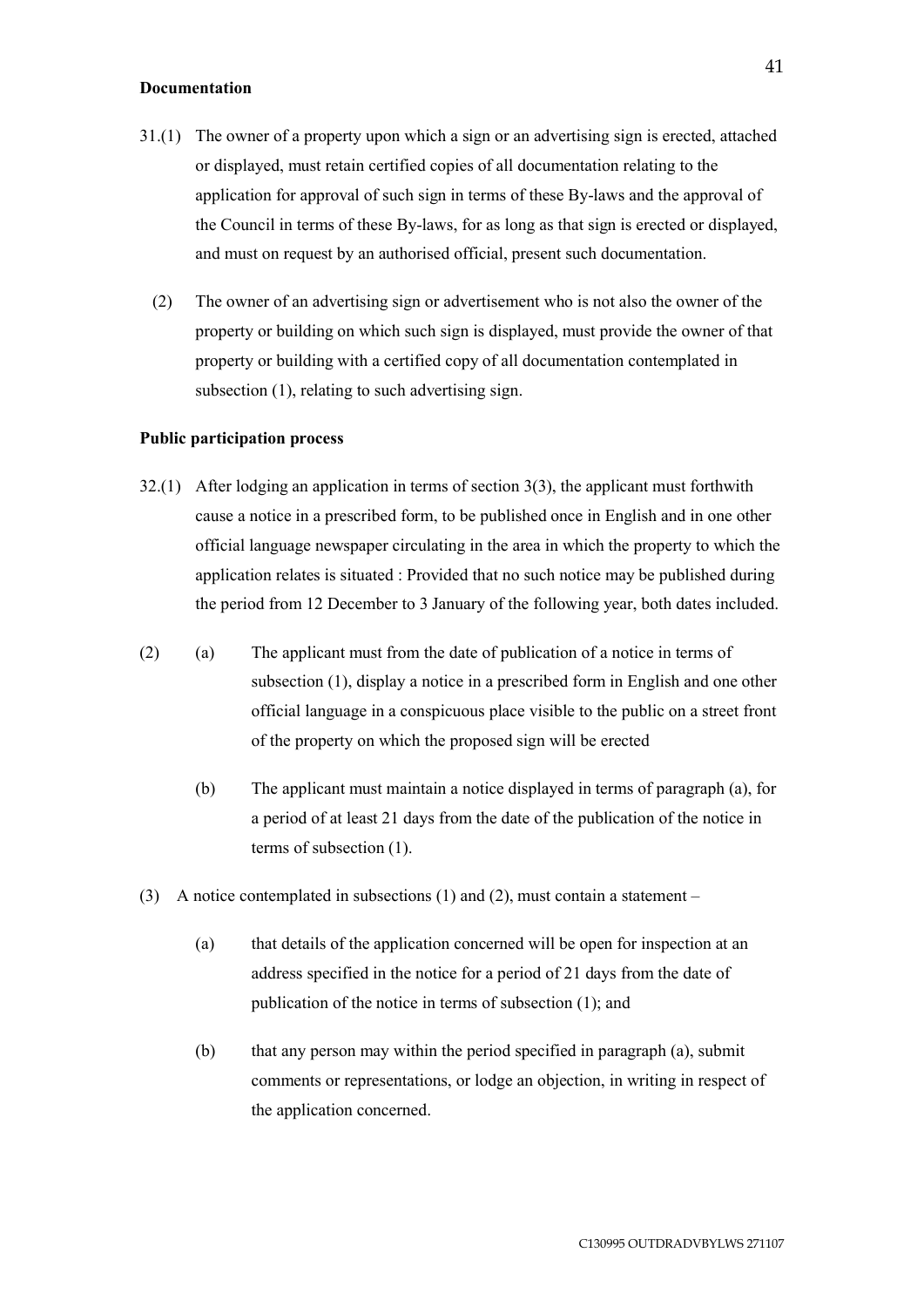#### **Documentation**

- 31.(1) The owner of a property upon which a sign or an advertising sign is erected, attached or displayed, must retain certified copies of all documentation relating to the application for approval of such sign in terms of these By-laws and the approval of the Council in terms of these By-laws, for as long as that sign is erected or displayed, and must on request by an authorised official, present such documentation.
	- (2) The owner of an advertising sign or advertisement who is not also the owner of the property or building on which such sign is displayed, must provide the owner of that property or building with a certified copy of all documentation contemplated in subsection (1), relating to such advertising sign.

### **Public participation process**

- 32.(1) After lodging an application in terms of section 3(3), the applicant must forthwith cause a notice in a prescribed form, to be published once in English and in one other official language newspaper circulating in the area in which the property to which the application relates is situated : Provided that no such notice may be published during the period from 12 December to 3 January of the following year, both dates included.
- (2) (a) The applicant must from the date of publication of a notice in terms of subsection (1), display a notice in a prescribed form in English and one other official language in a conspicuous place visible to the public on a street front of the property on which the proposed sign will be erected
	- (b) The applicant must maintain a notice displayed in terms of paragraph (a), for a period of at least 21 days from the date of the publication of the notice in terms of subsection (1).
- (3) A notice contemplated in subsections (1) and (2), must contain a statement
	- (a) that details of the application concerned will be open for inspection at an address specified in the notice for a period of 21 days from the date of publication of the notice in terms of subsection (1); and
	- (b) that any person may within the period specified in paragraph (a), submit comments or representations, or lodge an objection, in writing in respect of the application concerned.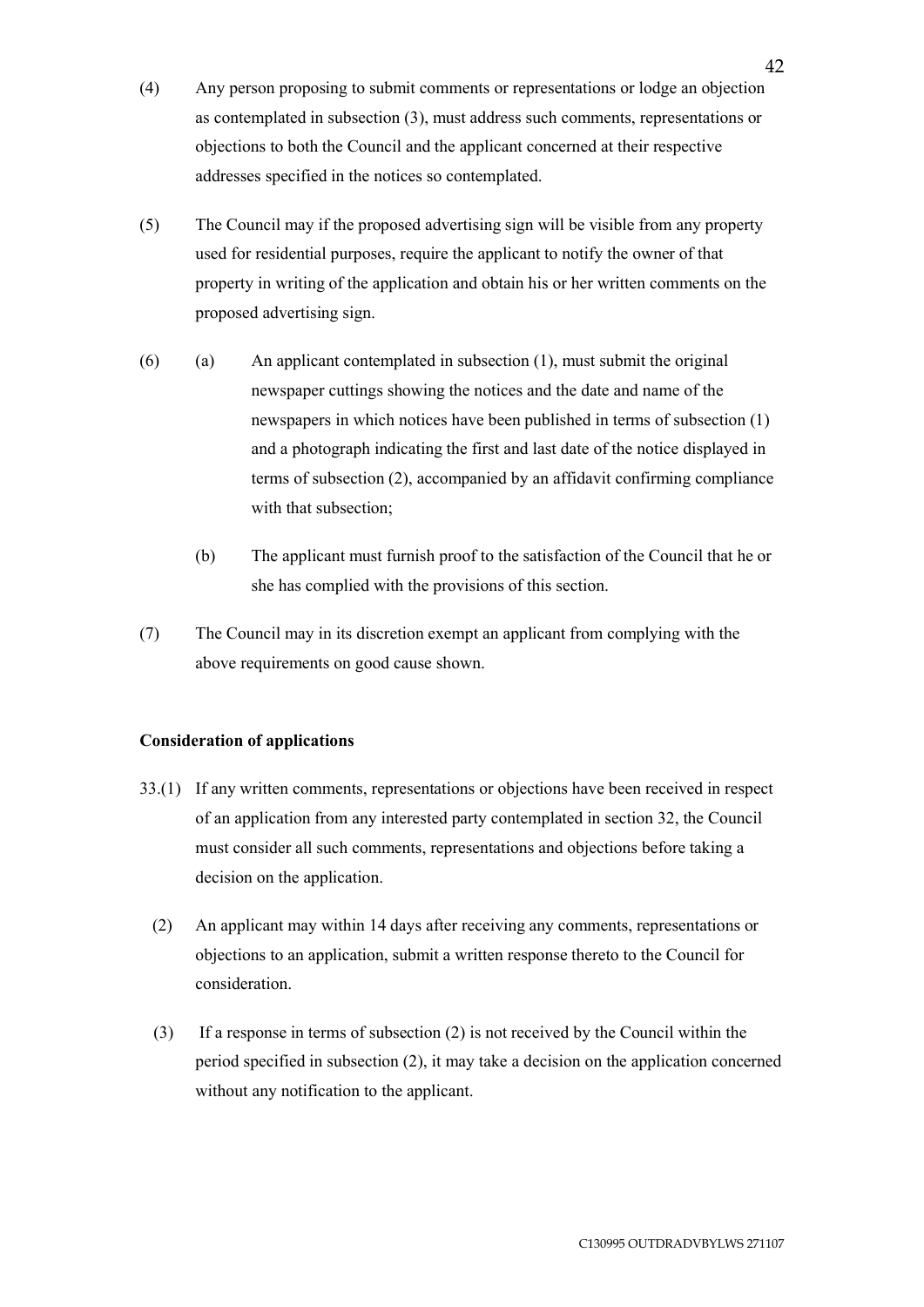- (4) Any person proposing to submit comments or representations or lodge an objection as contemplated in subsection (3), must address such comments, representations or objections to both the Council and the applicant concerned at their respective addresses specified in the notices so contemplated.
- (5) The Council may if the proposed advertising sign will be visible from any property used for residential purposes, require the applicant to notify the owner of that property in writing of the application and obtain his or her written comments on the proposed advertising sign.
- (6) (a) An applicant contemplated in subsection (1), must submit the original newspaper cuttings showing the notices and the date and name of the newspapers in which notices have been published in terms of subsection (1) and a photograph indicating the first and last date of the notice displayed in terms of subsection (2), accompanied by an affidavit confirming compliance with that subsection;
	- (b) The applicant must furnish proof to the satisfaction of the Council that he or she has complied with the provisions of this section.
- (7) The Council may in its discretion exempt an applicant from complying with the above requirements on good cause shown.

# **Consideration of applications**

- 33.(1) If any written comments, representations or objections have been received in respect of an application from any interested party contemplated in section 32, the Council must consider all such comments, representations and objections before taking a decision on the application.
	- (2) An applicant may within 14 days after receiving any comments, representations or objections to an application, submit a written response thereto to the Council for consideration.
	- (3) If a response in terms of subsection (2) is not received by the Council within the period specified in subsection (2), it may take a decision on the application concerned without any notification to the applicant.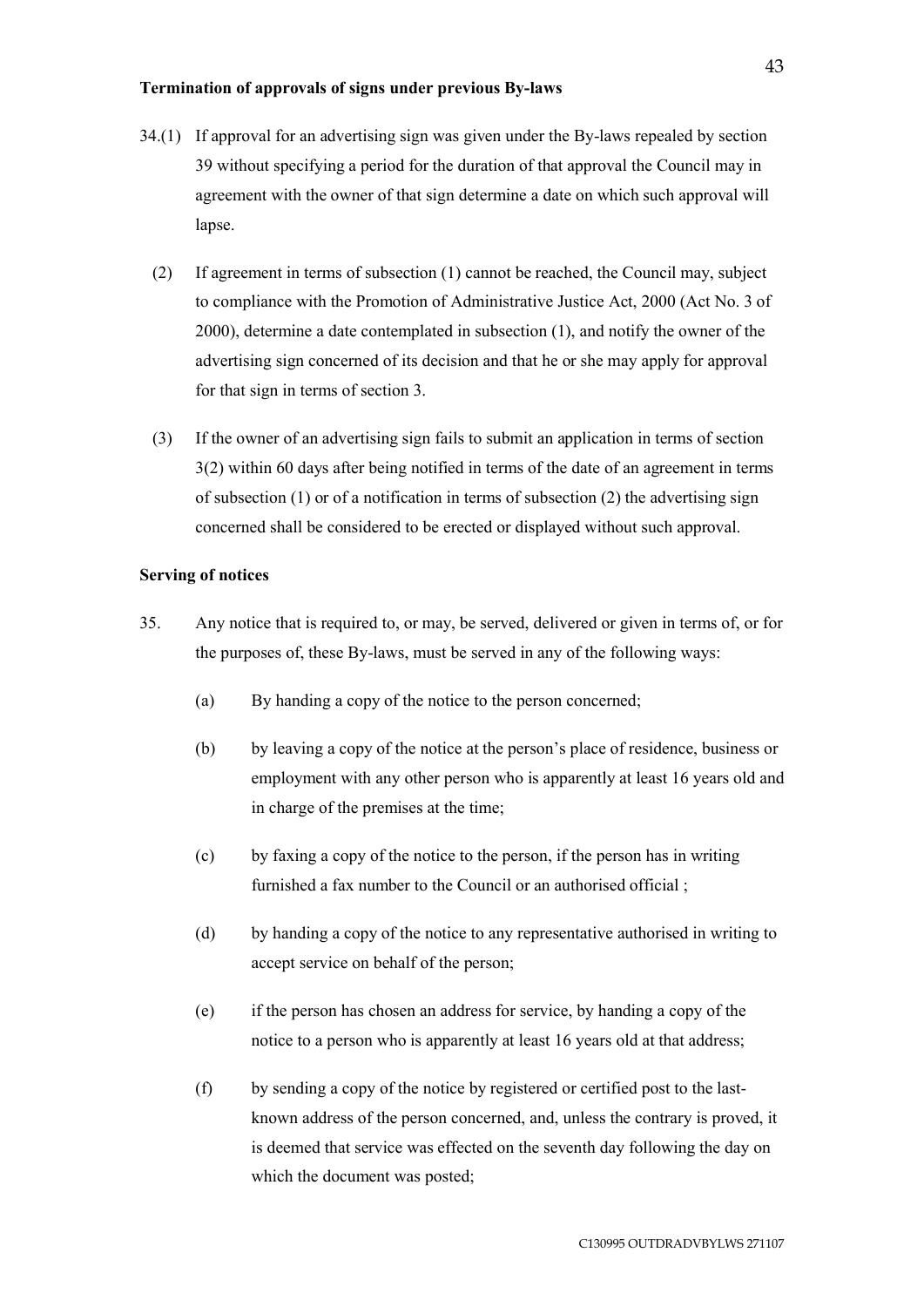### **Termination of approvals of signs under previous By-laws**

- 34.(1) If approval for an advertising sign was given under the By-laws repealed by section 39 without specifying a period for the duration of that approval the Council may in agreement with the owner of that sign determine a date on which such approval will lapse.
	- (2) If agreement in terms of subsection (1) cannot be reached, the Council may, subject to compliance with the Promotion of Administrative Justice Act, 2000 (Act No. 3 of 2000), determine a date contemplated in subsection (1), and notify the owner of the advertising sign concerned of its decision and that he or she may apply for approval for that sign in terms of section 3.
	- (3) If the owner of an advertising sign fails to submit an application in terms of section 3(2) within 60 days after being notified in terms of the date of an agreement in terms of subsection (1) or of a notification in terms of subsection (2) the advertising sign concerned shall be considered to be erected or displayed without such approval.

# **Serving of notices**

- 35. Any notice that is required to, or may, be served, delivered or given in terms of, or for the purposes of, these By-laws, must be served in any of the following ways:
	- (a) By handing a copy of the notice to the person concerned;
	- (b) by leaving a copy of the notice at the person's place of residence, business or employment with any other person who is apparently at least 16 years old and in charge of the premises at the time;
	- (c) by faxing a copy of the notice to the person, if the person has in writing furnished a fax number to the Council or an authorised official ;
	- (d) by handing a copy of the notice to any representative authorised in writing to accept service on behalf of the person;
	- (e) if the person has chosen an address for service, by handing a copy of the notice to a person who is apparently at least 16 years old at that address;
	- (f) by sending a copy of the notice by registered or certified post to the lastknown address of the person concerned, and, unless the contrary is proved, it is deemed that service was effected on the seventh day following the day on which the document was posted;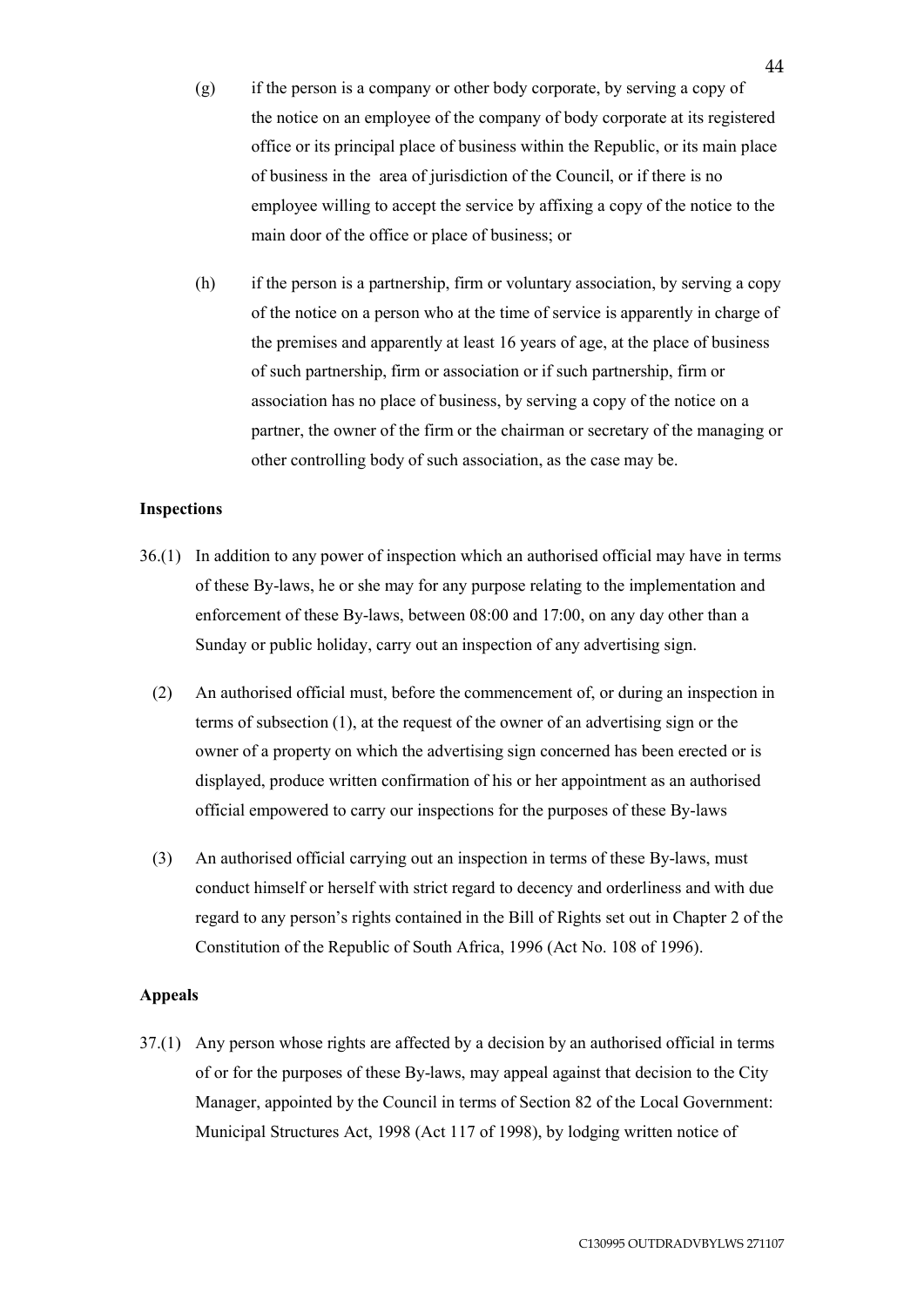- (g) if the person is a company or other body corporate, by serving a copy of the notice on an employee of the company of body corporate at its registered office or its principal place of business within the Republic, or its main place of business in the area of jurisdiction of the Council, or if there is no employee willing to accept the service by affixing a copy of the notice to the main door of the office or place of business; or
- (h) if the person is a partnership, firm or voluntary association, by serving a copy of the notice on a person who at the time of service is apparently in charge of the premises and apparently at least 16 years of age, at the place of business of such partnership, firm or association or if such partnership, firm or association has no place of business, by serving a copy of the notice on a partner, the owner of the firm or the chairman or secretary of the managing or other controlling body of such association, as the case may be.

### **Inspections**

- 36.(1) In addition to any power of inspection which an authorised official may have in terms of these By-laws, he or she may for any purpose relating to the implementation and enforcement of these By-laws, between 08:00 and 17:00, on any day other than a Sunday or public holiday, carry out an inspection of any advertising sign.
	- (2) An authorised official must, before the commencement of, or during an inspection in terms of subsection (1), at the request of the owner of an advertising sign or the owner of a property on which the advertising sign concerned has been erected or is displayed, produce written confirmation of his or her appointment as an authorised official empowered to carry our inspections for the purposes of these By-laws
	- (3) An authorised official carrying out an inspection in terms of these By-laws, must conduct himself or herself with strict regard to decency and orderliness and with due regard to any person's rights contained in the Bill of Rights set out in Chapter 2 of the Constitution of the Republic of South Africa, 1996 (Act No. 108 of 1996).

## **Appeals**

37.(1) Any person whose rights are affected by a decision by an authorised official in terms of or for the purposes of these By-laws, may appeal against that decision to the City Manager, appointed by the Council in terms of Section 82 of the Local Government: Municipal Structures Act, 1998 (Act 117 of 1998), by lodging written notice of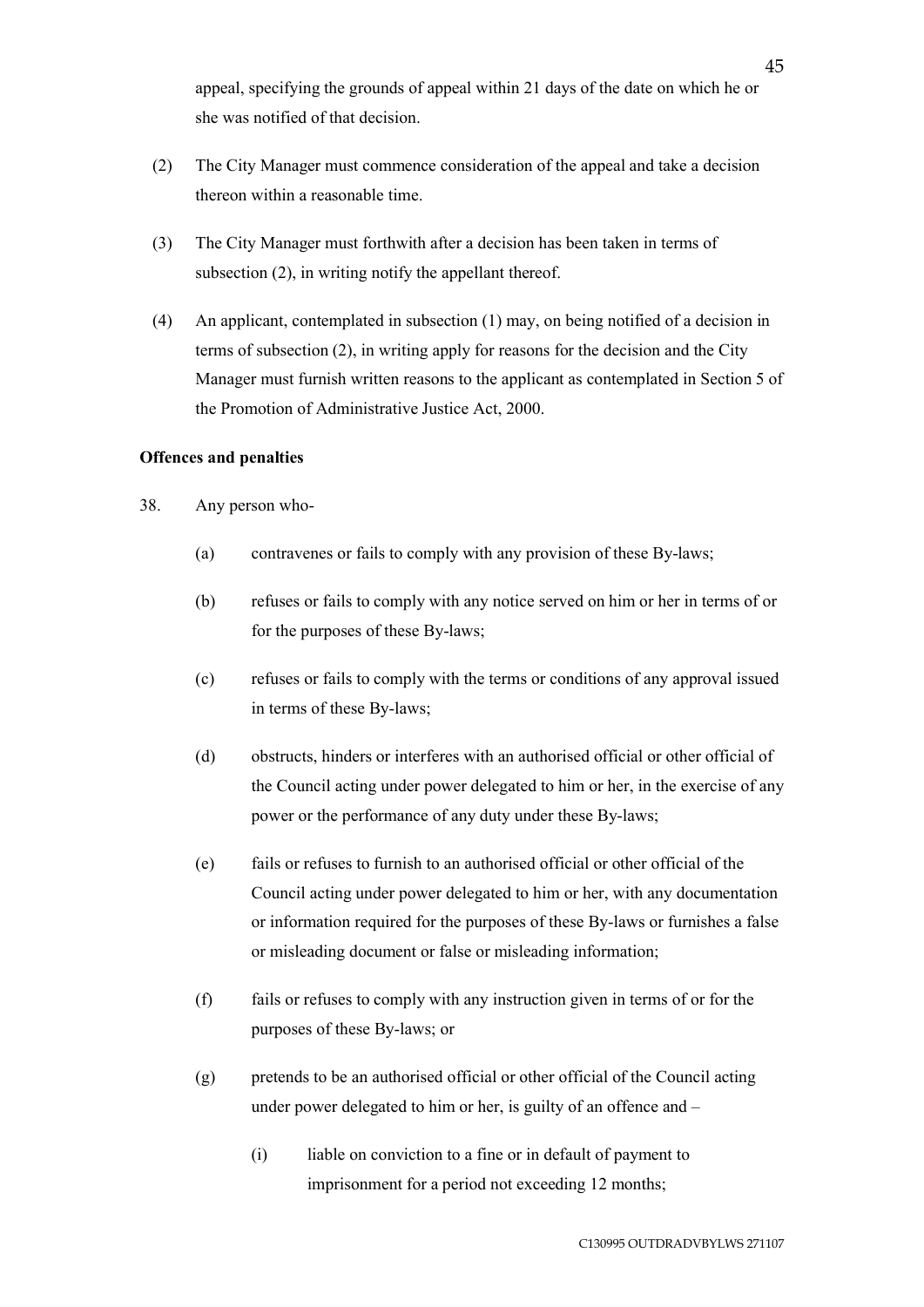appeal, specifying the grounds of appeal within 21 days of the date on which he or she was notified of that decision.

- (2) The City Manager must commence consideration of the appeal and take a decision thereon within a reasonable time.
- (3) The City Manager must forthwith after a decision has been taken in terms of subsection (2), in writing notify the appellant thereof.
- (4) An applicant, contemplated in subsection (1) may, on being notified of a decision in terms of subsection (2), in writing apply for reasons for the decision and the City Manager must furnish written reasons to the applicant as contemplated in Section 5 of the Promotion of Administrative Justice Act, 2000.

# **Offences and penalties**

- 38. Any person who-
	- (a) contravenes or fails to comply with any provision of these By-laws;
	- (b) refuses or fails to comply with any notice served on him or her in terms of or for the purposes of these By-laws;
	- (c) refuses or fails to comply with the terms or conditions of any approval issued in terms of these By-laws;
	- (d) obstructs, hinders or interferes with an authorised official or other official of the Council acting under power delegated to him or her, in the exercise of any power or the performance of any duty under these By-laws;
	- (e) fails or refuses to furnish to an authorised official or other official of the Council acting under power delegated to him or her, with any documentation or information required for the purposes of these By-laws or furnishes a false or misleading document or false or misleading information;
	- (f) fails or refuses to comply with any instruction given in terms of or for the purposes of these By-laws; or
	- (g) pretends to be an authorised official or other official of the Council acting under power delegated to him or her, is guilty of an offence and –
		- (i) liable on conviction to a fine or in default of payment to imprisonment for a period not exceeding 12 months;